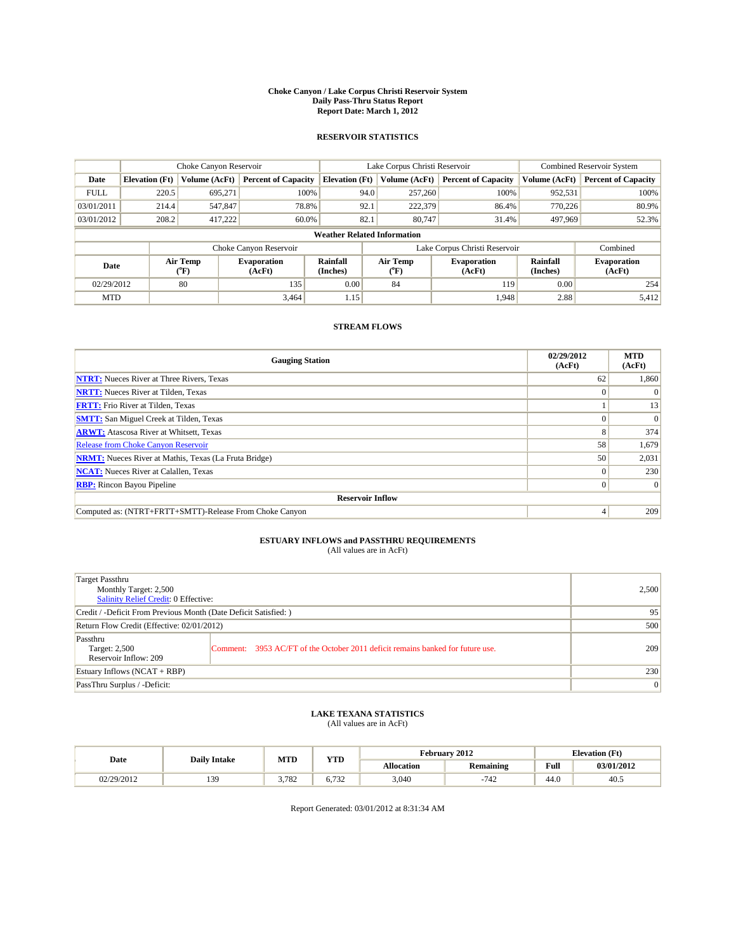#### **Choke Canyon / Lake Corpus Christi Reservoir System Daily Pass-Thru Status Report Report Date: March 1, 2012**

### **RESERVOIR STATISTICS**

|             | Choke Canyon Reservoir             |                  |                              |                             | Lake Corpus Christi Reservoir  | <b>Combined Reservoir System</b> |                      |                              |  |  |
|-------------|------------------------------------|------------------|------------------------------|-----------------------------|--------------------------------|----------------------------------|----------------------|------------------------------|--|--|
| Date        | <b>Elevation</b> (Ft)              | Volume (AcFt)    | <b>Percent of Capacity</b>   | <b>Elevation</b> (Ft)       | Volume (AcFt)                  | <b>Percent of Capacity</b>       | Volume (AcFt)        | <b>Percent of Capacity</b>   |  |  |
| <b>FULL</b> | 220.5                              | 695,271          | 100%                         | 94.0                        | 257,260                        | 100%                             | 952,531              | 100%                         |  |  |
| 03/01/2011  | 214.4                              | 547,847          | 78.8%                        | 92.1                        | 222,379                        | 86.4%                            | 770.226              | 80.9%                        |  |  |
| 03/01/2012  | 208.2                              | 417,222          | 60.0%                        | 82.1                        | 80,747                         | 31.4%                            | 497,969              | 52.3%                        |  |  |
|             | <b>Weather Related Information</b> |                  |                              |                             |                                |                                  |                      |                              |  |  |
|             |                                    |                  | Choke Canyon Reservoir       |                             | Lake Corpus Christi Reservoir  |                                  |                      | Combined                     |  |  |
| Date        |                                    | Air Temp<br>(°F) | <b>Evaporation</b><br>(AcFt) | <b>Rainfall</b><br>(Inches) | Air Temp<br>$({}^o\mathrm{F})$ | <b>Evaporation</b><br>(AcFt)     | Rainfall<br>(Inches) | <b>Evaporation</b><br>(AcFt) |  |  |
| 02/29/2012  |                                    | 80               | 135                          | 0.00                        | 84                             | 119                              | 0.00                 | 254                          |  |  |
| <b>MTD</b>  |                                    |                  | 3.464                        | 1.15                        |                                | 1,948                            | 2.88                 | 5,412                        |  |  |

## **STREAM FLOWS**

| <b>Gauging Station</b>                                       | 02/29/2012<br>(AcFt) | <b>MTD</b><br>(AcFt) |
|--------------------------------------------------------------|----------------------|----------------------|
| <b>NTRT:</b> Nueces River at Three Rivers, Texas             | 62                   | 1,860                |
| <b>NRTT:</b> Nueces River at Tilden, Texas                   |                      |                      |
| <b>FRTT:</b> Frio River at Tilden, Texas                     |                      | 13                   |
| <b>SMTT:</b> San Miguel Creek at Tilden, Texas               |                      | $\Omega$             |
| <b>ARWT:</b> Atascosa River at Whitsett, Texas               | 8                    | 374                  |
| Release from Choke Canyon Reservoir                          | 58                   | 1,679                |
| <b>NRMT:</b> Nueces River at Mathis, Texas (La Fruta Bridge) | 50                   | 2,031                |
| <b>NCAT:</b> Nueces River at Calallen, Texas                 | $\Omega$             | 230                  |
| <b>RBP:</b> Rincon Bayou Pipeline                            | $\Omega$             | $\Omega$             |
| <b>Reservoir Inflow</b>                                      |                      |                      |
| Computed as: (NTRT+FRTT+SMTT)-Release From Choke Canyon      | 4                    | 209                  |

# **ESTUARY INFLOWS and PASSTHRU REQUIREMENTS**<br>(All values are in AcFt)

| Target Passthru<br>Monthly Target: 2,500<br>Salinity Relief Credit: 0 Effective: |                                                                                | 2,500 |
|----------------------------------------------------------------------------------|--------------------------------------------------------------------------------|-------|
| Credit / -Deficit From Previous Month (Date Deficit Satisfied: )                 | 95                                                                             |       |
| Return Flow Credit (Effective: 02/01/2012)                                       | 500                                                                            |       |
| Passthru<br>Target: 2,500<br>Reservoir Inflow: 209                               | Comment: 3953 AC/FT of the October 2011 deficit remains banked for future use. | 209   |
| Estuary Inflows (NCAT + RBP)                                                     | 230                                                                            |       |
| PassThru Surplus / -Deficit:                                                     | $\overline{0}$                                                                 |       |

## **LAKE TEXANA STATISTICS** (All values are in AcFt)

|            | <b>Daily Intake</b> | <b>MTD</b> | <b>YTD</b>   | February 2012     |                  |      | <b>Elevation</b> (Ft) |
|------------|---------------------|------------|--------------|-------------------|------------------|------|-----------------------|
| Date       |                     |            |              | <b>Allocation</b> | <b>Remaining</b> | Full | 03/01/2012            |
| 02/29/2012 | 39<br>              | 3.782      | 722<br>0.732 | 3,040             | $-742$           | 44.0 | 40.5                  |

Report Generated: 03/01/2012 at 8:31:34 AM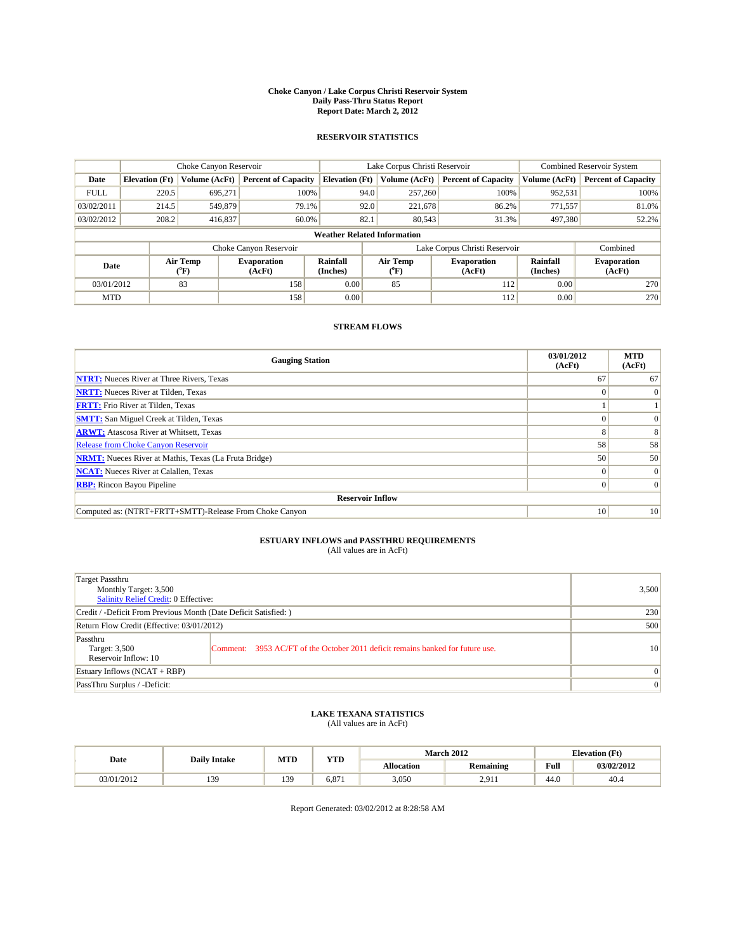#### **Choke Canyon / Lake Corpus Christi Reservoir System Daily Pass-Thru Status Report Report Date: March 2, 2012**

### **RESERVOIR STATISTICS**

|             | Choke Canyon Reservoir             |                                           |                              |                       | Lake Corpus Christi Reservoir | <b>Combined Reservoir System</b> |                      |                              |  |  |
|-------------|------------------------------------|-------------------------------------------|------------------------------|-----------------------|-------------------------------|----------------------------------|----------------------|------------------------------|--|--|
| Date        | <b>Elevation</b> (Ft)              | Volume (AcFt)                             | <b>Percent of Capacity</b>   | <b>Elevation</b> (Ft) | Volume (AcFt)                 | <b>Percent of Capacity</b>       | Volume (AcFt)        | <b>Percent of Capacity</b>   |  |  |
| <b>FULL</b> | 220.5                              | 695.271                                   | 100%                         | 94.0                  | 257,260                       | 100%                             | 952,531              | 100%                         |  |  |
| 03/02/2011  | 214.5                              | 549,879                                   | 79.1%                        | 92.0                  | 221,678                       | 86.2%                            | 771,557              | 81.0%                        |  |  |
| 03/02/2012  | 208.2                              | 416,837                                   | 60.0%                        | 82.1                  | 80.543                        | 31.3%                            | 497,380              | 52.2%                        |  |  |
|             | <b>Weather Related Information</b> |                                           |                              |                       |                               |                                  |                      |                              |  |  |
|             |                                    |                                           | Choke Canyon Reservoir       |                       | Lake Corpus Christi Reservoir |                                  |                      | Combined                     |  |  |
| Date        |                                    | Air Temp<br>$({}^{\mathrm{o}}\mathrm{F})$ | <b>Evaporation</b><br>(AcFt) | Rainfall<br>(Inches)  | Air Temp<br>(°F)              | <b>Evaporation</b><br>(AcFt)     | Rainfall<br>(Inches) | <b>Evaporation</b><br>(AcFt) |  |  |
| 03/01/2012  |                                    | 83                                        | 158                          | 0.00                  | 85                            | 112                              | 0.00                 | 270                          |  |  |
| <b>MTD</b>  |                                    |                                           | 158                          | 0.00                  |                               | 112                              | 0.00                 | 270                          |  |  |

## **STREAM FLOWS**

| <b>Gauging Station</b>                                       | 03/01/2012<br>(AcFt) | <b>MTD</b><br>(AcFt) |  |  |  |  |  |
|--------------------------------------------------------------|----------------------|----------------------|--|--|--|--|--|
| <b>NTRT:</b> Nueces River at Three Rivers, Texas             | 67                   | 67                   |  |  |  |  |  |
| <b>NRTT:</b> Nueces River at Tilden, Texas                   | $\Omega$             | $\theta$             |  |  |  |  |  |
| <b>FRTT:</b> Frio River at Tilden, Texas                     |                      |                      |  |  |  |  |  |
| <b>SMTT:</b> San Miguel Creek at Tilden, Texas               |                      | $\Omega$             |  |  |  |  |  |
| <b>ARWT:</b> Atascosa River at Whitsett, Texas               | 8                    | 8                    |  |  |  |  |  |
| <b>Release from Choke Canyon Reservoir</b>                   | 58                   | 58                   |  |  |  |  |  |
| <b>NRMT:</b> Nueces River at Mathis, Texas (La Fruta Bridge) | 50                   | 50                   |  |  |  |  |  |
| <b>NCAT:</b> Nueces River at Calallen, Texas                 | $\Omega$             | $\Omega$             |  |  |  |  |  |
| <b>RBP:</b> Rincon Bayou Pipeline                            | $\overline{0}$       | $\Omega$             |  |  |  |  |  |
| <b>Reservoir Inflow</b>                                      |                      |                      |  |  |  |  |  |
| Computed as: (NTRT+FRTT+SMTT)-Release From Choke Canyon      | 10 <sup>1</sup>      | 10                   |  |  |  |  |  |

# **ESTUARY INFLOWS and PASSTHRU REQUIREMENTS**<br>(All values are in AcFt)

| Target Passthru<br>Monthly Target: 3,500<br>Salinity Relief Credit: 0 Effective: |                                                                                | 3,500        |
|----------------------------------------------------------------------------------|--------------------------------------------------------------------------------|--------------|
| Credit / -Deficit From Previous Month (Date Deficit Satisfied: )                 | 230                                                                            |              |
| Return Flow Credit (Effective: 03/01/2012)                                       | 500                                                                            |              |
| Passthru<br>Target: 3,500<br>Reservoir Inflow: 10                                | Comment: 3953 AC/FT of the October 2011 deficit remains banked for future use. | 10           |
| Estuary Inflows (NCAT + RBP)                                                     |                                                                                | $\mathbf{0}$ |
| PassThru Surplus / -Deficit:                                                     | $\mathbf{0}$                                                                   |              |

## **LAKE TEXANA STATISTICS** (All values are in AcFt)

|            | <b>Daily Intake</b> | <b>MTD</b> | <b>YTD</b> | <b>March 2012</b><br><b>Elevation</b> (Ft) |                  |      |            |
|------------|---------------------|------------|------------|--------------------------------------------|------------------|------|------------|
| Date       |                     |            |            | <b>Allocation</b>                          | <b>Remaining</b> | Full | 03/02/2012 |
| 03/01/2012 | 39<br>1J.           | 139        | 6.87       | 3,050                                      | 2.911            | 44.0 | 40.4       |

Report Generated: 03/02/2012 at 8:28:58 AM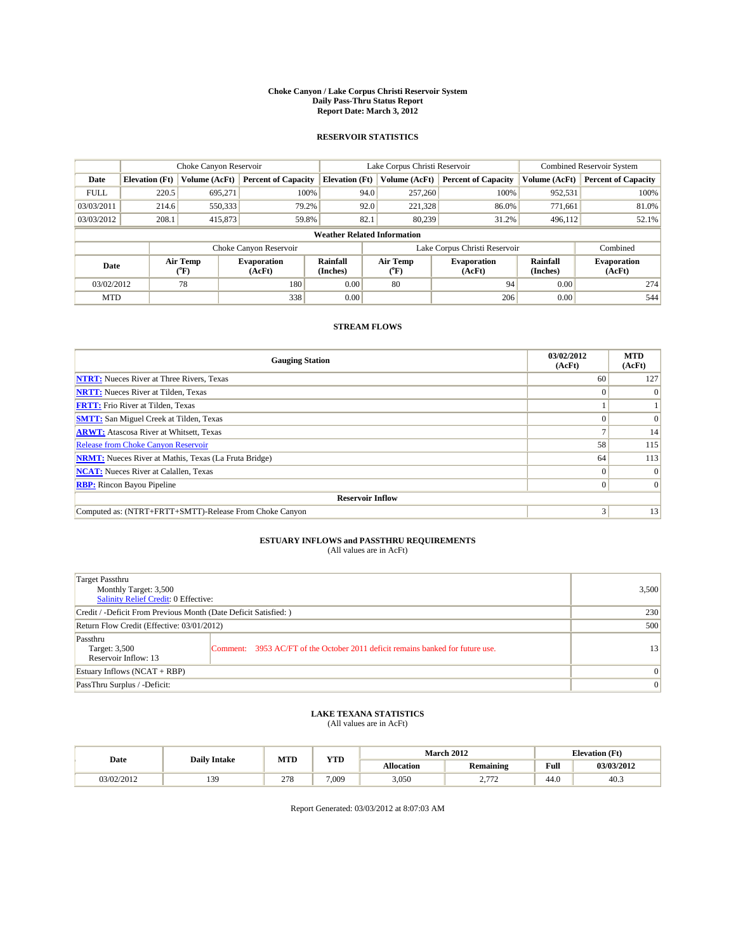#### **Choke Canyon / Lake Corpus Christi Reservoir System Daily Pass-Thru Status Report Report Date: March 3, 2012**

### **RESERVOIR STATISTICS**

|             | Choke Canyon Reservoir             |                  |                              |                             | Lake Corpus Christi Reservoir | <b>Combined Reservoir System</b> |                      |                              |  |  |
|-------------|------------------------------------|------------------|------------------------------|-----------------------------|-------------------------------|----------------------------------|----------------------|------------------------------|--|--|
| Date        | <b>Elevation</b> (Ft)              | Volume (AcFt)    | <b>Percent of Capacity</b>   | <b>Elevation</b> (Ft)       | Volume (AcFt)                 | <b>Percent of Capacity</b>       | Volume (AcFt)        | <b>Percent of Capacity</b>   |  |  |
| <b>FULL</b> | 220.5                              | 695,271          | 100%                         | 94.0                        | 257,260                       | 100%                             | 952,531              | 100%                         |  |  |
| 03/03/2011  | 214.6                              | 550,333          | 79.2%                        | 92.0                        | 221,328                       | 86.0%                            | 771.661              | 81.0%                        |  |  |
| 03/03/2012  | 208.1                              | 415,873          | 59.8%                        | 82.1                        | 80.239                        | 31.2%                            | 496,112              | 52.1%                        |  |  |
|             | <b>Weather Related Information</b> |                  |                              |                             |                               |                                  |                      |                              |  |  |
|             |                                    |                  | Choke Canyon Reservoir       |                             |                               | Lake Corpus Christi Reservoir    |                      | Combined                     |  |  |
| Date        |                                    | Air Temp<br>(°F) | <b>Evaporation</b><br>(AcFt) | <b>Rainfall</b><br>(Inches) | Air Temp<br>(°F)              | <b>Evaporation</b><br>(AcFt)     | Rainfall<br>(Inches) | <b>Evaporation</b><br>(AcFt) |  |  |
| 03/02/2012  |                                    | 78               | 180                          | 0.00                        | 80                            | 94                               | 0.00                 | 274                          |  |  |
| <b>MTD</b>  |                                    |                  | 338                          | 0.00                        |                               | 206                              | 0.00                 | 544                          |  |  |

## **STREAM FLOWS**

| <b>Gauging Station</b>                                       | 03/02/2012<br>(AcFt) | <b>MTD</b><br>(AcFt) |
|--------------------------------------------------------------|----------------------|----------------------|
| <b>NTRT:</b> Nueces River at Three Rivers, Texas             | 60                   | 127                  |
| <b>NRTT:</b> Nueces River at Tilden, Texas                   | $\Omega$             |                      |
| <b>FRTT:</b> Frio River at Tilden, Texas                     |                      |                      |
| <b>SMTT:</b> San Miguel Creek at Tilden, Texas               |                      | $\Omega$             |
| <b>ARWT:</b> Atascosa River at Whitsett, Texas               |                      | 14                   |
| Release from Choke Canyon Reservoir                          | 58                   | 115                  |
| <b>NRMT:</b> Nueces River at Mathis, Texas (La Fruta Bridge) | 64                   | 113                  |
| <b>NCAT:</b> Nueces River at Calallen, Texas                 | $\Omega$             | $\Omega$             |
| <b>RBP:</b> Rincon Bayou Pipeline                            | $\Omega$             | $\Omega$             |
| <b>Reservoir Inflow</b>                                      |                      |                      |
| Computed as: (NTRT+FRTT+SMTT)-Release From Choke Canyon      | 3                    | 13                   |

# **ESTUARY INFLOWS and PASSTHRU REQUIREMENTS**<br>(All values are in AcFt)

| Target Passthru<br>Monthly Target: 3,500<br>Salinity Relief Credit: 0 Effective: |                                                                                | 3,500        |
|----------------------------------------------------------------------------------|--------------------------------------------------------------------------------|--------------|
| Credit / -Deficit From Previous Month (Date Deficit Satisfied: )                 | 230                                                                            |              |
| Return Flow Credit (Effective: 03/01/2012)                                       | 500                                                                            |              |
| Passthru<br>Target: 3,500<br>Reservoir Inflow: 13                                | Comment: 3953 AC/FT of the October 2011 deficit remains banked for future use. | 13           |
| Estuary Inflows (NCAT + RBP)                                                     |                                                                                | $\mathbf{0}$ |
| PassThru Surplus / -Deficit:                                                     | $\mathbf{0}$                                                                   |              |

## **LAKE TEXANA STATISTICS** (All values are in AcFt)

|            | <b>Daily Intake</b> | <b>MTD</b> | <b>YTD</b> | <b>March 2012</b> |                   |      | <b>Elevation</b> (Ft) |
|------------|---------------------|------------|------------|-------------------|-------------------|------|-----------------------|
| Date       |                     |            |            | <b>Allocation</b> | <b>Remaining</b>  | Full | 03/03/2012            |
| 03/02/2012 | 39<br>1J.           | 278        | 7.009      | 3,050             | 2.777<br><u>.</u> | 44.0 | 40.3                  |

Report Generated: 03/03/2012 at 8:07:03 AM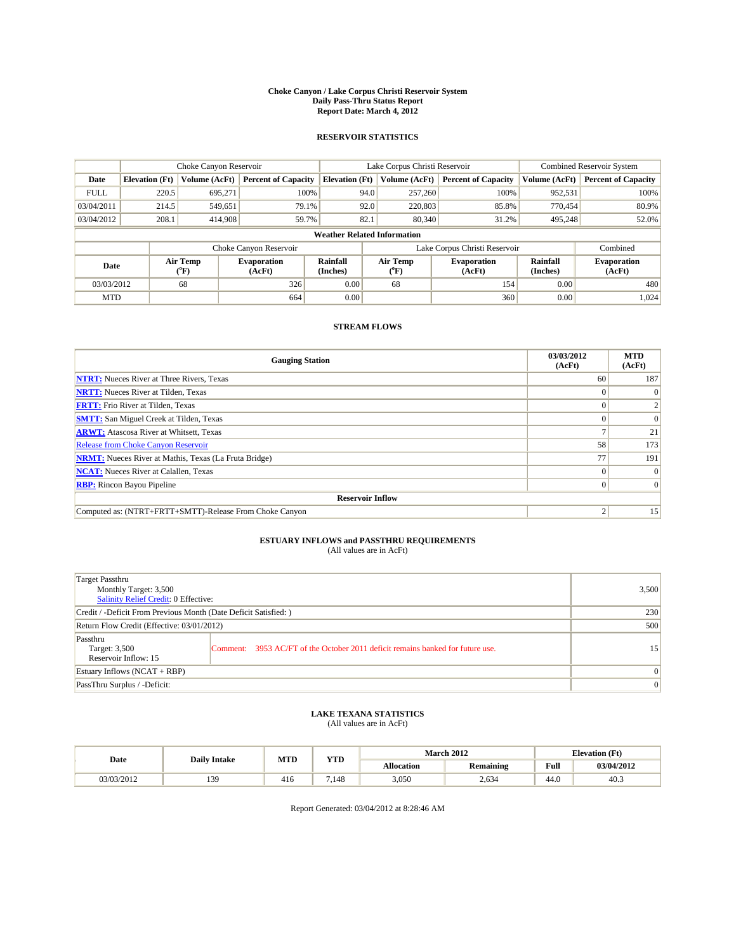#### **Choke Canyon / Lake Corpus Christi Reservoir System Daily Pass-Thru Status Report Report Date: March 4, 2012**

### **RESERVOIR STATISTICS**

|             | Choke Canyon Reservoir             |                  |                              |                             | Lake Corpus Christi Reservoir | <b>Combined Reservoir System</b> |                      |                              |  |
|-------------|------------------------------------|------------------|------------------------------|-----------------------------|-------------------------------|----------------------------------|----------------------|------------------------------|--|
| Date        | <b>Elevation</b> (Ft)              | Volume (AcFt)    | <b>Percent of Capacity</b>   | <b>Elevation</b> (Ft)       | Volume (AcFt)                 | <b>Percent of Capacity</b>       | Volume (AcFt)        | <b>Percent of Capacity</b>   |  |
| <b>FULL</b> | 220.5                              | 695,271          | 100%                         | 94.0                        | 257,260                       | 100%                             | 952,531              | 100%                         |  |
| 03/04/2011  | 214.5                              | 549,651          | 79.1%                        | 92.0                        | 220,803                       | 85.8%                            | 770.454              | 80.9%                        |  |
| 03/04/2012  | 208.1                              | 414,908          | 59.7%                        | 82.1                        | 80,340                        | 31.2%                            | 495,248              | 52.0%                        |  |
|             | <b>Weather Related Information</b> |                  |                              |                             |                               |                                  |                      |                              |  |
|             |                                    |                  | Choke Canyon Reservoir       |                             |                               | Lake Corpus Christi Reservoir    |                      | Combined                     |  |
| Date        |                                    | Air Temp<br>(°F) | <b>Evaporation</b><br>(AcFt) | <b>Rainfall</b><br>(Inches) | Air Temp<br>(°F)              | <b>Evaporation</b><br>(AcFt)     | Rainfall<br>(Inches) | <b>Evaporation</b><br>(AcFt) |  |
| 03/03/2012  |                                    | 68               | 326                          | 0.00                        | 68                            | 154                              | 0.00                 | 480                          |  |
| <b>MTD</b>  |                                    |                  | 664                          | 0.00                        |                               | 360                              | 0.00                 | 1,024                        |  |

## **STREAM FLOWS**

| <b>Gauging Station</b>                                       | 03/03/2012<br>(AcFt) | <b>MTD</b><br>(AcFt) |  |  |  |  |  |
|--------------------------------------------------------------|----------------------|----------------------|--|--|--|--|--|
| <b>NTRT:</b> Nueces River at Three Rivers, Texas             | 60 <sup>1</sup>      | 187                  |  |  |  |  |  |
| <b>NRTT:</b> Nueces River at Tilden, Texas                   |                      |                      |  |  |  |  |  |
| <b>FRTT:</b> Frio River at Tilden, Texas                     |                      |                      |  |  |  |  |  |
| <b>SMTT:</b> San Miguel Creek at Tilden, Texas               |                      | $\Omega$             |  |  |  |  |  |
| <b>ARWT:</b> Atascosa River at Whitsett, Texas               |                      | 21                   |  |  |  |  |  |
| <b>Release from Choke Canyon Reservoir</b>                   | 58                   | 173                  |  |  |  |  |  |
| <b>NRMT:</b> Nueces River at Mathis, Texas (La Fruta Bridge) | 77                   | 191                  |  |  |  |  |  |
| <b>NCAT:</b> Nueces River at Calallen, Texas                 | $\Omega$             | $\Omega$             |  |  |  |  |  |
| <b>RBP:</b> Rincon Bayou Pipeline                            | $\overline{0}$       | $\Omega$             |  |  |  |  |  |
| <b>Reservoir Inflow</b>                                      |                      |                      |  |  |  |  |  |
| Computed as: (NTRT+FRTT+SMTT)-Release From Choke Canyon      | ◠                    | 15                   |  |  |  |  |  |

# **ESTUARY INFLOWS and PASSTHRU REQUIREMENTS**<br>(All values are in AcFt)

| Target Passthru<br>Monthly Target: 3,500<br>Salinity Relief Credit: 0 Effective: |                                                                                | 3,500           |
|----------------------------------------------------------------------------------|--------------------------------------------------------------------------------|-----------------|
| Credit / -Deficit From Previous Month (Date Deficit Satisfied: )                 | 230                                                                            |                 |
| Return Flow Credit (Effective: 03/01/2012)                                       | 500                                                                            |                 |
| Passthru<br>Target: 3,500<br>Reservoir Inflow: 15                                | Comment: 3953 AC/FT of the October 2011 deficit remains banked for future use. | 15              |
| Estuary Inflows (NCAT + RBP)                                                     |                                                                                | $\vert 0 \vert$ |
| PassThru Surplus / -Deficit:                                                     | $\mathbf{0}$                                                                   |                 |

## **LAKE TEXANA STATISTICS** (All values are in AcFt)

|            | <b>Daily Intake</b> | <b>MTD</b> | <b>YTD</b> |                   | <b>March 2012</b> |      | <b>Elevation</b> (Ft) |
|------------|---------------------|------------|------------|-------------------|-------------------|------|-----------------------|
| Date       |                     |            |            | <b>Allocation</b> | <b>Remaining</b>  | Full | 03/04/2012            |
| 03/03/2012 | 39                  | 416        | .148       | 3,050             | 2.634             | 44.0 | 40.3                  |

Report Generated: 03/04/2012 at 8:28:46 AM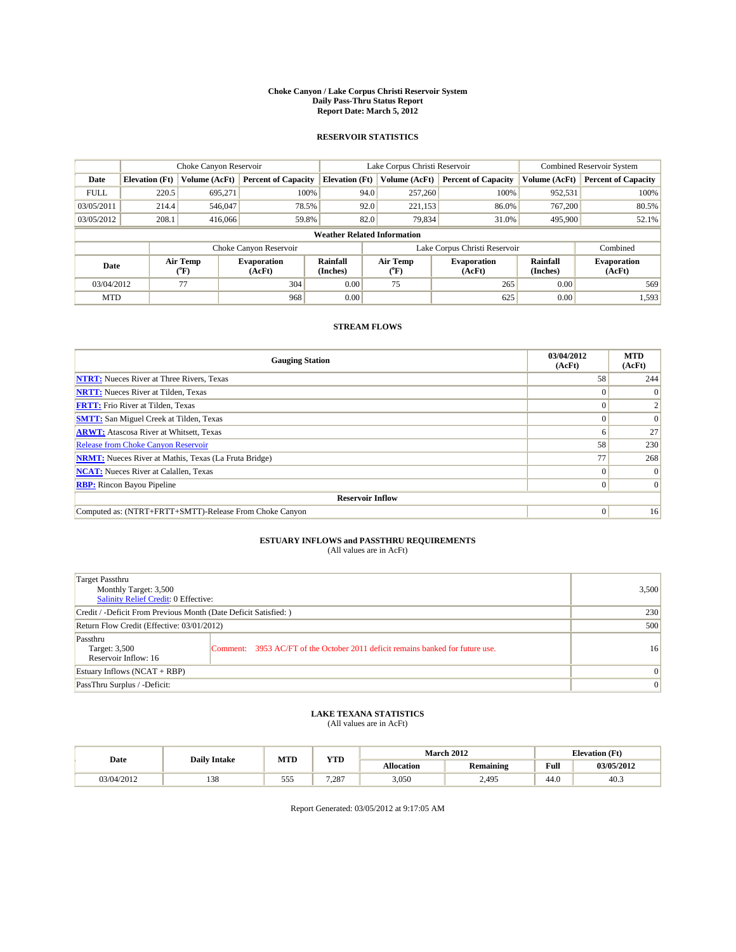#### **Choke Canyon / Lake Corpus Christi Reservoir System Daily Pass-Thru Status Report Report Date: March 5, 2012**

### **RESERVOIR STATISTICS**

|             | Choke Canyon Reservoir             |                  |                              |                             | Lake Corpus Christi Reservoir | <b>Combined Reservoir System</b> |                      |                              |  |
|-------------|------------------------------------|------------------|------------------------------|-----------------------------|-------------------------------|----------------------------------|----------------------|------------------------------|--|
| Date        | <b>Elevation</b> (Ft)              | Volume (AcFt)    | <b>Percent of Capacity</b>   | <b>Elevation</b> (Ft)       | Volume (AcFt)                 | <b>Percent of Capacity</b>       | Volume (AcFt)        | <b>Percent of Capacity</b>   |  |
| <b>FULL</b> | 220.5                              | 695,271          | 100%                         | 94.0                        | 257,260                       | 100%                             | 952,531              | 100%                         |  |
| 03/05/2011  | 214.4                              | 546,047          | 78.5%                        | 92.0                        | 221,153                       | 86.0%                            | 767,200              | 80.5%                        |  |
| 03/05/2012  | 208.1                              | 416,066          | 59.8%                        | 82.0                        | 79,834                        | 31.0%                            | 495,900              | 52.1%                        |  |
|             | <b>Weather Related Information</b> |                  |                              |                             |                               |                                  |                      |                              |  |
|             |                                    |                  | Choke Canyon Reservoir       |                             |                               | Lake Corpus Christi Reservoir    |                      | Combined                     |  |
| Date        |                                    | Air Temp<br>(°F) | <b>Evaporation</b><br>(AcFt) | <b>Rainfall</b><br>(Inches) | Air Temp<br>(°F)              | <b>Evaporation</b><br>(AcFt)     | Rainfall<br>(Inches) | <b>Evaporation</b><br>(AcFt) |  |
| 03/04/2012  |                                    | 77               | 304                          | 0.00                        | 75                            | 265                              | 0.00                 | 569                          |  |
| <b>MTD</b>  |                                    |                  | 968                          | 0.00                        |                               | 625                              | 0.00                 | 1,593                        |  |

## **STREAM FLOWS**

| <b>Gauging Station</b>                                       | 03/04/2012<br>(AcFt) | <b>MTD</b><br>(AcFt) |
|--------------------------------------------------------------|----------------------|----------------------|
| <b>NTRT:</b> Nueces River at Three Rivers, Texas             | 58                   | 244                  |
| <b>NRTT:</b> Nueces River at Tilden, Texas                   |                      |                      |
| <b>FRTT:</b> Frio River at Tilden, Texas                     |                      |                      |
| <b>SMTT:</b> San Miguel Creek at Tilden, Texas               |                      | $\Omega$             |
| <b>ARWT:</b> Atascosa River at Whitsett, Texas               | n                    | 27                   |
| Release from Choke Canyon Reservoir                          | 58                   | 230                  |
| <b>NRMT:</b> Nueces River at Mathis, Texas (La Fruta Bridge) | 77                   | 268                  |
| <b>NCAT:</b> Nueces River at Calallen, Texas                 | 0                    |                      |
| <b>RBP:</b> Rincon Bayou Pipeline                            | $\Omega$             | $\Omega$             |
| <b>Reservoir Inflow</b>                                      |                      |                      |
| Computed as: (NTRT+FRTT+SMTT)-Release From Choke Canyon      | $\Omega$             | 16                   |

# **ESTUARY INFLOWS and PASSTHRU REQUIREMENTS**<br>(All values are in AcFt)

| Target Passthru<br>Monthly Target: 3,500<br>Salinity Relief Credit: 0 Effective: |                                                                                | 3,500           |
|----------------------------------------------------------------------------------|--------------------------------------------------------------------------------|-----------------|
| Credit / -Deficit From Previous Month (Date Deficit Satisfied: )                 | 230                                                                            |                 |
| Return Flow Credit (Effective: 03/01/2012)                                       | 500                                                                            |                 |
| Passthru<br>Target: 3,500<br>Reservoir Inflow: 16                                | Comment: 3953 AC/FT of the October 2011 deficit remains banked for future use. | 16              |
| Estuary Inflows (NCAT + RBP)                                                     |                                                                                | $\vert 0 \vert$ |
| PassThru Surplus / -Deficit:                                                     | $\mathbf{0}$                                                                   |                 |

## **LAKE TEXANA STATISTICS** (All values are in AcFt)

|            | <b>Daily Intake</b> | <b>MTD</b> | <b>YTD</b>   |                   | <b>March 2012</b> |      | <b>Elevation</b> (Ft) |
|------------|---------------------|------------|--------------|-------------------|-------------------|------|-----------------------|
| Date       |                     |            |              | <b>Allocation</b> | <b>Remaining</b>  | Full | 03/05/2012            |
| 03/04/2012 | 138                 | ---<br>555 | 7.007<br>.28 | 3,050             | 2,495             | 44.0 | 40.3                  |

Report Generated: 03/05/2012 at 9:17:05 AM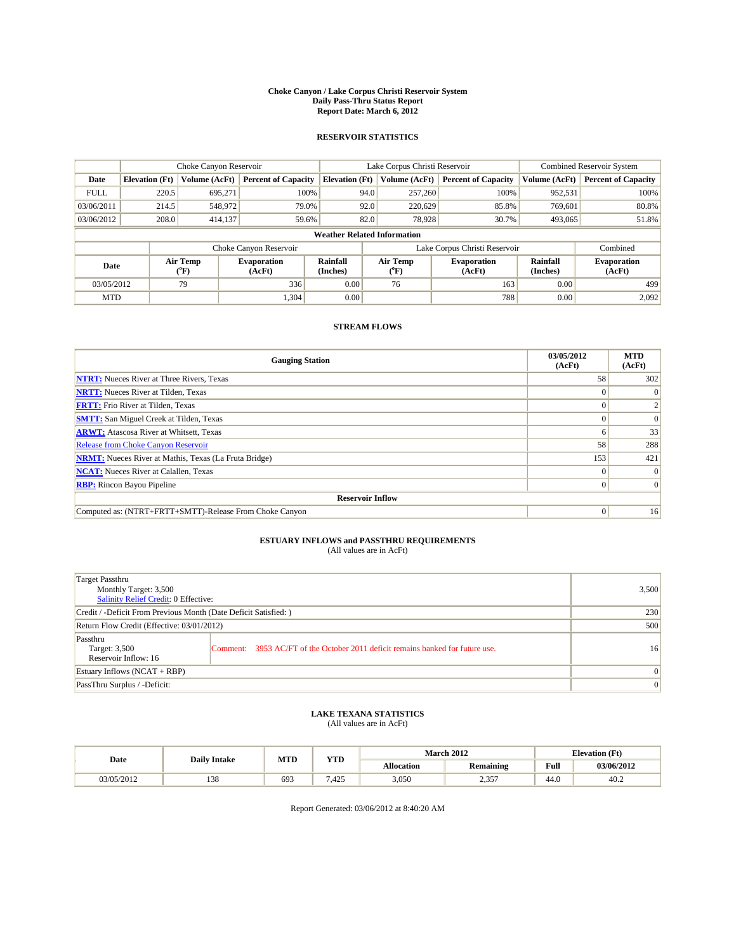#### **Choke Canyon / Lake Corpus Christi Reservoir System Daily Pass-Thru Status Report Report Date: March 6, 2012**

### **RESERVOIR STATISTICS**

|             | Choke Canyon Reservoir             |                  |                              |                             | Lake Corpus Christi Reservoir | <b>Combined Reservoir System</b> |                      |                              |  |
|-------------|------------------------------------|------------------|------------------------------|-----------------------------|-------------------------------|----------------------------------|----------------------|------------------------------|--|
| Date        | <b>Elevation</b> (Ft)              | Volume (AcFt)    | <b>Percent of Capacity</b>   | <b>Elevation</b> (Ft)       | Volume (AcFt)                 | <b>Percent of Capacity</b>       | Volume (AcFt)        | <b>Percent of Capacity</b>   |  |
| <b>FULL</b> | 220.5                              | 695,271          | 100%                         | 94.0                        | 257,260                       | 100%                             | 952,531              | 100%                         |  |
| 03/06/2011  | 214.5                              | 548,972          | 79.0%                        | 92.0                        | 220,629                       | 85.8%                            | 769,601              | 80.8%                        |  |
| 03/06/2012  | 208.0                              | 414,137          | 59.6%                        | 82.0                        | 78,928                        | 30.7%                            | 493,065              | 51.8%                        |  |
|             | <b>Weather Related Information</b> |                  |                              |                             |                               |                                  |                      |                              |  |
|             |                                    |                  | Choke Canyon Reservoir       |                             |                               | Lake Corpus Christi Reservoir    |                      | Combined                     |  |
| Date        |                                    | Air Temp<br>(°F) | <b>Evaporation</b><br>(AcFt) | <b>Rainfall</b><br>(Inches) | Air Temp<br>(°F)              | <b>Evaporation</b><br>(AcFt)     | Rainfall<br>(Inches) | <b>Evaporation</b><br>(AcFt) |  |
| 03/05/2012  |                                    | 79               | 336                          | 0.00                        | 76                            | 163                              | 0.00                 | 499                          |  |
| <b>MTD</b>  |                                    |                  | 1,304                        | 0.00                        |                               | 788                              | 0.00                 | 2.092                        |  |

## **STREAM FLOWS**

| <b>Gauging Station</b>                                       | 03/05/2012<br>(AcFt) | <b>MTD</b><br>(AcFt) |
|--------------------------------------------------------------|----------------------|----------------------|
| <b>NTRT:</b> Nueces River at Three Rivers, Texas             | 58                   | 302                  |
| <b>NRTT:</b> Nueces River at Tilden, Texas                   |                      |                      |
| <b>FRTT:</b> Frio River at Tilden, Texas                     |                      |                      |
| <b>SMTT:</b> San Miguel Creek at Tilden, Texas               |                      | $\Omega$             |
| <b>ARWT:</b> Atascosa River at Whitsett, Texas               | n                    | 33                   |
| Release from Choke Canyon Reservoir                          | 58                   | 288                  |
| <b>NRMT:</b> Nueces River at Mathis, Texas (La Fruta Bridge) | 153                  | 421                  |
| <b>NCAT:</b> Nueces River at Calallen, Texas                 | 0                    |                      |
| <b>RBP:</b> Rincon Bayou Pipeline                            | $\Omega$             | $\Omega$             |
| <b>Reservoir Inflow</b>                                      |                      |                      |
| Computed as: (NTRT+FRTT+SMTT)-Release From Choke Canyon      | $\Omega$             | 16                   |

# **ESTUARY INFLOWS and PASSTHRU REQUIREMENTS**<br>(All values are in AcFt)

| Target Passthru<br>Monthly Target: 3,500<br>Salinity Relief Credit: 0 Effective: |                                                                                | 3,500           |
|----------------------------------------------------------------------------------|--------------------------------------------------------------------------------|-----------------|
| Credit / -Deficit From Previous Month (Date Deficit Satisfied: )                 | 230                                                                            |                 |
| Return Flow Credit (Effective: 03/01/2012)                                       | 500                                                                            |                 |
| Passthru<br>Target: 3,500<br>Reservoir Inflow: 16                                | Comment: 3953 AC/FT of the October 2011 deficit remains banked for future use. | 16              |
| Estuary Inflows (NCAT + RBP)                                                     |                                                                                | $\vert 0 \vert$ |
| PassThru Surplus / -Deficit:                                                     | $\mathbf{0}$                                                                   |                 |

## **LAKE TEXANA STATISTICS** (All values are in AcFt)

|            | <b>Daily Intake</b> | MTD | <b>YTD</b>     | <b>March 2012</b><br><b>Elevation</b> (Ft) |                  |                                             |            |
|------------|---------------------|-----|----------------|--------------------------------------------|------------------|---------------------------------------------|------------|
| Date       |                     |     |                | <b>Allocation</b>                          | <b>Remaining</b> | Full<br>the contract of the contract of the | 03/06/2012 |
| 03/05/2012 | 138                 | 693 | 425<br>د 2+. ا | 3,050                                      | 2,357            | 44.0                                        | 40.2       |

Report Generated: 03/06/2012 at 8:40:20 AM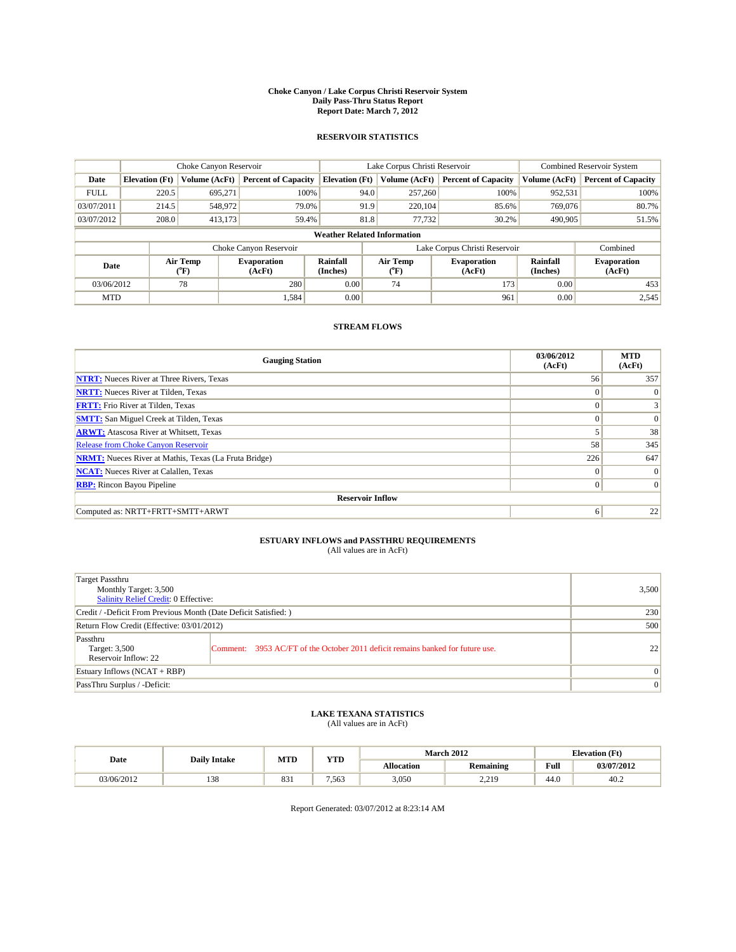#### **Choke Canyon / Lake Corpus Christi Reservoir System Daily Pass-Thru Status Report Report Date: March 7, 2012**

### **RESERVOIR STATISTICS**

|             | Choke Canyon Reservoir             |                  |                              |                             | Lake Corpus Christi Reservoir | <b>Combined Reservoir System</b> |                      |                              |  |  |
|-------------|------------------------------------|------------------|------------------------------|-----------------------------|-------------------------------|----------------------------------|----------------------|------------------------------|--|--|
| Date        | <b>Elevation</b> (Ft)              | Volume (AcFt)    | <b>Percent of Capacity</b>   | <b>Elevation</b> (Ft)       | Volume (AcFt)                 | <b>Percent of Capacity</b>       | Volume (AcFt)        | <b>Percent of Capacity</b>   |  |  |
| <b>FULL</b> | 220.5                              | 695,271          | 100%                         | 94.0                        | 257,260                       | 100%                             | 952,531              | 100%                         |  |  |
| 03/07/2011  | 214.5                              | 548,972          | 79.0%                        | 91.9                        | 220.104                       | 85.6%                            | 769,076              | 80.7%                        |  |  |
| 03/07/2012  | 208.0                              | 413,173          | 59.4%                        | 81.8                        | 77,732                        | 30.2%                            | 490,905              | 51.5%                        |  |  |
|             | <b>Weather Related Information</b> |                  |                              |                             |                               |                                  |                      |                              |  |  |
|             |                                    |                  | Choke Canyon Reservoir       |                             | Lake Corpus Christi Reservoir |                                  |                      | Combined                     |  |  |
| Date        |                                    | Air Temp<br>(°F) | <b>Evaporation</b><br>(AcFt) | <b>Rainfall</b><br>(Inches) | Air Temp<br>(°F)              | <b>Evaporation</b><br>(AcFt)     | Rainfall<br>(Inches) | <b>Evaporation</b><br>(AcFt) |  |  |
| 03/06/2012  |                                    | 78               | 280                          | 0.00                        | 74                            | 173                              | 0.00                 | 453                          |  |  |
| <b>MTD</b>  |                                    |                  | 1,584                        | 0.00                        |                               | 961                              | 0.00                 | 2,545                        |  |  |

## **STREAM FLOWS**

| <b>Gauging Station</b>                                       | 03/06/2012<br>(AcFt) | <b>MTD</b><br>(AcFt) |
|--------------------------------------------------------------|----------------------|----------------------|
| <b>NTRT:</b> Nueces River at Three Rivers, Texas             | 56                   | 357                  |
| <b>NRTT:</b> Nueces River at Tilden, Texas                   | $\Omega$             | $\theta$             |
| <b>FRTT:</b> Frio River at Tilden, Texas                     | $\Omega$             |                      |
| <b>SMTT:</b> San Miguel Creek at Tilden, Texas               | $\Omega$             | $\Omega$             |
| <b>ARWT:</b> Atascosa River at Whitsett, Texas               |                      | 38                   |
| Release from Choke Canyon Reservoir                          | 58                   | 345                  |
| <b>NRMT:</b> Nueces River at Mathis, Texas (La Fruta Bridge) | 226                  | 647                  |
| <b>NCAT:</b> Nueces River at Calallen, Texas                 | $\Omega$             | $\Omega$             |
| <b>RBP:</b> Rincon Bayou Pipeline                            | $\overline{0}$       | $\Omega$             |
| <b>Reservoir Inflow</b>                                      |                      |                      |
| Computed as: NRTT+FRTT+SMTT+ARWT                             | 6                    | 22                   |

# **ESTUARY INFLOWS and PASSTHRU REQUIREMENTS**<br>(All values are in AcFt)

| Target Passthru<br>Monthly Target: 3,500<br>Salinity Relief Credit: 0 Effective: |                                                                                | 3,500           |
|----------------------------------------------------------------------------------|--------------------------------------------------------------------------------|-----------------|
| Credit / -Deficit From Previous Month (Date Deficit Satisfied: )                 |                                                                                | 230             |
| Return Flow Credit (Effective: 03/01/2012)                                       | 500                                                                            |                 |
| Passthru<br>Target: 3,500<br>Reservoir Inflow: 22                                | Comment: 3953 AC/FT of the October 2011 deficit remains banked for future use. | 22              |
| Estuary Inflows $(NCAT + RBP)$                                                   |                                                                                | $\Omega$        |
| PassThru Surplus / -Deficit:                                                     |                                                                                | $\vert 0 \vert$ |

## **LAKE TEXANA STATISTICS** (All values are in AcFt)

|            | <b>Daily Intake</b> | <b>MTD</b>      | <b>YTD</b> |                   | <b>March 2012</b>   |      | <b>Elevation</b> (Ft) |
|------------|---------------------|-----------------|------------|-------------------|---------------------|------|-----------------------|
| Date       |                     |                 |            | <b>Allocation</b> | <b>Remaining</b>    | Full | 03/07/2012            |
| 03/06/2012 | 138                 | $\Omega$<br>891 | 7.563      | 3,050             | 2.210<br><u>.</u> . | 44.0 | 40.2                  |

Report Generated: 03/07/2012 at 8:23:14 AM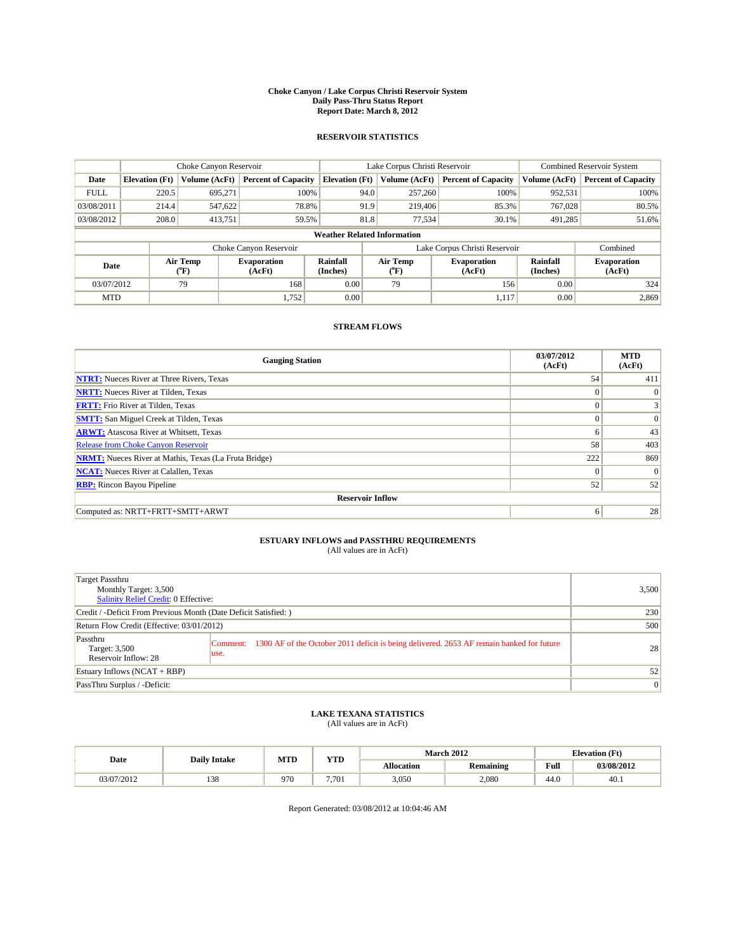#### **Choke Canyon / Lake Corpus Christi Reservoir System Daily Pass-Thru Status Report Report Date: March 8, 2012**

### **RESERVOIR STATISTICS**

|             | Choke Canyon Reservoir             |                  |                              |                             | Lake Corpus Christi Reservoir | <b>Combined Reservoir System</b> |                      |                              |  |  |
|-------------|------------------------------------|------------------|------------------------------|-----------------------------|-------------------------------|----------------------------------|----------------------|------------------------------|--|--|
| Date        | <b>Elevation</b> (Ft)              | Volume (AcFt)    | <b>Percent of Capacity</b>   | <b>Elevation</b> (Ft)       | Volume (AcFt)                 | <b>Percent of Capacity</b>       | Volume (AcFt)        | <b>Percent of Capacity</b>   |  |  |
| <b>FULL</b> | 220.5                              | 695,271          | 100%                         | 94.0                        | 257,260                       | 100%                             | 952,531              | 100%                         |  |  |
| 03/08/2011  | 214.4                              | 547,622          | 78.8%                        | 91.9                        | 219,406                       | 85.3%                            | 767,028              | 80.5%                        |  |  |
| 03/08/2012  | 208.0                              | 413,751          | 59.5%                        | 81.8                        | 77,534                        | 30.1%                            | 491,285              | 51.6%                        |  |  |
|             | <b>Weather Related Information</b> |                  |                              |                             |                               |                                  |                      |                              |  |  |
|             |                                    |                  | Choke Canyon Reservoir       |                             | Lake Corpus Christi Reservoir |                                  |                      | Combined                     |  |  |
| Date        |                                    | Air Temp<br>(°F) | <b>Evaporation</b><br>(AcFt) | <b>Rainfall</b><br>(Inches) | Air Temp<br>(°F)              | <b>Evaporation</b><br>(AcFt)     | Rainfall<br>(Inches) | <b>Evaporation</b><br>(AcFt) |  |  |
| 03/07/2012  |                                    | 79               | 168                          | 0.00                        | 79                            | 156                              | 0.00                 | 324                          |  |  |
| <b>MTD</b>  |                                    |                  | 1,752                        | 0.00                        |                               | 1,117                            | 0.00                 | 2,869                        |  |  |

## **STREAM FLOWS**

| <b>Gauging Station</b>                                       | 03/07/2012<br>(AcFt) | <b>MTD</b><br>(AcFt) |
|--------------------------------------------------------------|----------------------|----------------------|
| <b>NTRT:</b> Nueces River at Three Rivers, Texas             | 54                   | 411                  |
| <b>NRTT:</b> Nueces River at Tilden, Texas                   | $\Omega$             | $\Omega$             |
| <b>FRTT:</b> Frio River at Tilden, Texas                     | $\Omega$             |                      |
| <b>SMTT:</b> San Miguel Creek at Tilden, Texas               | $\Omega$             | $\Omega$             |
| <b>ARWT:</b> Atascosa River at Whitsett, Texas               | 6                    | 43                   |
| <b>Release from Choke Canyon Reservoir</b>                   | 58                   | 403                  |
| <b>NRMT:</b> Nueces River at Mathis, Texas (La Fruta Bridge) | 222                  | 869                  |
| <b>NCAT:</b> Nueces River at Calallen, Texas                 | $\Omega$             | $\Omega$             |
| <b>RBP:</b> Rincon Bayou Pipeline                            | 52                   | 52                   |
| <b>Reservoir Inflow</b>                                      |                      |                      |
| Computed as: NRTT+FRTT+SMTT+ARWT                             | 6                    | 28                   |

# **ESTUARY INFLOWS and PASSTHRU REQUIREMENTS**<br>(All values are in AcFt)

| <b>Target Passthru</b><br>Monthly Target: 3,500<br>Salinity Relief Credit: 0 Effective: |                                                                                                            | 3,500           |
|-----------------------------------------------------------------------------------------|------------------------------------------------------------------------------------------------------------|-----------------|
| Credit / -Deficit From Previous Month (Date Deficit Satisfied: )                        |                                                                                                            | 230             |
| Return Flow Credit (Effective: 03/01/2012)                                              |                                                                                                            | 500             |
| Passthru<br>Target: 3,500<br>Reservoir Inflow: 28                                       | Comment: 1300 AF of the October 2011 deficit is being delivered. 2653 AF remain banked for future<br>luse. | 28 <sup>1</sup> |
| Estuary Inflows $(NCAT + RBP)$                                                          |                                                                                                            | 52              |
| PassThru Surplus / -Deficit:                                                            |                                                                                                            | 0               |

## **LAKE TEXANA STATISTICS** (All values are in AcFt)

|            | <b>Daily Intake</b> | MTD | VTD<br>1 I.D      |                   | <b>March 2012</b> | <b>Elevation</b> (Ft)                   |            |
|------------|---------------------|-----|-------------------|-------------------|-------------------|-----------------------------------------|------------|
| Date       |                     |     |                   | <b>Allocation</b> | <b>Remaining</b>  | Full<br>the contract of the contract of | 03/08/2012 |
| 03/07/2012 | 138                 | 970 | 7.70 <sub>1</sub> | 3,050             | 2,080             | $\sim$<br>44.U                          | 40.1       |

Report Generated: 03/08/2012 at 10:04:46 AM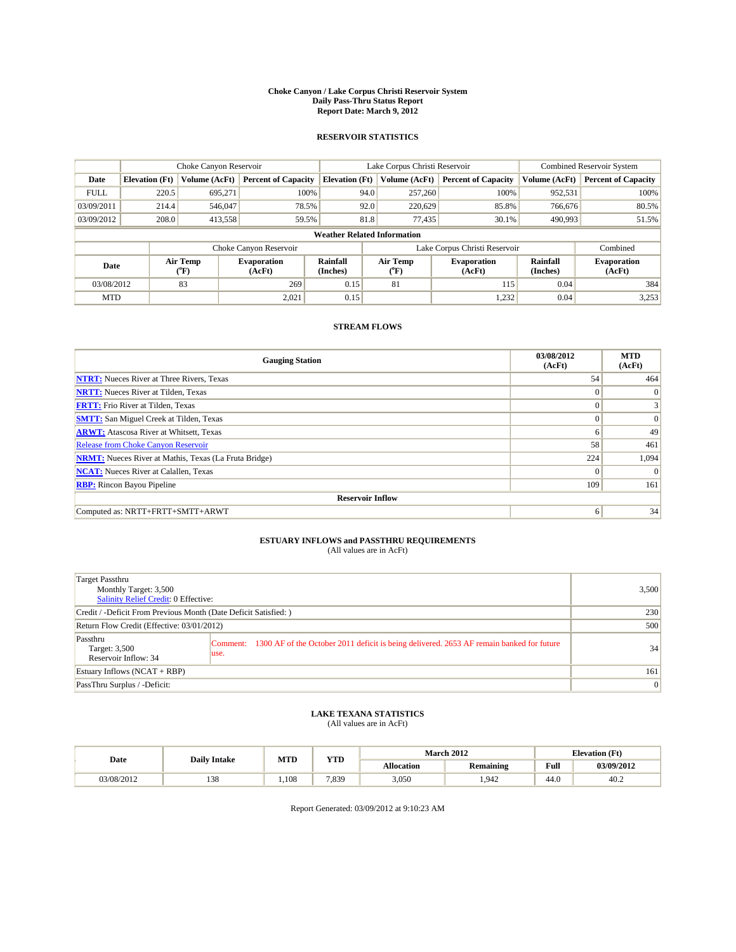#### **Choke Canyon / Lake Corpus Christi Reservoir System Daily Pass-Thru Status Report Report Date: March 9, 2012**

### **RESERVOIR STATISTICS**

|             | Choke Canyon Reservoir             |                  |                              |                             | Lake Corpus Christi Reservoir | <b>Combined Reservoir System</b> |                      |                              |  |  |
|-------------|------------------------------------|------------------|------------------------------|-----------------------------|-------------------------------|----------------------------------|----------------------|------------------------------|--|--|
| Date        | <b>Elevation</b> (Ft)              | Volume (AcFt)    | <b>Percent of Capacity</b>   | <b>Elevation</b> (Ft)       | Volume (AcFt)                 | <b>Percent of Capacity</b>       | Volume (AcFt)        | <b>Percent of Capacity</b>   |  |  |
| <b>FULL</b> | 220.5                              | 695,271          | 100%                         | 94.0                        | 257,260                       | 100%                             | 952,531              | 100%                         |  |  |
| 03/09/2011  | 214.4                              | 546,047          | 78.5%                        | 92.0                        | 220,629                       | 85.8%                            | 766,676              | 80.5%                        |  |  |
| 03/09/2012  | 208.0                              | 413,558          | 59.5%                        | 81.8                        | 77.435                        | 30.1%                            | 490,993              | 51.5%                        |  |  |
|             | <b>Weather Related Information</b> |                  |                              |                             |                               |                                  |                      |                              |  |  |
|             |                                    |                  | Choke Canyon Reservoir       |                             | Lake Corpus Christi Reservoir |                                  |                      | Combined                     |  |  |
| Date        |                                    | Air Temp<br>(°F) | <b>Evaporation</b><br>(AcFt) | <b>Rainfall</b><br>(Inches) | Air Temp<br>(°F)              | <b>Evaporation</b><br>(AcFt)     | Rainfall<br>(Inches) | <b>Evaporation</b><br>(AcFt) |  |  |
| 03/08/2012  |                                    | 83               | 269                          | 0.15                        | 81                            | 115                              | 0.04                 | 384                          |  |  |
| <b>MTD</b>  |                                    |                  | 2,021                        | 0.15                        |                               | 1,232                            | 0.04                 | 3,253                        |  |  |

## **STREAM FLOWS**

| <b>Gauging Station</b>                                       | 03/08/2012<br>(AcFt) | <b>MTD</b><br>(AcFt) |
|--------------------------------------------------------------|----------------------|----------------------|
| <b>NTRT:</b> Nueces River at Three Rivers, Texas             | 54                   | 464                  |
| <b>NRTT:</b> Nueces River at Tilden, Texas                   | $\Omega$             | $\Omega$             |
| <b>FRTT:</b> Frio River at Tilden, Texas                     | $\Omega$             | $\overline{3}$       |
| <b>SMTT:</b> San Miguel Creek at Tilden, Texas               | $\theta$             | $\vert 0 \vert$      |
| <b>ARWT:</b> Atascosa River at Whitsett, Texas               | 6                    | 49                   |
| <b>Release from Choke Canyon Reservoir</b>                   | 58                   | 461                  |
| <b>NRMT:</b> Nueces River at Mathis, Texas (La Fruta Bridge) | 224                  | 1,094                |
| <b>NCAT:</b> Nueces River at Calallen, Texas                 | $\Omega$             | $\Omega$             |
| <b>RBP:</b> Rincon Bayou Pipeline                            | 109                  | 161                  |
| <b>Reservoir Inflow</b>                                      |                      |                      |
| Computed as: NRTT+FRTT+SMTT+ARWT                             | 6                    | 34                   |

# **ESTUARY INFLOWS and PASSTHRU REQUIREMENTS**<br>(All values are in AcFt)

| <b>Target Passthru</b><br>Monthly Target: 3,500<br>Salinity Relief Credit: 0 Effective: |                                                                                                           | 3,500 |
|-----------------------------------------------------------------------------------------|-----------------------------------------------------------------------------------------------------------|-------|
| Credit / -Deficit From Previous Month (Date Deficit Satisfied: )                        | 230                                                                                                       |       |
| Return Flow Credit (Effective: 03/01/2012)                                              | 500                                                                                                       |       |
| Passthru<br>Target: 3,500<br>Reservoir Inflow: 34                                       | Comment: 1300 AF of the October 2011 deficit is being delivered. 2653 AF remain banked for future<br>use. | 34    |
| Estuary Inflows (NCAT + RBP)                                                            | 161                                                                                                       |       |
| PassThru Surplus / -Deficit:                                                            |                                                                                                           | 0     |

## **LAKE TEXANA STATISTICS** (All values are in AcFt)

|            | <b>Daily Intake</b> | <b>MTD</b> | <b>XZOD</b><br>. |                   | <b>March 2012</b> |      | <b>Elevation</b> (Ft) |
|------------|---------------------|------------|------------------|-------------------|-------------------|------|-----------------------|
| Date       |                     |            |                  | <b>Allocation</b> | <b>Remaining</b>  | Full | 03/09/2012            |
| 03/08/2012 | 120                 | .108       | 7.839            | 3.050             | 1.942             | 44.0 | 40.2                  |

Report Generated: 03/09/2012 at 9:10:23 AM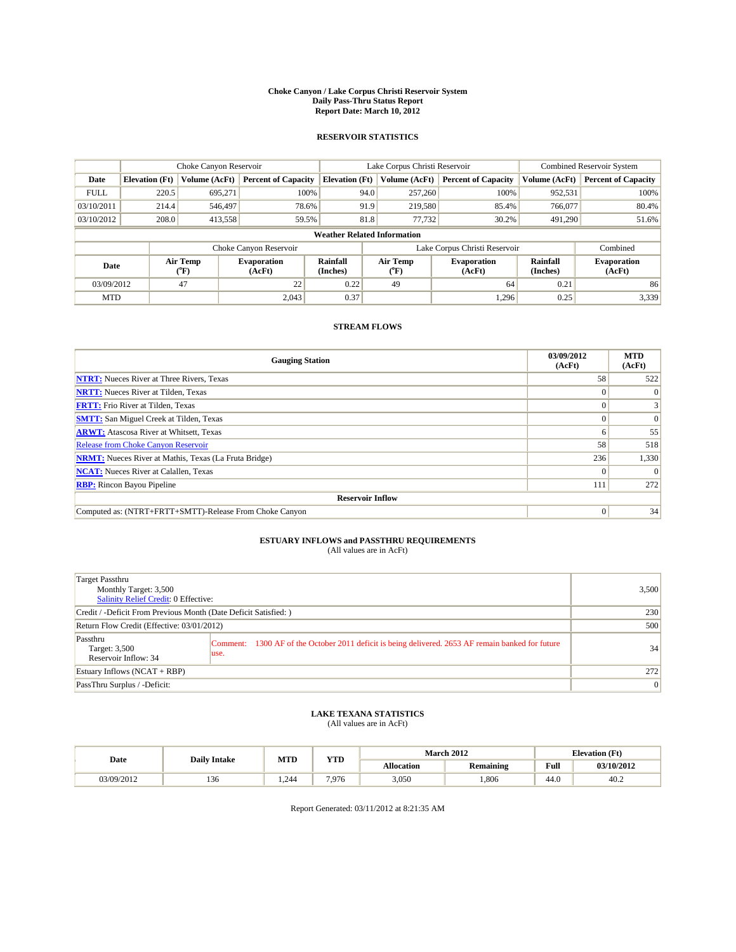#### **Choke Canyon / Lake Corpus Christi Reservoir System Daily Pass-Thru Status Report Report Date: March 10, 2012**

### **RESERVOIR STATISTICS**

|                                                          | Choke Canyon Reservoir |               |                            |                                    | Lake Corpus Christi Reservoir | <b>Combined Reservoir System</b> |                              |                            |
|----------------------------------------------------------|------------------------|---------------|----------------------------|------------------------------------|-------------------------------|----------------------------------|------------------------------|----------------------------|
| Date                                                     | <b>Elevation</b> (Ft)  | Volume (AcFt) | <b>Percent of Capacity</b> | <b>Elevation</b> (Ft)              | Volume (AcFt)                 | <b>Percent of Capacity</b>       | Volume (AcFt)                | <b>Percent of Capacity</b> |
| <b>FULL</b>                                              | 220.5                  | 695.271       | 100%                       | 94.0                               | 257,260                       | 100%                             | 952,531                      | 100%                       |
| 03/10/2011                                               | 214.4                  | 546,497       | 78.6%                      | 91.9                               | 219,580                       | 85.4%                            | 766,077                      | 80.4%                      |
| 03/10/2012                                               | 208.0                  | 413,558       | 59.5%                      | 81.8                               | 77,732                        | 30.2%                            | 491,290                      | 51.6%                      |
|                                                          |                        |               |                            | <b>Weather Related Information</b> |                               |                                  |                              |                            |
|                                                          |                        |               | Choke Canyon Reservoir     |                                    |                               | Lake Corpus Christi Reservoir    |                              | Combined                   |
| Air Temp<br><b>Evaporation</b><br>Date<br>(AcFt)<br>(°F) |                        |               | Rainfall<br>(Inches)       | Air Temp<br>("F)                   | <b>Evaporation</b><br>(AcFt)  | Rainfall<br>(Inches)             | <b>Evaporation</b><br>(AcFt) |                            |
| 03/09/2012                                               |                        | 47            | 22                         | 0.22                               | 49                            | 64                               | 0.21                         | 86                         |
| <b>MTD</b>                                               |                        |               | 2.043                      | 0.37                               |                               | 1,296                            | 0.25                         | 3,339                      |

## **STREAM FLOWS**

| <b>Gauging Station</b>                                       | 03/09/2012<br>(AcFt) | <b>MTD</b><br>(AcFt) |  |  |  |  |  |
|--------------------------------------------------------------|----------------------|----------------------|--|--|--|--|--|
| <b>NTRT:</b> Nueces River at Three Rivers, Texas             | 58                   | 522                  |  |  |  |  |  |
| <b>NRTT:</b> Nueces River at Tilden, Texas                   |                      | $\Omega$             |  |  |  |  |  |
| <b>FRTT:</b> Frio River at Tilden, Texas                     |                      |                      |  |  |  |  |  |
| <b>SMTT:</b> San Miguel Creek at Tilden, Texas               |                      | $\Omega$             |  |  |  |  |  |
| <b>ARWT:</b> Atascosa River at Whitsett, Texas               | o                    | 55                   |  |  |  |  |  |
| <b>Release from Choke Canyon Reservoir</b>                   | 58                   | 518                  |  |  |  |  |  |
| <b>NRMT:</b> Nueces River at Mathis, Texas (La Fruta Bridge) | 236                  | 1,330                |  |  |  |  |  |
| <b>NCAT:</b> Nueces River at Calallen, Texas                 | $^{\circ}$           |                      |  |  |  |  |  |
| <b>RBP:</b> Rincon Bayou Pipeline                            | 111                  | 272                  |  |  |  |  |  |
| <b>Reservoir Inflow</b>                                      |                      |                      |  |  |  |  |  |
| Computed as: (NTRT+FRTT+SMTT)-Release From Choke Canyon      | $\Omega$             | 34                   |  |  |  |  |  |

## **ESTUARY INFLOWS and PASSTHRU REQUIREMENTS**

| (All values are in AcFt) |  |
|--------------------------|--|
|--------------------------|--|

| Target Passthru<br>Monthly Target: 3,500<br>Salinity Relief Credit: 0 Effective: |                                                                                                           | 3,500 |
|----------------------------------------------------------------------------------|-----------------------------------------------------------------------------------------------------------|-------|
| Credit / -Deficit From Previous Month (Date Deficit Satisfied: )                 |                                                                                                           | 230   |
| Return Flow Credit (Effective: 03/01/2012)                                       |                                                                                                           | 500   |
| Passthru<br>Target: 3,500<br>Reservoir Inflow: 34                                | Comment: 1300 AF of the October 2011 deficit is being delivered. 2653 AF remain banked for future<br>use. | 34    |
| Estuary Inflows (NCAT + RBP)                                                     |                                                                                                           | 272   |
| PassThru Surplus / -Deficit:                                                     |                                                                                                           | 0     |

## **LAKE TEXANA STATISTICS** (All values are in AcFt)

|            | <b>Daily Intake</b> | MTD  | VTD<br>1 I.D |                   | <b>March 2012</b> | <b>Elevation</b> (Ft)                   |            |
|------------|---------------------|------|--------------|-------------------|-------------------|-----------------------------------------|------------|
| Date       |                     |      |              | <b>Allocation</b> | <b>Remaining</b>  | Full<br>the contract of the contract of | 03/10/2012 |
| 03/09/2012 | $\sim$<br>136       | .244 | 7.976        | 3,050             | .806              | 44.0                                    | 40.2       |

Report Generated: 03/11/2012 at 8:21:35 AM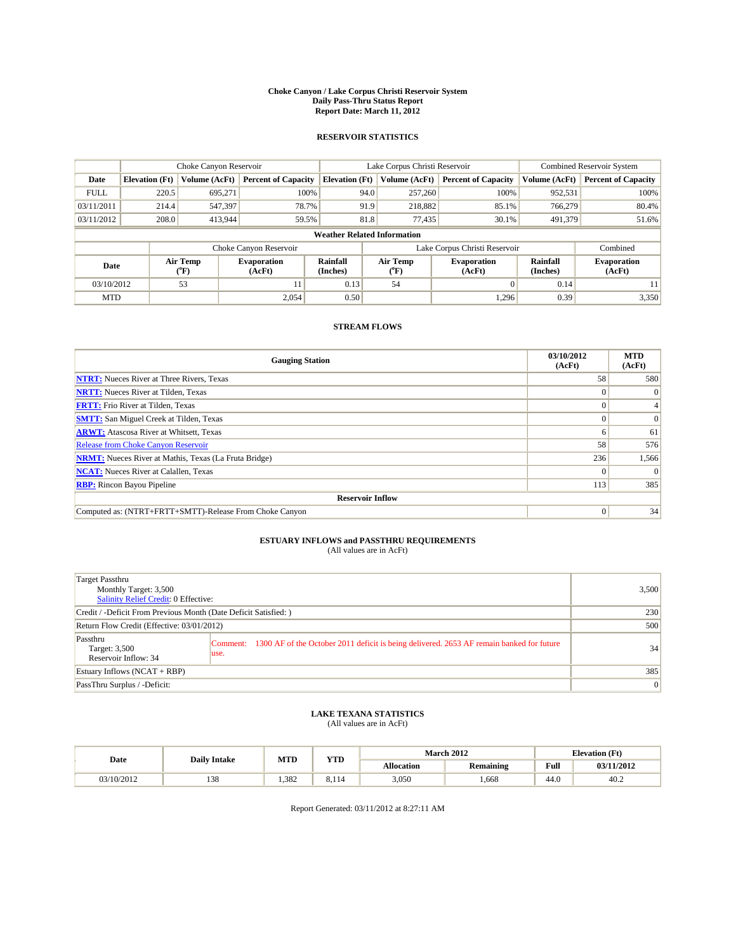#### **Choke Canyon / Lake Corpus Christi Reservoir System Daily Pass-Thru Status Report Report Date: March 11, 2012**

### **RESERVOIR STATISTICS**

|             | Choke Canyon Reservoir                                                                                                                                                      |               |                            |                                    | Lake Corpus Christi Reservoir | <b>Combined Reservoir System</b> |               |                            |
|-------------|-----------------------------------------------------------------------------------------------------------------------------------------------------------------------------|---------------|----------------------------|------------------------------------|-------------------------------|----------------------------------|---------------|----------------------------|
| Date        | <b>Elevation</b> (Ft)                                                                                                                                                       | Volume (AcFt) | <b>Percent of Capacity</b> | <b>Elevation</b> (Ft)              | Volume (AcFt)                 | <b>Percent of Capacity</b>       | Volume (AcFt) | <b>Percent of Capacity</b> |
| <b>FULL</b> | 220.5                                                                                                                                                                       | 695,271       | 100%                       | 94.0                               | 257,260                       | 100%                             | 952,531       | 100%                       |
| 03/11/2011  | 214.4                                                                                                                                                                       | 547,397       | 78.7%                      | 91.9                               | 218,882                       | 85.1%                            | 766,279       | 80.4%                      |
| 03/11/2012  | 208.0                                                                                                                                                                       | 413,944       | 59.5%                      | 81.8                               | 77,435                        | 30.1%                            | 491,379       | 51.6%                      |
|             |                                                                                                                                                                             |               |                            | <b>Weather Related Information</b> |                               |                                  |               |                            |
|             |                                                                                                                                                                             |               | Choke Canyon Reservoir     |                                    |                               | Lake Corpus Christi Reservoir    |               | Combined                   |
|             | Air Temp<br>Rainfall<br>Air Temp<br><b>Evaporation</b><br><b>Evaporation</b><br>Date<br>(Inches)<br>(AcFt)<br>$({}^{\mathrm{o}}\mathrm{F})$<br>(AcFt)<br>$({}^o\mathrm{F})$ |               | Rainfall<br>(Inches)       | <b>Evaporation</b><br>(AcFt)       |                               |                                  |               |                            |
| 03/10/2012  |                                                                                                                                                                             | 53            | 11                         | 0.13                               | 54                            | $\Omega$                         | 0.14          | 11                         |
| <b>MTD</b>  |                                                                                                                                                                             |               | 2.054                      | 0.50                               |                               | 1.296                            | 0.39          | 3,350                      |

## **STREAM FLOWS**

| <b>Gauging Station</b>                                       | 03/10/2012<br>(AcFt) | <b>MTD</b><br>(AcFt) |  |  |  |  |
|--------------------------------------------------------------|----------------------|----------------------|--|--|--|--|
| <b>NTRT:</b> Nueces River at Three Rivers, Texas             | 58                   | 580                  |  |  |  |  |
| <b>NRTT:</b> Nueces River at Tilden, Texas                   |                      | $\Omega$             |  |  |  |  |
| <b>FRTT:</b> Frio River at Tilden, Texas                     |                      |                      |  |  |  |  |
| <b>SMTT:</b> San Miguel Creek at Tilden, Texas               |                      | $\Omega$             |  |  |  |  |
| <b>ARWT:</b> Atascosa River at Whitsett, Texas               | <sub>0</sub>         | 61                   |  |  |  |  |
| <b>Release from Choke Canyon Reservoir</b>                   | 58                   | 576                  |  |  |  |  |
| <b>NRMT:</b> Nueces River at Mathis, Texas (La Fruta Bridge) | 236                  | 1,566                |  |  |  |  |
| <b>NCAT:</b> Nueces River at Calallen, Texas                 | $\Omega$             | $\Omega$             |  |  |  |  |
| <b>RBP:</b> Rincon Bayou Pipeline                            | 113                  | 385                  |  |  |  |  |
| <b>Reservoir Inflow</b>                                      |                      |                      |  |  |  |  |
| Computed as: (NTRT+FRTT+SMTT)-Release From Choke Canyon      | $\Omega$             | 34                   |  |  |  |  |

# **ESTUARY INFLOWS and PASSTHRU REQUIREMENTS**<br>(All values are in AcFt)

| Target Passthru<br>Monthly Target: 3,500<br>Salinity Relief Credit: 0 Effective: |                                                                                                           | 3,500          |
|----------------------------------------------------------------------------------|-----------------------------------------------------------------------------------------------------------|----------------|
| Credit / -Deficit From Previous Month (Date Deficit Satisfied: )                 |                                                                                                           | 230            |
| Return Flow Credit (Effective: 03/01/2012)                                       |                                                                                                           | 500            |
| Passthru<br>Target: 3,500<br>Reservoir Inflow: 34                                | Comment: 1300 AF of the October 2011 deficit is being delivered. 2653 AF remain banked for future<br>use. | 34             |
| Estuary Inflows (NCAT + RBP)                                                     |                                                                                                           | 385            |
| PassThru Surplus / -Deficit:                                                     |                                                                                                           | $\overline{0}$ |

## **LAKE TEXANA STATISTICS** (All values are in AcFt)

|            | <b>Daily Intake</b> | <b>MTD</b> | <b>YTD</b>  | <b>March 2012</b> |                  | <b>Elevation</b> (Ft) |            |
|------------|---------------------|------------|-------------|-------------------|------------------|-----------------------|------------|
| Date       |                     |            |             | <b>Allocation</b> | <b>Remaining</b> | Full                  | 03/11/2012 |
| 03/10/2012 | 138                 | 1.382      | o.<br>3.114 | 3,050             | . 668            | 44.U                  | 40.2       |

Report Generated: 03/11/2012 at 8:27:11 AM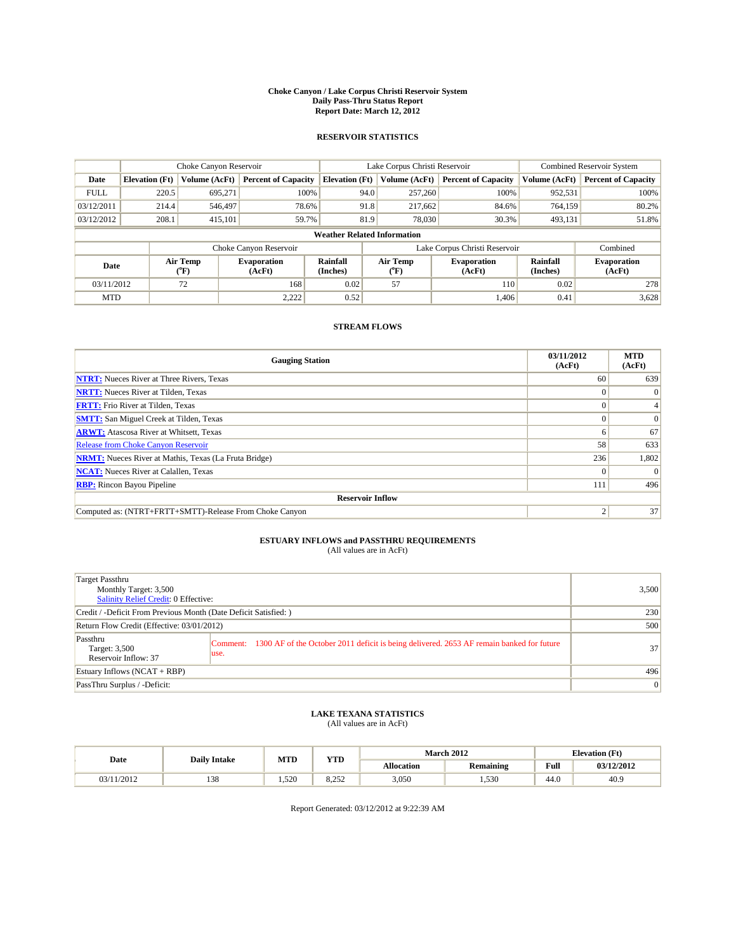#### **Choke Canyon / Lake Corpus Christi Reservoir System Daily Pass-Thru Status Report Report Date: March 12, 2012**

### **RESERVOIR STATISTICS**

|             |                                                                                                                                             | Choke Canyon Reservoir |                            |                                    | Lake Corpus Christi Reservoir | <b>Combined Reservoir System</b> |               |                            |
|-------------|---------------------------------------------------------------------------------------------------------------------------------------------|------------------------|----------------------------|------------------------------------|-------------------------------|----------------------------------|---------------|----------------------------|
| Date        | <b>Elevation</b> (Ft)                                                                                                                       | Volume (AcFt)          | <b>Percent of Capacity</b> | <b>Elevation</b> (Ft)              | Volume (AcFt)                 | <b>Percent of Capacity</b>       | Volume (AcFt) | <b>Percent of Capacity</b> |
| <b>FULL</b> | 220.5                                                                                                                                       | 695,271                | 100%                       | 94.0                               | 257,260                       | 100%                             | 952,531       | 100%                       |
| 03/12/2011  | 214.4                                                                                                                                       | 546,497                | 78.6%                      | 91.8                               | 217,662                       | 84.6%                            | 764,159       | 80.2%                      |
| 03/12/2012  | 208.1                                                                                                                                       | 415,101                | 59.7%                      | 81.9                               | 78,030                        | 30.3%                            | 493,131       | 51.8%                      |
|             |                                                                                                                                             |                        |                            | <b>Weather Related Information</b> |                               |                                  |               |                            |
|             |                                                                                                                                             |                        | Choke Canyon Reservoir     |                                    |                               | Lake Corpus Christi Reservoir    |               | Combined                   |
|             | Air Temp<br>Air Temp<br><b>Rainfall</b><br><b>Evaporation</b><br><b>Evaporation</b><br>Date<br>(Inches)<br>(AcFt)<br>(°F)<br>(AcFt)<br>(°F) |                        |                            | <b>Rainfall</b><br>(Inches)        | <b>Evaporation</b><br>(AcFt)  |                                  |               |                            |
| 03/11/2012  |                                                                                                                                             | 72                     | 168                        | 0.02                               | 57                            | <b>110</b>                       | 0.02          | 278                        |
| <b>MTD</b>  |                                                                                                                                             |                        | 2,222                      | 0.52                               |                               | 1.406                            | 0.41          | 3,628                      |

## **STREAM FLOWS**

| <b>Gauging Station</b>                                       | 03/11/2012<br>(AcFt) | <b>MTD</b><br>(AcFt) |  |  |  |  |
|--------------------------------------------------------------|----------------------|----------------------|--|--|--|--|
| <b>NTRT:</b> Nueces River at Three Rivers, Texas             | 60                   | 639                  |  |  |  |  |
| <b>NRTT:</b> Nueces River at Tilden, Texas                   |                      | $\Omega$             |  |  |  |  |
| <b>FRTT:</b> Frio River at Tilden, Texas                     |                      |                      |  |  |  |  |
| <b>SMTT:</b> San Miguel Creek at Tilden, Texas               |                      | $\Omega$             |  |  |  |  |
| <b>ARWT:</b> Atascosa River at Whitsett, Texas               | n                    | 67                   |  |  |  |  |
| Release from Choke Canyon Reservoir                          | 58                   | 633                  |  |  |  |  |
| <b>NRMT:</b> Nueces River at Mathis, Texas (La Fruta Bridge) | 236                  | 1,802                |  |  |  |  |
| <b>NCAT:</b> Nueces River at Calallen, Texas                 | $\Omega$             |                      |  |  |  |  |
| <b>RBP:</b> Rincon Bayou Pipeline                            | 111                  | 496                  |  |  |  |  |
| <b>Reservoir Inflow</b>                                      |                      |                      |  |  |  |  |
| Computed as: (NTRT+FRTT+SMTT)-Release From Choke Canyon      |                      | 37                   |  |  |  |  |

# **ESTUARY INFLOWS and PASSTHRU REQUIREMENTS**<br>(All values are in AcFt)

| Target Passthru<br>Monthly Target: 3,500<br>Salinity Relief Credit: 0 Effective: |                                                                                                            | 3,500           |
|----------------------------------------------------------------------------------|------------------------------------------------------------------------------------------------------------|-----------------|
| Credit / -Deficit From Previous Month (Date Deficit Satisfied: )                 |                                                                                                            | 230             |
| Return Flow Credit (Effective: 03/01/2012)                                       |                                                                                                            | 500             |
| Passthru<br>Target: 3,500<br>Reservoir Inflow: 37                                | Comment: 1300 AF of the October 2011 deficit is being delivered. 2653 AF remain banked for future<br>luse. | 37              |
| Estuary Inflows $(NCAT + RBP)$                                                   |                                                                                                            | 496             |
| PassThru Surplus / -Deficit:                                                     |                                                                                                            | $\vert 0 \vert$ |

## **LAKE TEXANA STATISTICS** (All values are in AcFt)

| Date       | <b>Daily Intake</b> | <b>MTD</b> |                     |                   | <b>March 2012</b> | <b>Elevation</b> (Ft) |            |  |
|------------|---------------------|------------|---------------------|-------------------|-------------------|-----------------------|------------|--|
|            |                     |            | <b>YTD</b>          | <b>Allocation</b> | <b>Remaining</b>  | Full                  | 03/12/2012 |  |
| 03/11/2012 | 138                 | 1.520      | $\Omega$<br><u></u> | 3,050             | 1,530             | 44.0                  | 40.9       |  |

Report Generated: 03/12/2012 at 9:22:39 AM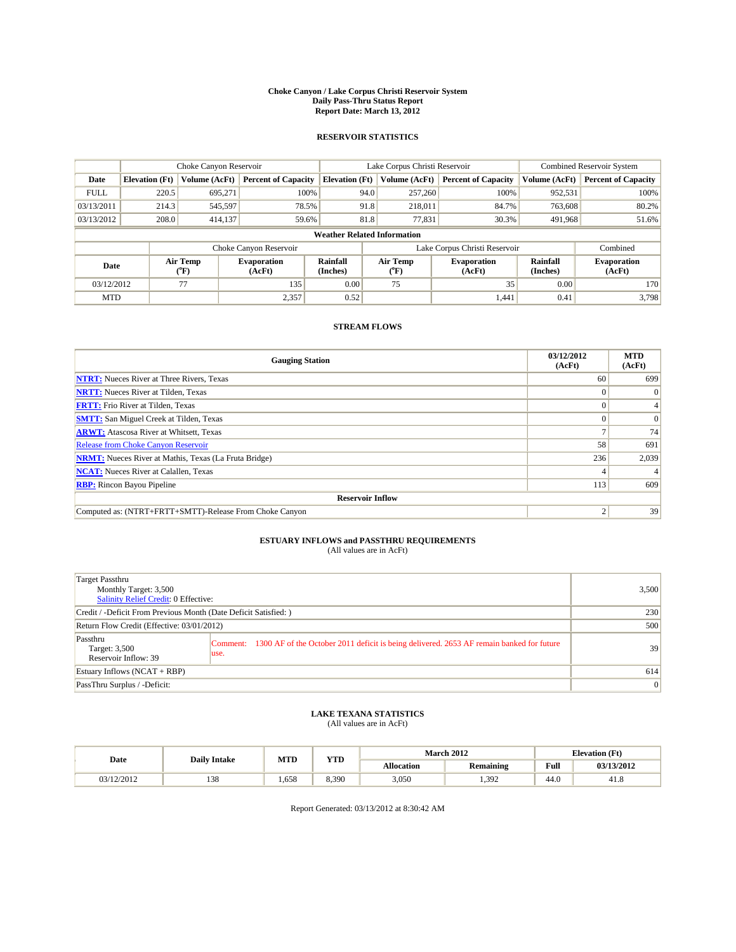#### **Choke Canyon / Lake Corpus Christi Reservoir System Daily Pass-Thru Status Report Report Date: March 13, 2012**

### **RESERVOIR STATISTICS**

|             | Choke Canyon Reservoir             |                                                                                                                                                                                      |                            |                       | Lake Corpus Christi Reservoir | <b>Combined Reservoir System</b> |               |                            |  |  |
|-------------|------------------------------------|--------------------------------------------------------------------------------------------------------------------------------------------------------------------------------------|----------------------------|-----------------------|-------------------------------|----------------------------------|---------------|----------------------------|--|--|
| Date        | <b>Elevation</b> (Ft)              | Volume (AcFt)                                                                                                                                                                        | <b>Percent of Capacity</b> | <b>Elevation</b> (Ft) | Volume (AcFt)                 | <b>Percent of Capacity</b>       | Volume (AcFt) | <b>Percent of Capacity</b> |  |  |
| <b>FULL</b> | 220.5                              | 695,271                                                                                                                                                                              | 100%                       | 94.0                  | 257,260                       | 100%                             | 952,531       | 100%                       |  |  |
| 03/13/2011  | 214.3                              | 545,597                                                                                                                                                                              | 78.5%                      | 91.8                  | 218,011                       | 84.7%                            | 763,608       | 80.2%                      |  |  |
| 03/13/2012  | 208.0                              | 414,137                                                                                                                                                                              | 59.6%                      | 81.8                  | 77,831                        | 30.3%                            | 491,968       | 51.6%                      |  |  |
|             | <b>Weather Related Information</b> |                                                                                                                                                                                      |                            |                       |                               |                                  |               |                            |  |  |
|             |                                    |                                                                                                                                                                                      | Choke Canyon Reservoir     |                       | Lake Corpus Christi Reservoir |                                  |               | Combined                   |  |  |
| Date        |                                    | Air Temp<br>Air Temp<br><b>Rainfall</b><br>Rainfall<br><b>Evaporation</b><br><b>Evaporation</b><br>(Inches)<br>(AcFt)<br>(Inches)<br>$({}^{\mathrm{o}}\mathrm{F})$<br>(AcFt)<br>(°F) |                            |                       | <b>Evaporation</b><br>(AcFt)  |                                  |               |                            |  |  |
| 03/12/2012  |                                    | 77                                                                                                                                                                                   | 135                        | 0.00                  | 75                            | 35                               | 0.00          | 170                        |  |  |
| <b>MTD</b>  |                                    |                                                                                                                                                                                      | 2,357                      | 0.52                  |                               | 1,441                            | 0.41          | 3.798                      |  |  |

## **STREAM FLOWS**

| <b>Gauging Station</b>                                       | 03/12/2012<br>(AcFt) | <b>MTD</b><br>(AcFt) |
|--------------------------------------------------------------|----------------------|----------------------|
| <b>NTRT:</b> Nueces River at Three Rivers, Texas             | 60                   | 699                  |
| <b>NRTT:</b> Nueces River at Tilden, Texas                   |                      | $\Omega$             |
| <b>FRTT:</b> Frio River at Tilden, Texas                     |                      |                      |
| <b>SMTT:</b> San Miguel Creek at Tilden, Texas               |                      | $\Omega$             |
| <b>ARWT:</b> Atascosa River at Whitsett, Texas               |                      | 74                   |
| Release from Choke Canyon Reservoir                          | 58                   | 691                  |
| <b>NRMT:</b> Nueces River at Mathis, Texas (La Fruta Bridge) | 236                  | 2,039                |
| <b>NCAT:</b> Nueces River at Calallen, Texas                 |                      |                      |
| <b>RBP:</b> Rincon Bayou Pipeline                            | 113                  | 609                  |
| <b>Reservoir Inflow</b>                                      |                      |                      |
| Computed as: (NTRT+FRTT+SMTT)-Release From Choke Canyon      | c                    | 39                   |

# **ESTUARY INFLOWS and PASSTHRU REQUIREMENTS**<br>(All values are in AcFt)

| Target Passthru<br>Monthly Target: 3,500<br>Salinity Relief Credit: 0 Effective: |                                                                                                            | 3,500           |
|----------------------------------------------------------------------------------|------------------------------------------------------------------------------------------------------------|-----------------|
| Credit / -Deficit From Previous Month (Date Deficit Satisfied: )                 | 230                                                                                                        |                 |
| Return Flow Credit (Effective: 03/01/2012)                                       | 500                                                                                                        |                 |
| Passthru<br>Target: 3,500<br>Reservoir Inflow: 39                                | Comment: 1300 AF of the October 2011 deficit is being delivered. 2653 AF remain banked for future<br>luse. | 39              |
| Estuary Inflows $(NCAT + RBP)$                                                   |                                                                                                            | 614             |
| PassThru Surplus / -Deficit:                                                     |                                                                                                            | $\vert 0 \vert$ |

## **LAKE TEXANA STATISTICS** (All values are in AcFt)

|            |                     | <b>MTD</b> | <b>YTD</b> |                   | <b>March 2012</b> |      | <b>Elevation</b> (Ft) |
|------------|---------------------|------------|------------|-------------------|-------------------|------|-----------------------|
| Date       | <b>Daily Intake</b> |            |            | <b>Allocation</b> | <b>Remaining</b>  | Full | 03/13/2012            |
| 03/12/2012 | 138                 | 1.658      | 8.390      | 3,050             | 1.392             | 44.U | 41.٥                  |

Report Generated: 03/13/2012 at 8:30:42 AM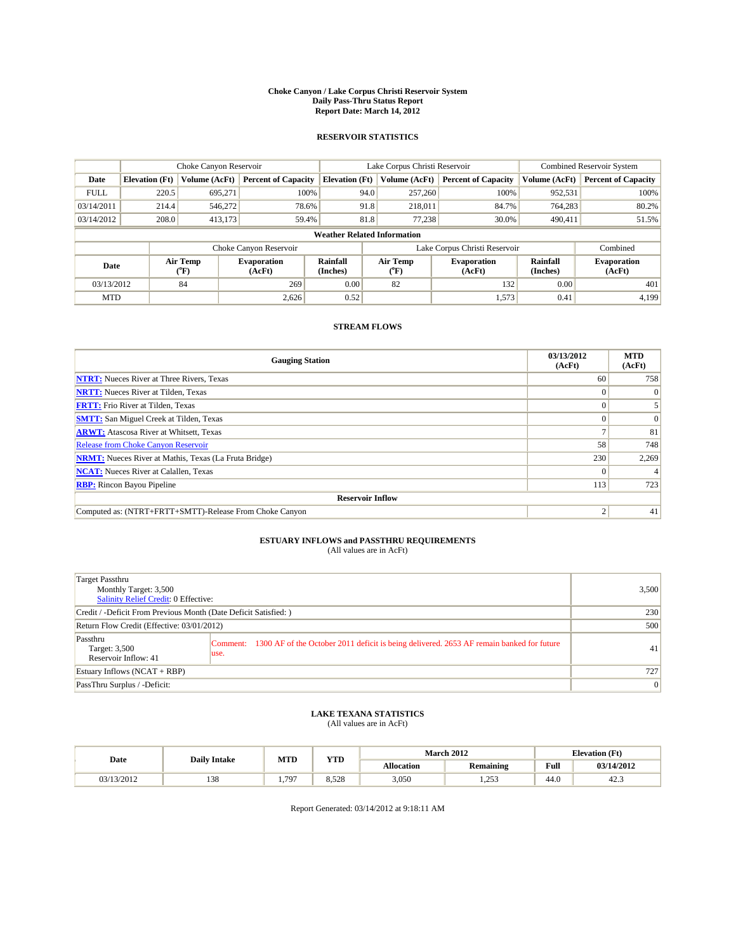#### **Choke Canyon / Lake Corpus Christi Reservoir System Daily Pass-Thru Status Report Report Date: March 14, 2012**

### **RESERVOIR STATISTICS**

|             |                                                                                                                                             | Choke Canyon Reservoir |                             |                                    | Lake Corpus Christi Reservoir | <b>Combined Reservoir System</b> |               |                            |
|-------------|---------------------------------------------------------------------------------------------------------------------------------------------|------------------------|-----------------------------|------------------------------------|-------------------------------|----------------------------------|---------------|----------------------------|
| Date        | <b>Elevation</b> (Ft)                                                                                                                       | Volume (AcFt)          | <b>Percent of Capacity</b>  | <b>Elevation</b> (Ft)              | Volume (AcFt)                 | <b>Percent of Capacity</b>       | Volume (AcFt) | <b>Percent of Capacity</b> |
| <b>FULL</b> | 220.5                                                                                                                                       | 695,271                | 100%                        | 94.0                               | 257,260                       | 100%                             | 952,531       | 100%                       |
| 03/14/2011  | 214.4                                                                                                                                       | 546,272                | 78.6%                       | 91.8                               | 218,011                       | 84.7%                            | 764,283       | 80.2%                      |
| 03/14/2012  | 208.0                                                                                                                                       | 413,173                | 59.4%                       | 81.8                               | 77.238                        | 30.0%                            | 490,411       | 51.5%                      |
|             |                                                                                                                                             |                        |                             | <b>Weather Related Information</b> |                               |                                  |               |                            |
|             |                                                                                                                                             |                        | Choke Canyon Reservoir      |                                    | Lake Corpus Christi Reservoir |                                  |               | Combined                   |
|             | Air Temp<br>Air Temp<br><b>Rainfall</b><br><b>Evaporation</b><br><b>Evaporation</b><br>Date<br>(Inches)<br>(AcFt)<br>(°F)<br>(AcFt)<br>(°F) |                        | <b>Rainfall</b><br>(Inches) | <b>Evaporation</b><br>(AcFt)       |                               |                                  |               |                            |
| 03/13/2012  |                                                                                                                                             | 84                     | 269                         | 0.00                               | 82                            | 132                              | 0.00          | 401                        |
| <b>MTD</b>  |                                                                                                                                             |                        | 2.626                       | 0.52                               |                               | 1,573                            | 0.41          | 4.199                      |

## **STREAM FLOWS**

| <b>Gauging Station</b>                                       | 03/13/2012<br>(AcFt) | <b>MTD</b><br>(AcFt) |
|--------------------------------------------------------------|----------------------|----------------------|
| <b>NTRT:</b> Nueces River at Three Rivers, Texas             | 60                   | 758                  |
| <b>NRTT:</b> Nueces River at Tilden, Texas                   |                      | $\Omega$             |
| <b>FRTT:</b> Frio River at Tilden, Texas                     |                      |                      |
| <b>SMTT:</b> San Miguel Creek at Tilden, Texas               |                      | $\Omega$             |
| <b>ARWT:</b> Atascosa River at Whitsett, Texas               |                      | 81                   |
| Release from Choke Canyon Reservoir                          | 58                   | 748                  |
| <b>NRMT:</b> Nueces River at Mathis, Texas (La Fruta Bridge) | 230                  | 2,269                |
| <b>NCAT:</b> Nueces River at Calallen, Texas                 |                      |                      |
| <b>RBP:</b> Rincon Bayou Pipeline                            | 113                  | 723                  |
| <b>Reservoir Inflow</b>                                      |                      |                      |
| Computed as: (NTRT+FRTT+SMTT)-Release From Choke Canyon      |                      | 41                   |

# **ESTUARY INFLOWS and PASSTHRU REQUIREMENTS**<br>(All values are in AcFt)

| Target Passthru<br>Monthly Target: 3,500<br>Salinity Relief Credit: 0 Effective: | 3,500                                                                                                     |              |  |
|----------------------------------------------------------------------------------|-----------------------------------------------------------------------------------------------------------|--------------|--|
| Credit / -Deficit From Previous Month (Date Deficit Satisfied: )                 | 230                                                                                                       |              |  |
| Return Flow Credit (Effective: 03/01/2012)                                       |                                                                                                           |              |  |
| Passthru<br>Target: 3,500<br>Reservoir Inflow: 41                                | Comment: 1300 AF of the October 2011 deficit is being delivered. 2653 AF remain banked for future<br>use. | 41           |  |
| Estuary Inflows (NCAT + RBP)                                                     | 727                                                                                                       |              |  |
| PassThru Surplus / -Deficit:                                                     |                                                                                                           | $\mathbf{0}$ |  |

## **LAKE TEXANA STATISTICS** (All values are in AcFt)

|            | <b>Daily Intake</b> | MTD | <b>YTD</b> |                   | <b>March 2012</b> | <b>Elevation</b> (Ft)                   |            |
|------------|---------------------|-----|------------|-------------------|-------------------|-----------------------------------------|------------|
| Date       |                     |     |            | <b>Allocation</b> | Remaining         | Full<br>the contract of the contract of | 03/14/2012 |
| 03/13/2012 | 138                 | 797 | 8.528      | 3,050             | 252<br>ل رے د     | 44.0                                    | 42.5       |

Report Generated: 03/14/2012 at 9:18:11 AM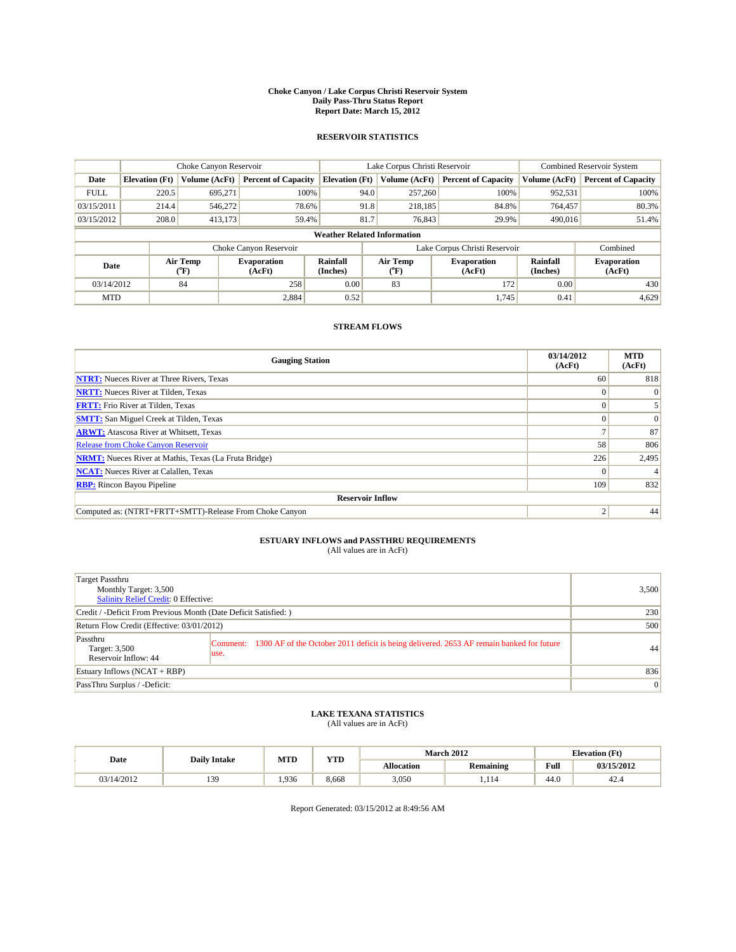#### **Choke Canyon / Lake Corpus Christi Reservoir System Daily Pass-Thru Status Report Report Date: March 15, 2012**

### **RESERVOIR STATISTICS**

|             | Choke Canyon Reservoir                                                                                                                                                           |               |                            |                       | Lake Corpus Christi Reservoir |               |                            |               | <b>Combined Reservoir System</b> |  |
|-------------|----------------------------------------------------------------------------------------------------------------------------------------------------------------------------------|---------------|----------------------------|-----------------------|-------------------------------|---------------|----------------------------|---------------|----------------------------------|--|
| Date        | <b>Elevation</b> (Ft)                                                                                                                                                            | Volume (AcFt) | <b>Percent of Capacity</b> | <b>Elevation</b> (Ft) |                               | Volume (AcFt) | <b>Percent of Capacity</b> | Volume (AcFt) | <b>Percent of Capacity</b>       |  |
| <b>FULL</b> | 220.5                                                                                                                                                                            | 695,271       | 100%                       |                       | 94.0                          | 257,260       | 100%                       | 952,531       | 100%                             |  |
| 03/15/2011  | 214.4                                                                                                                                                                            | 546,272       | 78.6%                      |                       | 91.8                          | 218,185       | 84.8%                      | 764,457       | 80.3%                            |  |
| 03/15/2012  | 208.0                                                                                                                                                                            | 413,173       | 59.4%                      |                       | 81.7                          | 76,843        | 29.9%                      | 490,016       | 51.4%                            |  |
|             | <b>Weather Related Information</b>                                                                                                                                               |               |                            |                       |                               |               |                            |               |                                  |  |
|             |                                                                                                                                                                                  |               | Choke Canyon Reservoir     |                       | Lake Corpus Christi Reservoir |               |                            | Combined      |                                  |  |
|             | Air Temp<br>Air Temp<br><b>Rainfall</b><br><b>Evaporation</b><br><b>Evaporation</b><br>Date<br>(Inches)<br>(AcFt)<br>(AcFt)<br>$({}^o\mathrm{F})$<br>$(^{\mathrm{o}}\mathrm{F})$ |               |                            | Rainfall<br>(Inches)  | <b>Evaporation</b><br>(AcFt)  |               |                            |               |                                  |  |
| 03/14/2012  |                                                                                                                                                                                  | 84            | 258                        | 0.00                  |                               | 83            | 172                        | 0.00          | 430                              |  |
| <b>MTD</b>  |                                                                                                                                                                                  |               | 2,884                      | 0.52                  |                               |               | 1.745                      | 0.41          | 4,629                            |  |

## **STREAM FLOWS**

| <b>Gauging Station</b>                                       | 03/14/2012<br>(AcFt) | <b>MTD</b><br>(AcFt) |
|--------------------------------------------------------------|----------------------|----------------------|
| <b>NTRT:</b> Nueces River at Three Rivers, Texas             | 60                   | 818                  |
| <b>NRTT:</b> Nueces River at Tilden, Texas                   |                      | $\Omega$             |
| <b>FRTT:</b> Frio River at Tilden, Texas                     |                      |                      |
| <b>SMTT:</b> San Miguel Creek at Tilden, Texas               |                      | $\Omega$             |
| <b>ARWT:</b> Atascosa River at Whitsett, Texas               |                      | 87                   |
| Release from Choke Canyon Reservoir                          | 58                   | 806                  |
| <b>NRMT:</b> Nueces River at Mathis, Texas (La Fruta Bridge) | 226                  | 2,495                |
| <b>NCAT:</b> Nueces River at Calallen, Texas                 |                      |                      |
| <b>RBP:</b> Rincon Bayou Pipeline                            | 109                  | 832                  |
| <b>Reservoir Inflow</b>                                      |                      |                      |
| Computed as: (NTRT+FRTT+SMTT)-Release From Choke Canyon      |                      | 44                   |

## **ESTUARY INFLOWS and PASSTHRU REQUIREMENTS**<br>(All values are in AcFt)

| Target Passthru<br>Monthly Target: 3,500<br>Salinity Relief Credit: 0 Effective: |                                                                                                            | 3,500           |
|----------------------------------------------------------------------------------|------------------------------------------------------------------------------------------------------------|-----------------|
| Credit / -Deficit From Previous Month (Date Deficit Satisfied: )                 | 230                                                                                                        |                 |
| Return Flow Credit (Effective: 03/01/2012)                                       | 500                                                                                                        |                 |
| Passthru<br>Target: 3,500<br>Reservoir Inflow: 44                                | Comment: 1300 AF of the October 2011 deficit is being delivered. 2653 AF remain banked for future<br>luse. | 44              |
| Estuary Inflows $(NCAT + RBP)$                                                   | 836                                                                                                        |                 |
| PassThru Surplus / -Deficit:                                                     |                                                                                                            | $\vert 0 \vert$ |

# **LAKE TEXANA STATISTICS** (All values are in AcFt)

|            |    |       | <b>YTD</b><br><b>MTD</b><br><b>Daily Intake</b> |                   |                  | <b>March 2012</b> | <b>Elevation</b> (Ft) |  |
|------------|----|-------|-------------------------------------------------|-------------------|------------------|-------------------|-----------------------|--|
| Date       |    |       |                                                 | <b>Allocation</b> | <b>Remaining</b> | Full              | 03/15/2012            |  |
| 03/14/2012 | 30 | 1.936 | 8.668                                           | 3,050             | .114             | 44.0              | 42.5                  |  |

Report Generated: 03/15/2012 at 8:49:56 AM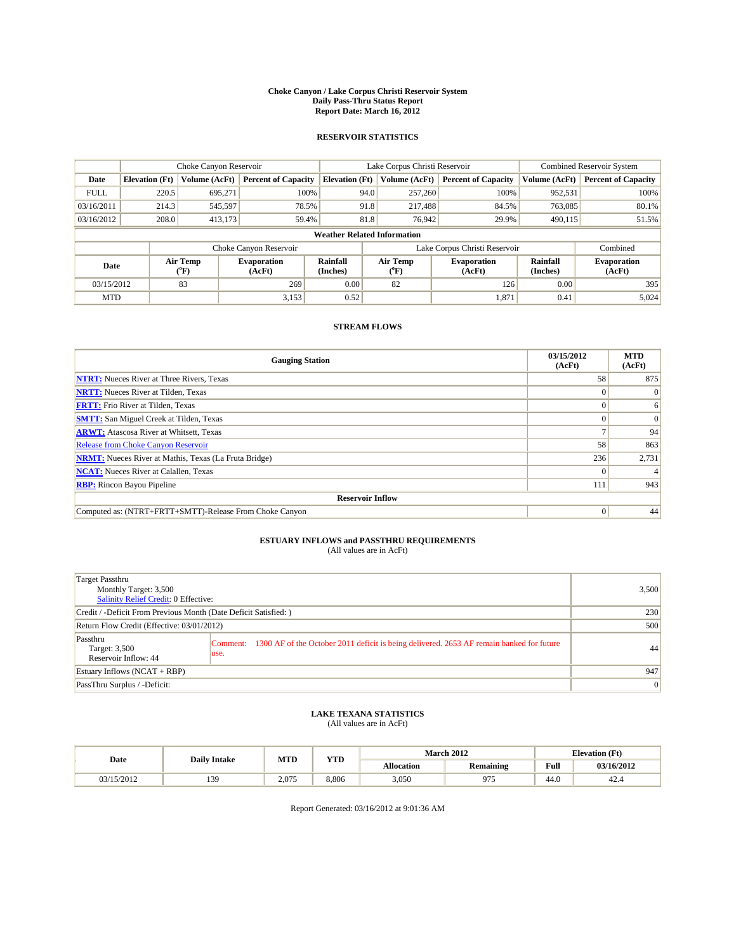#### **Choke Canyon / Lake Corpus Christi Reservoir System Daily Pass-Thru Status Report Report Date: March 16, 2012**

### **RESERVOIR STATISTICS**

|             | Choke Canyon Reservoir |                  |                              |                             | Lake Corpus Christi Reservoir      | <b>Combined Reservoir System</b> |                             |                              |
|-------------|------------------------|------------------|------------------------------|-----------------------------|------------------------------------|----------------------------------|-----------------------------|------------------------------|
| Date        | <b>Elevation</b> (Ft)  | Volume (AcFt)    | <b>Percent of Capacity</b>   | <b>Elevation</b> (Ft)       | Volume (AcFt)                      | <b>Percent of Capacity</b>       | Volume (AcFt)               | <b>Percent of Capacity</b>   |
| <b>FULL</b> | 220.5                  | 695,271          | 100%                         |                             | 94.0<br>257,260                    | 100%                             | 952,531                     | 100%                         |
| 03/16/2011  | 214.3                  | 545,597          | 78.5%                        |                             | 91.8<br>217,488                    | 84.5%                            | 763,085                     | 80.1%                        |
| 03/16/2012  | 208.0                  | 413,173          | 59.4%                        |                             | 81.8<br>76,942                     | 29.9%                            | 490,115                     | 51.5%                        |
|             |                        |                  |                              |                             | <b>Weather Related Information</b> |                                  |                             |                              |
|             |                        |                  | Choke Canyon Reservoir       |                             | Lake Corpus Christi Reservoir      |                                  |                             | Combined                     |
| Date        |                        | Air Temp<br>(°F) | <b>Evaporation</b><br>(AcFt) | <b>Rainfall</b><br>(Inches) | Air Temp<br>(°F)                   | <b>Evaporation</b><br>(AcFt)     | <b>Rainfall</b><br>(Inches) | <b>Evaporation</b><br>(AcFt) |
| 03/15/2012  |                        | 83               | 269                          | 0.00                        | 82                                 | 126                              | 0.00                        | 395                          |
| <b>MTD</b>  |                        |                  | 3,153                        | 0.52                        |                                    | 1,871                            | 0.41                        | 5,024                        |

## **STREAM FLOWS**

| <b>Gauging Station</b>                                       | 03/15/2012<br>(AcFt) | <b>MTD</b><br>(AcFt) |
|--------------------------------------------------------------|----------------------|----------------------|
| <b>NTRT:</b> Nueces River at Three Rivers, Texas             | 58                   | 875                  |
| <b>NRTT:</b> Nueces River at Tilden, Texas                   | $\Omega$             | $\Omega$             |
| <b>FRTT:</b> Frio River at Tilden, Texas                     |                      | 6                    |
| <b>SMTT:</b> San Miguel Creek at Tilden, Texas               |                      | $\Omega$             |
| <b>ARWT:</b> Atascosa River at Whitsett, Texas               |                      | 94                   |
| <b>Release from Choke Canyon Reservoir</b>                   | 58                   | 863                  |
| <b>NRMT:</b> Nueces River at Mathis, Texas (La Fruta Bridge) | 236                  | 2,731                |
| <b>NCAT:</b> Nueces River at Calallen, Texas                 | $\Omega$             |                      |
| <b>RBP:</b> Rincon Bayou Pipeline                            | 111                  | 943                  |
| <b>Reservoir Inflow</b>                                      |                      |                      |
| Computed as: (NTRT+FRTT+SMTT)-Release From Choke Canyon      | $\Omega$             | 44                   |

# **ESTUARY INFLOWS and PASSTHRU REQUIREMENTS**<br>(All values are in AcFt)

| Target Passthru<br>Monthly Target: 3,500<br>Salinity Relief Credit: 0 Effective: |                                                                                                           | 3,500          |
|----------------------------------------------------------------------------------|-----------------------------------------------------------------------------------------------------------|----------------|
| Credit / -Deficit From Previous Month (Date Deficit Satisfied: )                 | 230                                                                                                       |                |
| Return Flow Credit (Effective: 03/01/2012)                                       | 500                                                                                                       |                |
| Passthru<br>Target: 3,500<br>Reservoir Inflow: 44                                | Comment: 1300 AF of the October 2011 deficit is being delivered. 2653 AF remain banked for future<br>use. | 44             |
| Estuary Inflows (NCAT + RBP)                                                     | 947                                                                                                       |                |
| PassThru Surplus / -Deficit:                                                     |                                                                                                           | $\overline{0}$ |

## **LAKE TEXANA STATISTICS** (All values are in AcFt)

|            | <b>Daily Intake</b> |       | VTD   |                   | <b>March 2012</b> | <b>Elevation</b> (Ft) |            |  |
|------------|---------------------|-------|-------|-------------------|-------------------|-----------------------|------------|--|
| Date       |                     | MTD   | 1 I.D | <b>Allocation</b> | <b>Remaining</b>  | Full<br>_____         | 03/16/2012 |  |
| 03/15/2012 | 139                 | 2.075 | 8.806 | 3.050             | Q74               | $\sim$<br>44.0        | 42.4       |  |

Report Generated: 03/16/2012 at 9:01:36 AM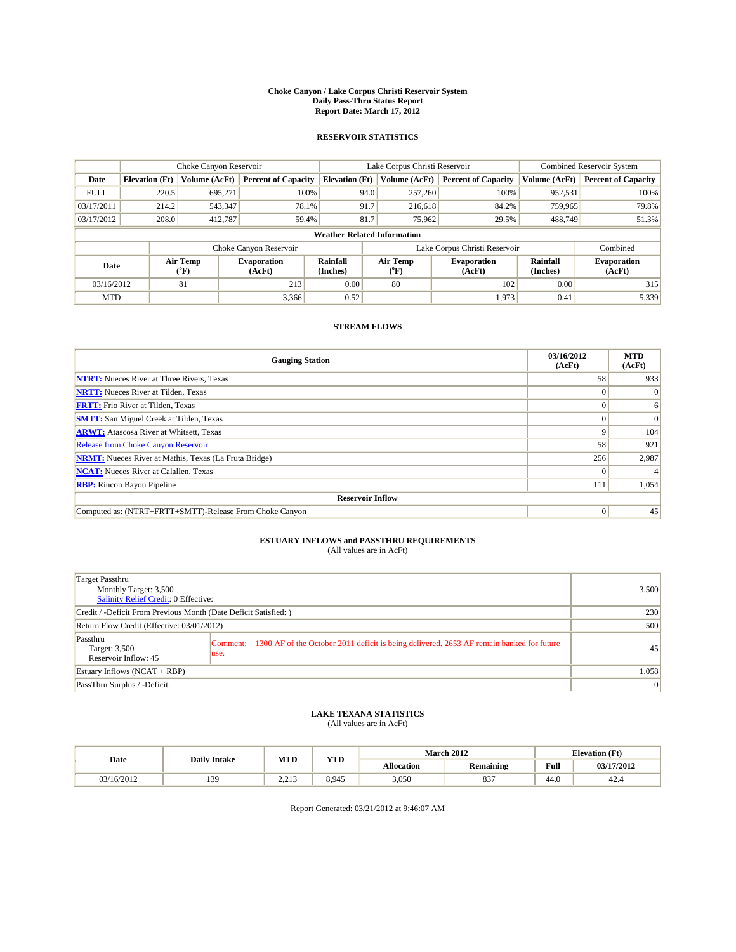#### **Choke Canyon / Lake Corpus Christi Reservoir System Daily Pass-Thru Status Report Report Date: March 17, 2012**

### **RESERVOIR STATISTICS**

|             | Choke Canyon Reservoir |                                           |                              |                                    | Lake Corpus Christi Reservoir  | <b>Combined Reservoir System</b> |                      |                              |
|-------------|------------------------|-------------------------------------------|------------------------------|------------------------------------|--------------------------------|----------------------------------|----------------------|------------------------------|
| Date        | <b>Elevation</b> (Ft)  | Volume (AcFt)                             | <b>Percent of Capacity</b>   | <b>Elevation</b> (Ft)              | Volume (AcFt)                  | <b>Percent of Capacity</b>       | Volume (AcFt)        | <b>Percent of Capacity</b>   |
| <b>FULL</b> | 220.5                  | 695,271                                   | 100%                         | 94.0                               | 257,260                        | 100%                             | 952,531              | 100%                         |
| 03/17/2011  | 214.2                  | 543,347                                   | 78.1%                        | 91.7                               | 216,618                        | 84.2%                            | 759,965              | 79.8%                        |
| 03/17/2012  | 208.0                  | 412,787                                   | 59.4%                        | 81.7                               | 75,962                         | 29.5%                            | 488,749              | 51.3%                        |
|             |                        |                                           |                              | <b>Weather Related Information</b> |                                |                                  |                      |                              |
|             |                        |                                           | Choke Canyon Reservoir       |                                    | Lake Corpus Christi Reservoir  |                                  |                      | Combined                     |
| Date        |                        | Air Temp<br>$({}^{\mathrm{o}}\mathrm{F})$ | <b>Evaporation</b><br>(AcFt) | <b>Rainfall</b><br>(Inches)        | Air Temp<br>$({}^o\mathrm{F})$ | <b>Evaporation</b><br>(AcFt)     | Rainfall<br>(Inches) | <b>Evaporation</b><br>(AcFt) |
| 03/16/2012  |                        | 81                                        | 213                          | 0.00                               | 80                             | 102                              | 0.00                 | 315                          |
| <b>MTD</b>  |                        |                                           | 3,366                        | 0.52                               |                                | 1,973                            | 0.41                 | 5,339                        |

## **STREAM FLOWS**

| <b>Gauging Station</b>                                       | 03/16/2012<br>(AcFt) | <b>MTD</b><br>(AcFt) |
|--------------------------------------------------------------|----------------------|----------------------|
| <b>NTRT:</b> Nueces River at Three Rivers, Texas             | 58                   | 933                  |
| <b>NRTT:</b> Nueces River at Tilden, Texas                   | $\Omega$             | $\Omega$             |
| <b>FRTT:</b> Frio River at Tilden, Texas                     |                      | 6                    |
| <b>SMTT:</b> San Miguel Creek at Tilden, Texas               |                      | $\Omega$             |
| <b>ARWT:</b> Atascosa River at Whitsett, Texas               | 9                    | 104                  |
| <b>Release from Choke Canyon Reservoir</b>                   | 58                   | 921                  |
| <b>NRMT:</b> Nueces River at Mathis, Texas (La Fruta Bridge) | 256                  | 2,987                |
| <b>NCAT:</b> Nueces River at Calallen, Texas                 | $\Omega$             |                      |
| <b>RBP:</b> Rincon Bayou Pipeline                            | 111                  | 1,054                |
| <b>Reservoir Inflow</b>                                      |                      |                      |
| Computed as: (NTRT+FRTT+SMTT)-Release From Choke Canyon      | $\Omega$             | 45                   |

# **ESTUARY INFLOWS and PASSTHRU REQUIREMENTS**<br>(All values are in AcFt)

| Target Passthru<br>Monthly Target: 3,500<br>Salinity Relief Credit: 0 Effective: |                                                                                                           | 3,500          |
|----------------------------------------------------------------------------------|-----------------------------------------------------------------------------------------------------------|----------------|
| Credit / -Deficit From Previous Month (Date Deficit Satisfied: )                 | 230                                                                                                       |                |
| Return Flow Credit (Effective: 03/01/2012)                                       | 500                                                                                                       |                |
| Passthru<br>Target: 3,500<br>Reservoir Inflow: 45                                | Comment: 1300 AF of the October 2011 deficit is being delivered. 2653 AF remain banked for future<br>use. | 45             |
| Estuary Inflows (NCAT + RBP)                                                     | 1,058                                                                                                     |                |
| PassThru Surplus / -Deficit:                                                     |                                                                                                           | $\overline{0}$ |

## **LAKE TEXANA STATISTICS** (All values are in AcFt)

|            | <b>Daily Intake</b> | <b>WITH</b><br><b>MTD</b> |       | <b>March 2012</b><br><b>Elevation</b> (Ft) |           |      |            |
|------------|---------------------|---------------------------|-------|--------------------------------------------|-----------|------|------------|
| Date       |                     |                           | .     | <b>Allocation</b>                          | Remaining | Full | 03/17/2012 |
| 03/16/2012 | 139                 | 2.012<br>ر د د سه         | 8.945 | 3.050                                      | 027<br>83 | 44.0 | 42.4       |

Report Generated: 03/21/2012 at 9:46:07 AM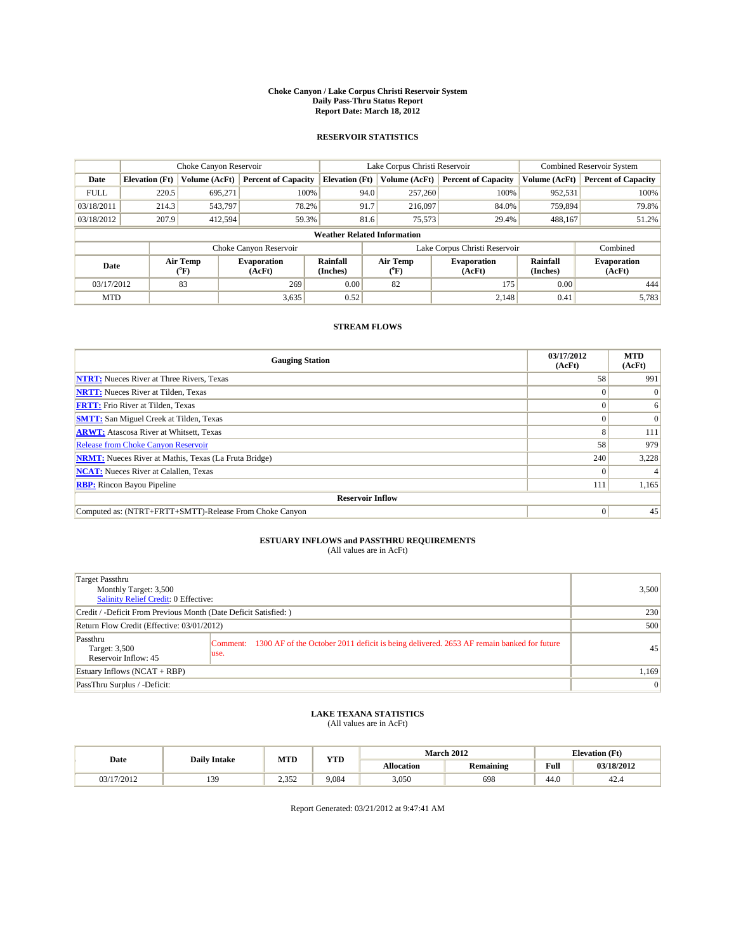#### **Choke Canyon / Lake Corpus Christi Reservoir System Daily Pass-Thru Status Report Report Date: March 18, 2012**

### **RESERVOIR STATISTICS**

|             | Choke Canyon Reservoir |                  |                              |                                    | Lake Corpus Christi Reservoir |                  |                              |                             | <b>Combined Reservoir System</b> |  |
|-------------|------------------------|------------------|------------------------------|------------------------------------|-------------------------------|------------------|------------------------------|-----------------------------|----------------------------------|--|
| Date        | <b>Elevation</b> (Ft)  | Volume (AcFt)    | <b>Percent of Capacity</b>   | <b>Elevation</b> (Ft)              |                               | Volume (AcFt)    | <b>Percent of Capacity</b>   | Volume (AcFt)               | <b>Percent of Capacity</b>       |  |
| <b>FULL</b> | 220.5                  | 695,271          | 100%                         |                                    | 94.0                          | 257,260          | 100%                         | 952,531                     | 100%                             |  |
| 03/18/2011  | 214.3                  | 543,797          | 78.2%                        |                                    | 91.7                          | 216,097          | 84.0%                        | 759,894                     | 79.8%                            |  |
| 03/18/2012  | 207.9                  | 412,594          | 59.3%                        |                                    | 81.6                          | 75,573           | 29.4%                        | 488,167                     | 51.2%                            |  |
|             |                        |                  |                              | <b>Weather Related Information</b> |                               |                  |                              |                             |                                  |  |
|             |                        |                  | Choke Canyon Reservoir       |                                    | Lake Corpus Christi Reservoir |                  |                              | Combined                    |                                  |  |
| Date        |                        | Air Temp<br>(°F) | <b>Evaporation</b><br>(AcFt) | <b>Rainfall</b><br>(Inches)        |                               | Air Temp<br>(°F) | <b>Evaporation</b><br>(AcFt) | <b>Rainfall</b><br>(Inches) | <b>Evaporation</b><br>(AcFt)     |  |
| 03/17/2012  |                        | 83               | 269                          | 0.00                               |                               | 82               | 175                          | 0.00                        | 444                              |  |
| <b>MTD</b>  |                        |                  | 3,635                        | 0.52                               |                               |                  | 2.148                        | 0.41                        | 5,783                            |  |

## **STREAM FLOWS**

| <b>Gauging Station</b>                                       | 03/17/2012<br>(AcFt) | <b>MTD</b><br>(AcFt) |
|--------------------------------------------------------------|----------------------|----------------------|
| <b>NTRT:</b> Nueces River at Three Rivers, Texas             | 58                   | 991                  |
| <b>NRTT:</b> Nueces River at Tilden, Texas                   | $\Omega$             | $\Omega$             |
| <b>FRTT:</b> Frio River at Tilden, Texas                     |                      | 6                    |
| <b>SMTT:</b> San Miguel Creek at Tilden, Texas               |                      | $\Omega$             |
| <b>ARWT:</b> Atascosa River at Whitsett, Texas               | 8                    | 111                  |
| <b>Release from Choke Canyon Reservoir</b>                   | 58                   | 979                  |
| <b>NRMT:</b> Nueces River at Mathis, Texas (La Fruta Bridge) | 240                  | 3,228                |
| <b>NCAT:</b> Nueces River at Calallen, Texas                 | $\Omega$             |                      |
| <b>RBP:</b> Rincon Bayou Pipeline                            | 111                  | 1,165                |
| <b>Reservoir Inflow</b>                                      |                      |                      |
| Computed as: (NTRT+FRTT+SMTT)-Release From Choke Canyon      | $\Omega$             | 45                   |

# **ESTUARY INFLOWS and PASSTHRU REQUIREMENTS**<br>(All values are in AcFt)

| Target Passthru<br>Monthly Target: 3,500<br>Salinity Relief Credit: 0 Effective: |                                                                                                           | 3,500          |
|----------------------------------------------------------------------------------|-----------------------------------------------------------------------------------------------------------|----------------|
| Credit / -Deficit From Previous Month (Date Deficit Satisfied: )                 | 230                                                                                                       |                |
| Return Flow Credit (Effective: 03/01/2012)                                       | 500                                                                                                       |                |
| Passthru<br>Target: 3,500<br>Reservoir Inflow: 45                                | Comment: 1300 AF of the October 2011 deficit is being delivered. 2653 AF remain banked for future<br>use. | 45             |
| Estuary Inflows (NCAT + RBP)                                                     | 1,169                                                                                                     |                |
| PassThru Surplus / -Deficit:                                                     |                                                                                                           | $\overline{0}$ |

## **LAKE TEXANA STATISTICS** (All values are in AcFt)

|            |                     | MTD                      | VTT   |                   | <b>March 2012</b> | <b>Elevation</b> (Ft) |            |
|------------|---------------------|--------------------------|-------|-------------------|-------------------|-----------------------|------------|
| Date       | <b>Daily Intake</b> |                          | 1 I.D | <b>Allocation</b> | <b>Remaining</b>  | Full<br>_____         | 03/18/2012 |
| 03/17/2012 | 139                 | $2.35^{\circ}$<br>ے رہے۔ | 9.084 | 3.050             | 698               | $\sim$<br>44.U        | 42.4       |

Report Generated: 03/21/2012 at 9:47:41 AM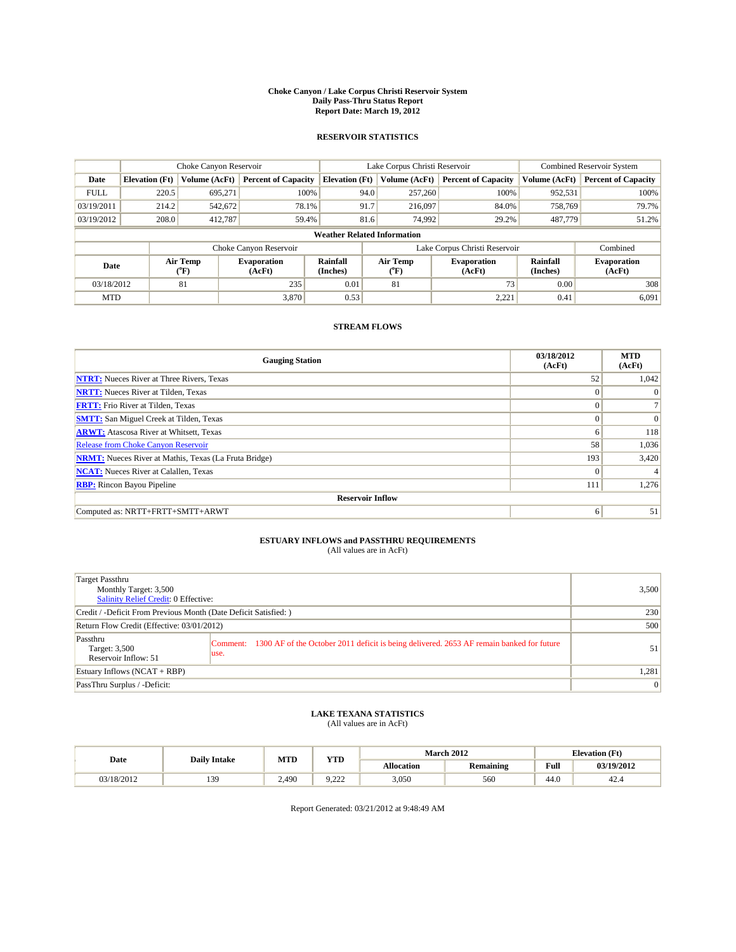#### **Choke Canyon / Lake Corpus Christi Reservoir System Daily Pass-Thru Status Report Report Date: March 19, 2012**

### **RESERVOIR STATISTICS**

|             | Choke Canyon Reservoir |                  |                              |                                    | Lake Corpus Christi Reservoir | <b>Combined Reservoir System</b>                     |               |                              |
|-------------|------------------------|------------------|------------------------------|------------------------------------|-------------------------------|------------------------------------------------------|---------------|------------------------------|
| Date        | <b>Elevation</b> (Ft)  | Volume (AcFt)    | <b>Percent of Capacity</b>   | <b>Elevation</b> (Ft)              | Volume (AcFt)                 | <b>Percent of Capacity</b>                           | Volume (AcFt) | <b>Percent of Capacity</b>   |
| <b>FULL</b> | 220.5                  | 695,271          | 100%                         | 94.0                               | 257,260                       | 100%                                                 | 952,531       | 100%                         |
| 03/19/2011  | 214.2                  | 542,672          | 78.1%                        | 91.7                               | 216,097                       | 84.0%                                                | 758,769       | 79.7%                        |
| 03/19/2012  | 208.0                  | 412,787          | 59.4%                        | 81.6                               | 74,992                        | 29.2%                                                | 487,779       | 51.2%                        |
|             |                        |                  |                              | <b>Weather Related Information</b> |                               |                                                      |               |                              |
|             |                        |                  | Choke Canyon Reservoir       |                                    | Lake Corpus Christi Reservoir |                                                      |               | Combined                     |
| Date        |                        | Air Temp<br>(°F) | <b>Evaporation</b><br>(AcFt) | <b>Rainfall</b><br>(Inches)        | Air Temp<br>(°F)              | Rainfall<br><b>Evaporation</b><br>(Inches)<br>(AcFt) |               | <b>Evaporation</b><br>(AcFt) |
| 03/18/2012  |                        | 81               | 235                          | 0.01                               | 81                            | 73                                                   | 0.00          | 308                          |
| <b>MTD</b>  |                        |                  | 3.870                        | 0.53                               |                               | 2,221                                                | 0.41          | 6,091                        |

## **STREAM FLOWS**

| <b>Gauging Station</b>                                       | 03/18/2012<br>(AcFt) | <b>MTD</b><br>(AcFt) |
|--------------------------------------------------------------|----------------------|----------------------|
| <b>NTRT:</b> Nueces River at Three Rivers, Texas             | 52                   | 1,042                |
| <b>NRTT:</b> Nueces River at Tilden, Texas                   | $\Omega$             | $\Omega$             |
| <b>FRTT:</b> Frio River at Tilden, Texas                     | $\Omega$             |                      |
| <b>SMTT:</b> San Miguel Creek at Tilden, Texas               | $\Omega$             | $\Omega$             |
| <b>ARWT:</b> Atascosa River at Whitsett, Texas               | 6                    | 118                  |
| <b>Release from Choke Canyon Reservoir</b>                   | 58                   | 1,036                |
| <b>NRMT:</b> Nueces River at Mathis, Texas (La Fruta Bridge) | 193                  | 3,420                |
| <b>NCAT:</b> Nueces River at Calallen, Texas                 | $\Omega$             |                      |
| <b>RBP:</b> Rincon Bayou Pipeline                            | 111                  | 1,276                |
| <b>Reservoir Inflow</b>                                      |                      |                      |
| Computed as: NRTT+FRTT+SMTT+ARWT                             | 6                    | 51                   |

# **ESTUARY INFLOWS and PASSTHRU REQUIREMENTS**<br>(All values are in AcFt)

| Target Passthru<br>Monthly Target: 3,500<br><b>Salinity Relief Credit: 0 Effective:</b> |                                                                                                            | 3,500 |
|-----------------------------------------------------------------------------------------|------------------------------------------------------------------------------------------------------------|-------|
| Credit / -Deficit From Previous Month (Date Deficit Satisfied: )                        |                                                                                                            | 230   |
| Return Flow Credit (Effective: 03/01/2012)                                              |                                                                                                            | 500   |
| Passthru<br>Target: 3,500<br>Reservoir Inflow: 51                                       | Comment: 1300 AF of the October 2011 deficit is being delivered. 2653 AF remain banked for future<br>luse. | 51    |
| Estuary Inflows $(NCAT + RBP)$                                                          |                                                                                                            | 1,281 |
| PassThru Surplus / -Deficit:                                                            |                                                                                                            | 0     |

## **LAKE TEXANA STATISTICS** (All values are in AcFt)

|            | <b>Daily Intake</b> |            | <b>XZOD</b> | <b>March 2012</b><br><b>Elevation</b> (Ft) |                  |      |            |
|------------|---------------------|------------|-------------|--------------------------------------------|------------------|------|------------|
| Date       |                     | <b>MTD</b> | .           | <b>Allocation</b>                          | <b>Remaining</b> | Full | 03/19/2012 |
| 03/18/2012 | 34                  | 2.490      | $\sim$<br>. | 3.050                                      | 560              | 44.0 | 42.4       |

Report Generated: 03/21/2012 at 9:48:49 AM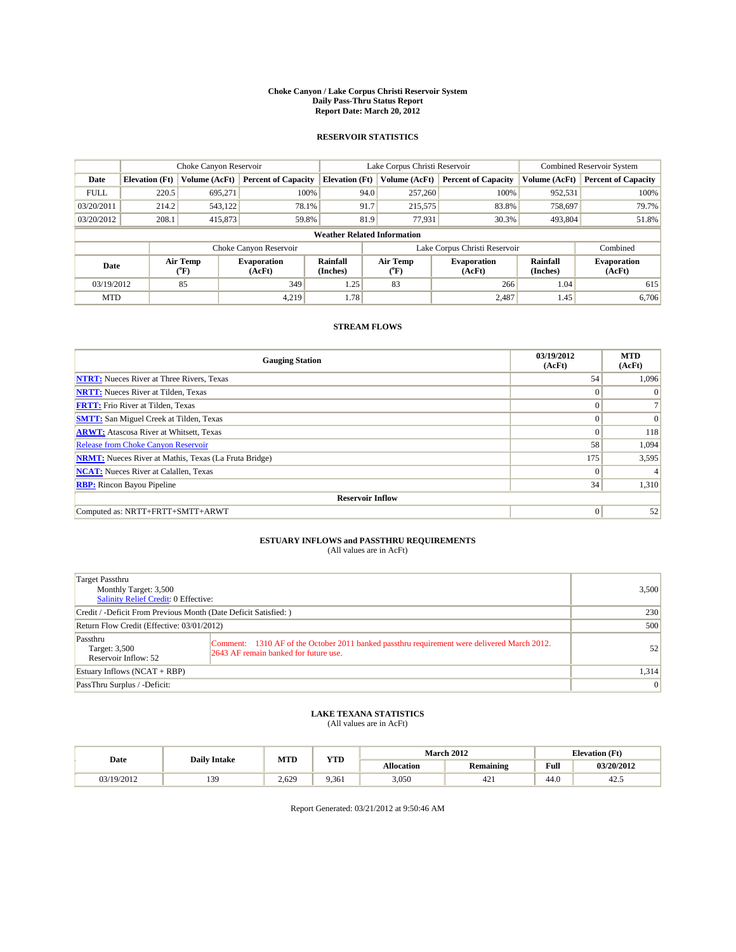#### **Choke Canyon / Lake Corpus Christi Reservoir System Daily Pass-Thru Status Report Report Date: March 20, 2012**

### **RESERVOIR STATISTICS**

|             | Choke Canyon Reservoir |                  |                              |                                    | Lake Corpus Christi Reservoir           | <b>Combined Reservoir System</b>                            |               |                              |
|-------------|------------------------|------------------|------------------------------|------------------------------------|-----------------------------------------|-------------------------------------------------------------|---------------|------------------------------|
| Date        | <b>Elevation</b> (Ft)  | Volume (AcFt)    | <b>Percent of Capacity</b>   | <b>Elevation</b> (Ft)              | Volume (AcFt)                           | <b>Percent of Capacity</b>                                  | Volume (AcFt) | <b>Percent of Capacity</b>   |
| <b>FULL</b> | 220.5                  | 695,271          | 100%                         | 94.0                               | 257,260                                 | 100%                                                        | 952,531       | 100%                         |
| 03/20/2011  | 214.2                  | 543,122          | 78.1%                        | 91.7                               | 215,575                                 | 83.8%                                                       | 758,697       | 79.7%                        |
| 03/20/2012  | 208.1                  | 415,873          | 59.8%                        | 81.9                               | 77,931                                  | 30.3%                                                       | 493,804       | 51.8%                        |
|             |                        |                  |                              | <b>Weather Related Information</b> |                                         |                                                             |               |                              |
|             |                        |                  | Choke Canyon Reservoir       |                                    | Lake Corpus Christi Reservoir           |                                                             |               | Combined                     |
| Date        |                        | Air Temp<br>(°F) | <b>Evaporation</b><br>(AcFt) | <b>Rainfall</b><br>(Inches)        | Air Temp<br>$(^{\mathrm{o}}\mathrm{F})$ | <b>Rainfall</b><br><b>Evaporation</b><br>(Inches)<br>(AcFt) |               | <b>Evaporation</b><br>(AcFt) |
| 03/19/2012  |                        | 85               | 349                          | 1.25                               | 83                                      | 266                                                         | 1.04          | 615                          |
| <b>MTD</b>  |                        |                  | 4.219                        | 1.78                               |                                         | 2,487                                                       | 1.45          | 6.706                        |

## **STREAM FLOWS**

| <b>Gauging Station</b>                                       | 03/19/2012<br>(AcFt) | <b>MTD</b><br>(AcFt) |
|--------------------------------------------------------------|----------------------|----------------------|
| <b>NTRT:</b> Nueces River at Three Rivers, Texas             | 54                   | 1,096                |
| <b>NRTT:</b> Nueces River at Tilden, Texas                   | $\mathbf{0}$         | $\Omega$             |
| <b>FRTT:</b> Frio River at Tilden, Texas                     | $\Omega$             |                      |
| <b>SMTT:</b> San Miguel Creek at Tilden, Texas               | $\Omega$             | $\Omega$             |
| <b>ARWT:</b> Atascosa River at Whitsett, Texas               | $\Omega$             | 118                  |
| <b>Release from Choke Canyon Reservoir</b>                   | 58                   | 1,094                |
| <b>NRMT:</b> Nueces River at Mathis, Texas (La Fruta Bridge) | 175                  | 3,595                |
| <b>NCAT:</b> Nueces River at Calallen, Texas                 | $\Omega$             |                      |
| <b>RBP:</b> Rincon Bayou Pipeline                            | 34                   | 1,310                |
| <b>Reservoir Inflow</b>                                      |                      |                      |
| Computed as: NRTT+FRTT+SMTT+ARWT                             | $\mathbf{0}$         | 52                   |

# **ESTUARY INFLOWS and PASSTHRU REQUIREMENTS**<br>(All values are in AcFt)

| Target Passthru<br>Monthly Target: 3,500<br>Salinity Relief Credit: 0 Effective: |                                                                                                                                      | 3.500          |
|----------------------------------------------------------------------------------|--------------------------------------------------------------------------------------------------------------------------------------|----------------|
| Credit / -Deficit From Previous Month (Date Deficit Satisfied: )                 | 230                                                                                                                                  |                |
| Return Flow Credit (Effective: 03/01/2012)                                       | 500                                                                                                                                  |                |
| Passthru<br>Target: 3,500<br>Reservoir Inflow: 52                                | Comment: 1310 AF of the October 2011 banked passthru requirement were delivered March 2012.<br>2643 AF remain banked for future use. | 52             |
| Estuary Inflows $(NCAT + RBP)$                                                   |                                                                                                                                      | 1,314          |
| PassThru Surplus / -Deficit:                                                     |                                                                                                                                      | $\overline{0}$ |

## **LAKE TEXANA STATISTICS** (All values are in AcFt)

|            | <b>Daily Intake</b> | <b>MTD</b> | <b>YTD</b> |                   | <b>March 2012</b> | <b>Elevation</b> (Ft) |            |
|------------|---------------------|------------|------------|-------------------|-------------------|-----------------------|------------|
| Date       |                     |            |            | <b>Allocation</b> | <b>Remaining</b>  | Full                  | 03/20/2012 |
| 03/19/2012 | 30                  | 2.629      | 9.361      | 3,050             | 441               | 44.0                  | 42.5       |

Report Generated: 03/21/2012 at 9:50:46 AM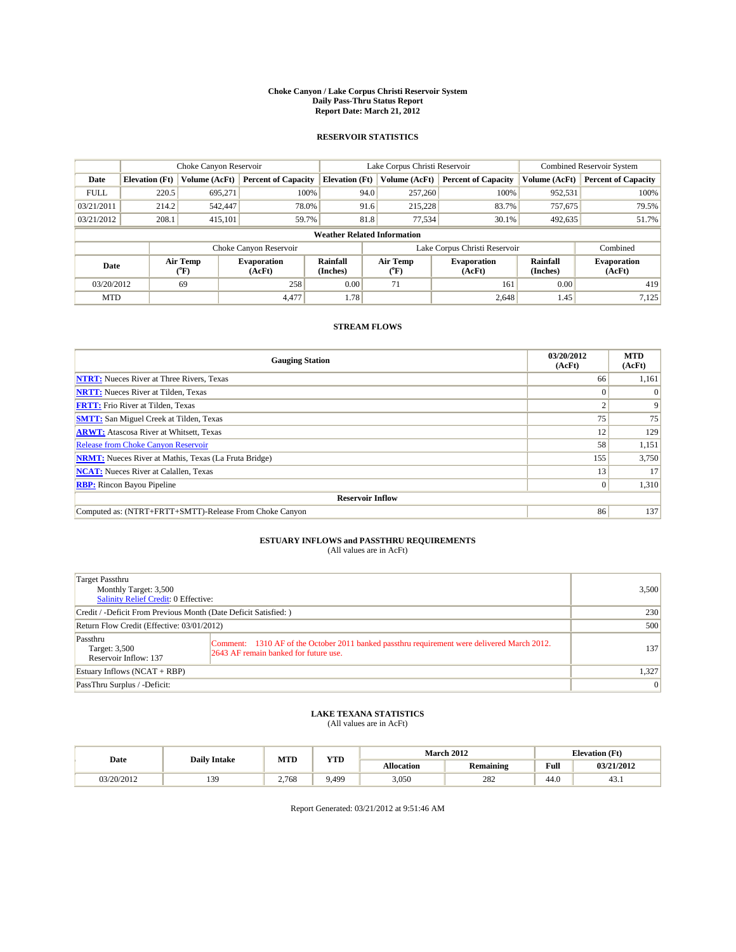#### **Choke Canyon / Lake Corpus Christi Reservoir System Daily Pass-Thru Status Report Report Date: March 21, 2012**

### **RESERVOIR STATISTICS**

|             |                       | Choke Canyon Reservoir |                              |                                    | Lake Corpus Christi Reservoir | <b>Combined Reservoir System</b>                            |               |                              |
|-------------|-----------------------|------------------------|------------------------------|------------------------------------|-------------------------------|-------------------------------------------------------------|---------------|------------------------------|
| Date        | <b>Elevation</b> (Ft) | Volume (AcFt)          | <b>Percent of Capacity</b>   | <b>Elevation</b> (Ft)              | Volume (AcFt)                 | <b>Percent of Capacity</b>                                  | Volume (AcFt) | <b>Percent of Capacity</b>   |
| <b>FULL</b> | 220.5                 | 695,271                | 100%                         | 94.0                               | 257,260                       | 100%                                                        | 952,531       | 100%                         |
| 03/21/2011  | 214.2                 | 542,447                | 78.0%                        | 91.6                               | 215.228                       | 83.7%                                                       | 757,675       | 79.5%                        |
| 03/21/2012  | 208.1                 | 415,101                | 59.7%                        | 81.8                               | 77,534                        | 30.1%                                                       | 492,635       | 51.7%                        |
|             |                       |                        |                              | <b>Weather Related Information</b> |                               |                                                             |               |                              |
|             |                       |                        | Choke Canyon Reservoir       |                                    | Lake Corpus Christi Reservoir |                                                             |               | Combined                     |
| Date        |                       | Air Temp<br>(°F)       | <b>Evaporation</b><br>(AcFt) | <b>Rainfall</b><br>(Inches)        | Air Temp<br>(°F)              | <b>Rainfall</b><br><b>Evaporation</b><br>(Inches)<br>(AcFt) |               | <b>Evaporation</b><br>(AcFt) |
| 03/20/2012  |                       | 69                     | 258                          | 0.00                               | 71                            | 161                                                         | 0.00          | 419                          |
| <b>MTD</b>  |                       |                        | 4.477                        | 1.78                               |                               | 2,648                                                       | 1.45          | 7,125                        |

## **STREAM FLOWS**

| <b>Gauging Station</b>                                       | 03/20/2012<br>(AcFt) | <b>MTD</b><br>(AcFt) |  |  |  |  |  |
|--------------------------------------------------------------|----------------------|----------------------|--|--|--|--|--|
| <b>NTRT:</b> Nueces River at Three Rivers, Texas             | 66                   | 1,161                |  |  |  |  |  |
| <b>NRTT:</b> Nueces River at Tilden, Texas                   |                      |                      |  |  |  |  |  |
| <b>FRTT:</b> Frio River at Tilden, Texas                     |                      | 9                    |  |  |  |  |  |
| <b>SMTT:</b> San Miguel Creek at Tilden, Texas               | 75                   | 75                   |  |  |  |  |  |
| <b>ARWT:</b> Atascosa River at Whitsett, Texas               | 12                   | 129                  |  |  |  |  |  |
| <b>Release from Choke Canyon Reservoir</b>                   | 58                   | 1,151                |  |  |  |  |  |
| <b>NRMT:</b> Nueces River at Mathis, Texas (La Fruta Bridge) | 155                  | 3,750                |  |  |  |  |  |
| <b>NCAT:</b> Nueces River at Calallen, Texas                 | 13                   | 17                   |  |  |  |  |  |
| <b>RBP:</b> Rincon Bayou Pipeline                            | $\vert 0 \vert$      | 1,310                |  |  |  |  |  |
| <b>Reservoir Inflow</b>                                      |                      |                      |  |  |  |  |  |
| Computed as: (NTRT+FRTT+SMTT)-Release From Choke Canyon      | 86                   | 137                  |  |  |  |  |  |

# **ESTUARY INFLOWS and PASSTHRU REQUIREMENTS**<br>(All values are in AcFt)

| Target Passthru<br>Monthly Target: 3,500<br>Salinity Relief Credit: 0 Effective: |                                                                                                                                      | 3,500    |
|----------------------------------------------------------------------------------|--------------------------------------------------------------------------------------------------------------------------------------|----------|
| Credit / -Deficit From Previous Month (Date Deficit Satisfied: )                 |                                                                                                                                      | 230      |
| Return Flow Credit (Effective: 03/01/2012)                                       |                                                                                                                                      | 500      |
| Passthru<br>Target: 3,500<br>Reservoir Inflow: 137                               | Comment: 1310 AF of the October 2011 banked passthru requirement were delivered March 2012.<br>2643 AF remain banked for future use. | 137      |
| Estuary Inflows (NCAT + RBP)                                                     |                                                                                                                                      | 1,327    |
| PassThru Surplus / -Deficit:                                                     |                                                                                                                                      | $\Omega$ |

## **LAKE TEXANA STATISTICS** (All values are in AcFt)

|            | <b>Daily Intake</b> | <b>MTD</b> | <b>YTD</b> |                   | <b>March 2012</b> |      | <b>Elevation</b> (Ft) |
|------------|---------------------|------------|------------|-------------------|-------------------|------|-----------------------|
| Date       |                     |            |            | <b>Allocation</b> | <b>Remaining</b>  | Full | 03/21/2012            |
| 03/20/2012 | 20                  | 2.768      | 9.499      | 3,050             | 282               | 44.0 | 43.1                  |

Report Generated: 03/21/2012 at 9:51:46 AM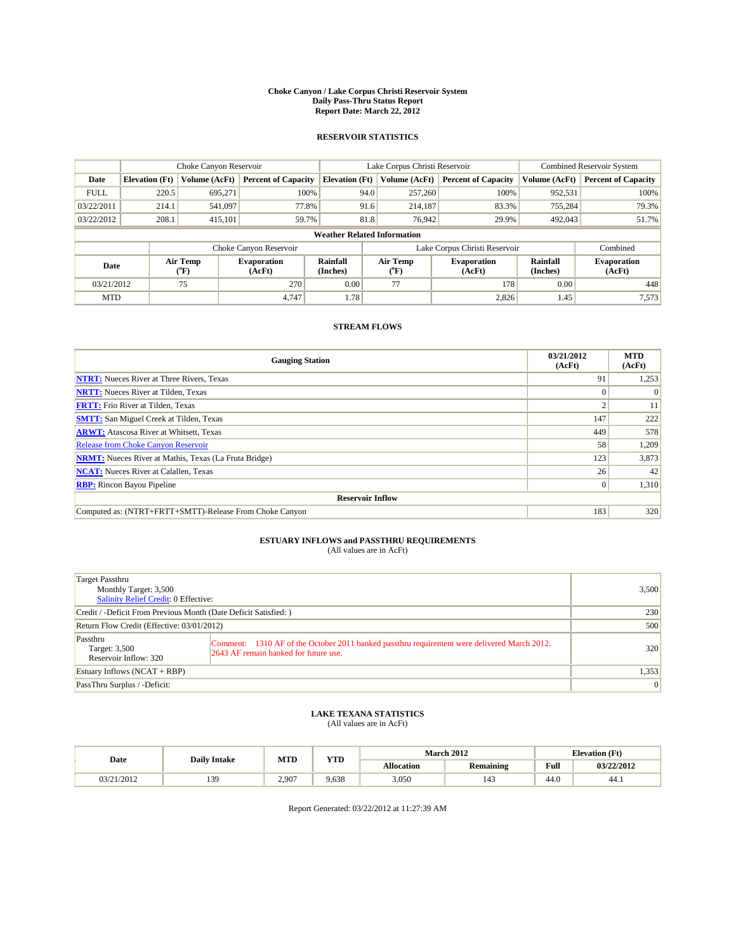#### **Choke Canyon / Lake Corpus Christi Reservoir System Daily Pass-Thru Status Report Report Date: March 22, 2012**

### **RESERVOIR STATISTICS**

|             | Choke Canyon Reservoir |                  |                              |                                    | Lake Corpus Christi Reservoir                    | <b>Combined Reservoir System</b> |                      |                              |
|-------------|------------------------|------------------|------------------------------|------------------------------------|--------------------------------------------------|----------------------------------|----------------------|------------------------------|
| Date        | <b>Elevation</b> (Ft)  | Volume (AcFt)    | <b>Percent of Capacity</b>   | <b>Elevation</b> (Ft)              | Volume (AcFt)                                    | <b>Percent of Capacity</b>       | Volume (AcFt)        | <b>Percent of Capacity</b>   |
| <b>FULL</b> | 220.5                  | 695,271          | 100%                         | 94.0                               | 257,260                                          | 100%                             | 952,531              | 100%                         |
| 03/22/2011  | 214.1                  | 541,097          | 77.8%                        | 91.6                               | 214,187                                          | 83.3%                            | 755.284              | 79.3%                        |
| 03/22/2012  | 208.1                  | 415,101          | 59.7%                        | 81.8                               | 76,942                                           | 29.9%                            | 492,043              | 51.7%                        |
|             |                        |                  |                              | <b>Weather Related Information</b> |                                                  |                                  |                      |                              |
|             |                        |                  | Choke Canyon Reservoir       |                                    | Lake Corpus Christi Reservoir                    |                                  |                      | Combined                     |
| Date        |                        | Air Temp<br>(°F) | <b>Evaporation</b><br>(AcFt) | Rainfall<br>(Inches)               | Air Temp<br><b>Evaporation</b><br>(AcFt)<br>("F) |                                  | Rainfall<br>(Inches) | <b>Evaporation</b><br>(AcFt) |
| 03/21/2012  |                        | 75               | 270                          | 0.00                               | 77                                               | 178                              | 0.00                 | 448                          |
| <b>MTD</b>  |                        |                  | 4.747                        | 1.78                               |                                                  | 2,826                            | 1.45                 | 7,573                        |

## **STREAM FLOWS**

| <b>Gauging Station</b>                                       | 03/21/2012<br>(AcFt) | <b>MTD</b><br>(AcFt) |
|--------------------------------------------------------------|----------------------|----------------------|
| <b>NTRT:</b> Nueces River at Three Rivers, Texas             | 91                   | 1,253                |
| <b>NRTT:</b> Nueces River at Tilden, Texas                   |                      | $\Omega$             |
| <b>FRTT:</b> Frio River at Tilden, Texas                     | σ                    | 11                   |
| <b>SMTT:</b> San Miguel Creek at Tilden, Texas               | 147                  | 222                  |
| <b>ARWT:</b> Atascosa River at Whitsett, Texas               | 449                  | 578                  |
| Release from Choke Canyon Reservoir                          | 58                   | 1,209                |
| <b>NRMT:</b> Nueces River at Mathis, Texas (La Fruta Bridge) | 123                  | 3,873                |
| <b>NCAT:</b> Nueces River at Calallen, Texas                 | 26                   | 42                   |
| <b>RBP:</b> Rincon Bayou Pipeline                            | $\mathbf{0}$         | 1,310                |
| <b>Reservoir Inflow</b>                                      |                      |                      |
| Computed as: (NTRT+FRTT+SMTT)-Release From Choke Canyon      | 183                  | 320                  |

## **ESTUARY INFLOWS and PASSTHRU REQUIREMENTS**

|  | (All values are in AcFt) |  |
|--|--------------------------|--|
|--|--------------------------|--|

| Target Passthru<br>Monthly Target: 3,500<br><b>Salinity Relief Credit: 0 Effective:</b> |                                                                                                                                      |                 |  |  |  |
|-----------------------------------------------------------------------------------------|--------------------------------------------------------------------------------------------------------------------------------------|-----------------|--|--|--|
| Credit / -Deficit From Previous Month (Date Deficit Satisfied: )                        |                                                                                                                                      |                 |  |  |  |
| Return Flow Credit (Effective: 03/01/2012)                                              |                                                                                                                                      |                 |  |  |  |
| Passthru<br>Target: 3,500<br>Reservoir Inflow: 320                                      | Comment: 1310 AF of the October 2011 banked passthru requirement were delivered March 2012.<br>2643 AF remain banked for future use. | 320             |  |  |  |
| Estuary Inflows $(NCAT + RBP)$                                                          | 1,353                                                                                                                                |                 |  |  |  |
| PassThru Surplus / -Deficit:                                                            |                                                                                                                                      | $\vert 0 \vert$ |  |  |  |

## **LAKE TEXANA STATISTICS** (All values are in AcFt)

|            | <b>Daily Intake</b> | <b>MTD</b> | <b>XZOD</b> |                   | <b>March 2012</b> |      | <b>Elevation</b> (Ft) |
|------------|---------------------|------------|-------------|-------------------|-------------------|------|-----------------------|
| Date       |                     |            | .           | <b>Allocation</b> | Remaining         | Full | 03/22/2012            |
| 03/21/2012 | 34                  | 2.907      | 9.638       | 3.050             | 142               | 44.0 | -44.1                 |

Report Generated: 03/22/2012 at 11:27:39 AM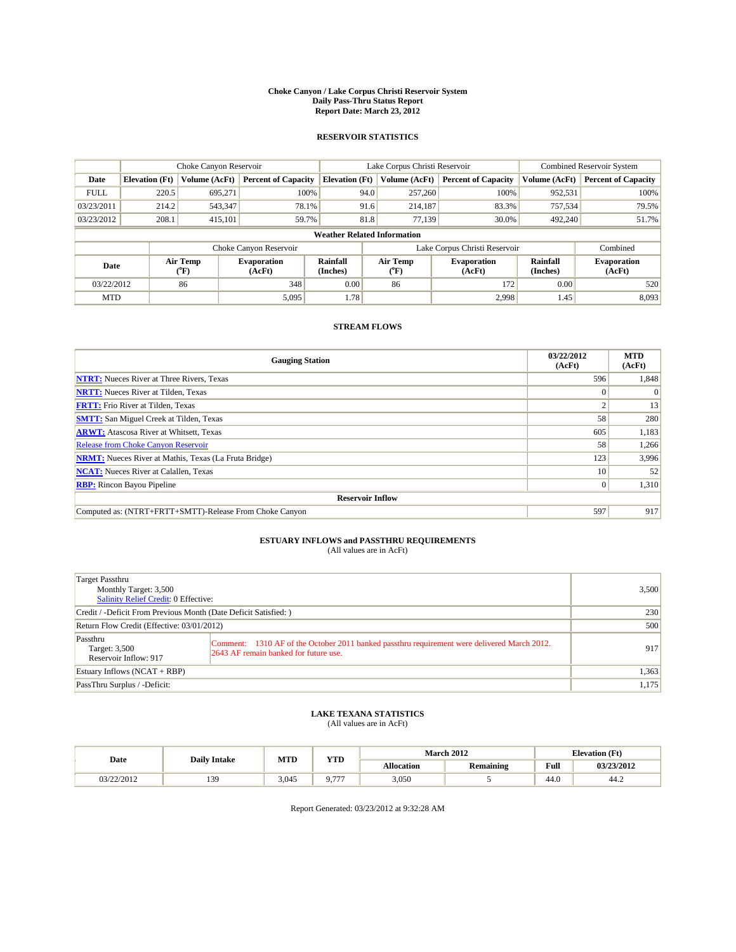#### **Choke Canyon / Lake Corpus Christi Reservoir System Daily Pass-Thru Status Report Report Date: March 23, 2012**

### **RESERVOIR STATISTICS**

|             | Choke Canyon Reservoir |                                           |                              |                                    | Lake Corpus Christi Reservoir                                  | <b>Combined Reservoir System</b> |                      |                              |
|-------------|------------------------|-------------------------------------------|------------------------------|------------------------------------|----------------------------------------------------------------|----------------------------------|----------------------|------------------------------|
| Date        | <b>Elevation</b> (Ft)  | Volume (AcFt)                             | <b>Percent of Capacity</b>   | <b>Elevation</b> (Ft)              | Volume (AcFt)                                                  | <b>Percent of Capacity</b>       | Volume (AcFt)        | <b>Percent of Capacity</b>   |
| <b>FULL</b> | 220.5                  | 695,271                                   | 100%                         | 94.0                               | 257,260                                                        | 100%                             | 952,531              | 100%                         |
| 03/23/2011  | 214.2                  | 543,347                                   | 78.1%                        |                                    | 91.6<br>214.187                                                | 83.3%                            | 757,534              | 79.5%                        |
| 03/23/2012  | 208.1                  | 415,101                                   | 59.7%                        |                                    | 81.8<br>77,139                                                 | 30.0%                            | 492,240              | 51.7%                        |
|             |                        |                                           |                              | <b>Weather Related Information</b> |                                                                |                                  |                      |                              |
|             |                        |                                           | Choke Canyon Reservoir       |                                    | Lake Corpus Christi Reservoir                                  |                                  |                      | Combined                     |
| Date        |                        | Air Temp<br>$({}^{\mathrm{o}}\mathrm{F})$ | <b>Evaporation</b><br>(AcFt) | Rainfall<br>(Inches)               | Air Temp<br><b>Evaporation</b><br>(AcFt)<br>$({}^o\mathrm{F})$ |                                  | Rainfall<br>(Inches) | <b>Evaporation</b><br>(AcFt) |
| 03/22/2012  |                        | 86                                        | 348                          | 0.00                               | 86                                                             | 172                              | 0.00                 | 520                          |
| <b>MTD</b>  |                        |                                           | 5,095                        | 1.78                               |                                                                | 2.998                            | 1.45                 | 8,093                        |

## **STREAM FLOWS**

| <b>Gauging Station</b>                                       | 03/22/2012<br>(AcFt) | <b>MTD</b><br>(AcFt) |
|--------------------------------------------------------------|----------------------|----------------------|
| <b>NTRT:</b> Nueces River at Three Rivers, Texas             | 596                  | 1,848                |
| <b>NRTT:</b> Nueces River at Tilden, Texas                   | $\Omega$             |                      |
| <b>FRTT:</b> Frio River at Tilden, Texas                     |                      | 13                   |
| <b>SMTT:</b> San Miguel Creek at Tilden, Texas               | 58                   | 280                  |
| <b>ARWT:</b> Atascosa River at Whitsett, Texas               | 605                  | 1,183                |
| <b>Release from Choke Canyon Reservoir</b>                   | 58                   | 1,266                |
| <b>NRMT:</b> Nueces River at Mathis, Texas (La Fruta Bridge) | 123                  | 3,996                |
| <b>NCAT:</b> Nueces River at Calallen, Texas                 | 10 <sup>1</sup>      | 52                   |
| <b>RBP:</b> Rincon Bayou Pipeline                            | $\vert 0 \vert$      | 1,310                |
| <b>Reservoir Inflow</b>                                      |                      |                      |
| Computed as: (NTRT+FRTT+SMTT)-Release From Choke Canyon      | 597                  | 917                  |

## **ESTUARY INFLOWS and PASSTHRU REQUIREMENTS**

|  | (All values are in AcFt) |  |
|--|--------------------------|--|
|--|--------------------------|--|

| Target Passthru<br>Monthly Target: 3,500<br>Salinity Relief Credit: 0 Effective: |                                                                                                                                      |       |  |  |
|----------------------------------------------------------------------------------|--------------------------------------------------------------------------------------------------------------------------------------|-------|--|--|
| Credit / -Deficit From Previous Month (Date Deficit Satisfied: )                 | 230                                                                                                                                  |       |  |  |
| Return Flow Credit (Effective: 03/01/2012)                                       | 500                                                                                                                                  |       |  |  |
| Passthru<br>Target: 3,500<br>Reservoir Inflow: 917                               | Comment: 1310 AF of the October 2011 banked passthru requirement were delivered March 2012.<br>2643 AF remain banked for future use. | 917   |  |  |
| Estuary Inflows (NCAT + RBP)                                                     | 1,363                                                                                                                                |       |  |  |
| PassThru Surplus / -Deficit:                                                     |                                                                                                                                      | 1,175 |  |  |

## **LAKE TEXANA STATISTICS** (All values are in AcFt)

|            | <b>Daily Intake</b> | <b>TIMP</b><br>MTD |         |            | <b>March 2012</b> |                    | <b>Elevation (Ft)</b> |
|------------|---------------------|--------------------|---------|------------|-------------------|--------------------|-----------------------|
| Date       |                     |                    | 1 I D   | Allocation | <b>Remaining</b>  | <b>Full</b>        | 03/23/2012            |
| 03/22/2012 | 120                 | 3.045              | $- - -$ | 3,050      |                   | $\sqrt{2}$<br>44.O | 44.4                  |

Report Generated: 03/23/2012 at 9:32:28 AM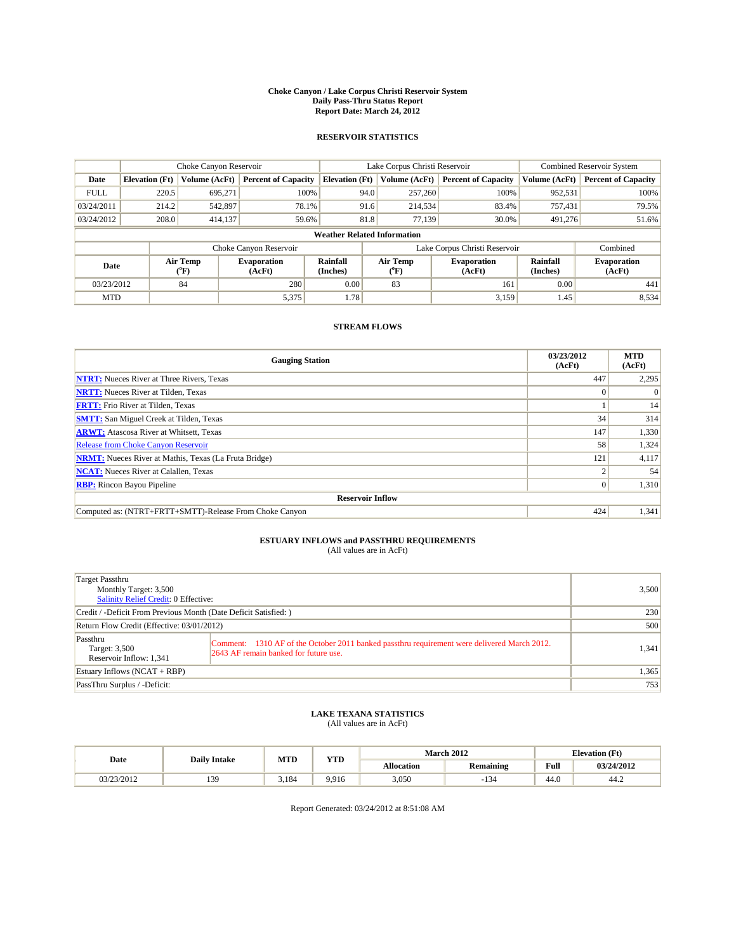#### **Choke Canyon / Lake Corpus Christi Reservoir System Daily Pass-Thru Status Report Report Date: March 24, 2012**

### **RESERVOIR STATISTICS**

|             | Choke Canyon Reservoir                                                                                                                                                       |               |                            |                                    | Lake Corpus Christi Reservoir | Combined Reservoir System  |               |                            |
|-------------|------------------------------------------------------------------------------------------------------------------------------------------------------------------------------|---------------|----------------------------|------------------------------------|-------------------------------|----------------------------|---------------|----------------------------|
| Date        | <b>Elevation</b> (Ft)                                                                                                                                                        | Volume (AcFt) | <b>Percent of Capacity</b> | <b>Elevation</b> (Ft)              | Volume (AcFt)                 | <b>Percent of Capacity</b> | Volume (AcFt) | <b>Percent of Capacity</b> |
| <b>FULL</b> | 220.5                                                                                                                                                                        | 695,271       | 100%                       | 94.0                               | 257,260                       | 100%                       | 952,531       | 100%                       |
| 03/24/2011  | 214.2                                                                                                                                                                        | 542,897       | 78.1%                      | 91.6                               | 214,534                       | 83.4%                      | 757.431       | 79.5%                      |
| 03/24/2012  | 208.0                                                                                                                                                                        | 414,137       | 59.6%                      | 81.8                               | 77,139                        | 30.0%                      | 491,276       | 51.6%                      |
|             |                                                                                                                                                                              |               |                            | <b>Weather Related Information</b> |                               |                            |               |                            |
|             |                                                                                                                                                                              |               | Choke Canyon Reservoir     |                                    | Lake Corpus Christi Reservoir |                            |               | Combined                   |
| Date        | Air Temp<br>Air Temp<br>Rainfall<br><b>Evaporation</b><br><b>Evaporation</b><br>(Inches)<br>(AcFt)<br>(AcFt)<br>$({}^{\mathrm{o}}\mathrm{F})$<br>$(^{\mathrm{o}}\mathrm{F})$ |               | Rainfall<br>(Inches)       | <b>Evaporation</b><br>(AcFt)       |                               |                            |               |                            |
| 03/23/2012  |                                                                                                                                                                              | 84            | 280                        | 0.00                               | 83                            | 161                        | 0.00          | 441                        |
| <b>MTD</b>  |                                                                                                                                                                              |               | 5,375                      | 1.78                               |                               | 3.159                      | 1.45          | 8,534                      |

## **STREAM FLOWS**

| <b>Gauging Station</b>                                       | 03/23/2012<br>(AcFt) | <b>MTD</b><br>(AcFt) |  |  |  |  |  |
|--------------------------------------------------------------|----------------------|----------------------|--|--|--|--|--|
| <b>NTRT:</b> Nueces River at Three Rivers, Texas             | 447                  | 2,295                |  |  |  |  |  |
| <b>NRTT:</b> Nueces River at Tilden, Texas                   | $\Omega$             |                      |  |  |  |  |  |
| <b>FRTT:</b> Frio River at Tilden, Texas                     |                      | 14                   |  |  |  |  |  |
| <b>SMTT:</b> San Miguel Creek at Tilden, Texas               | 34                   | 314                  |  |  |  |  |  |
| <b>ARWT:</b> Atascosa River at Whitsett, Texas               | 147                  | 1,330                |  |  |  |  |  |
| <b>Release from Choke Canyon Reservoir</b>                   | 58                   | 1,324                |  |  |  |  |  |
| <b>NRMT:</b> Nueces River at Mathis, Texas (La Fruta Bridge) | 121                  | 4,117                |  |  |  |  |  |
| <b>NCAT:</b> Nueces River at Calallen, Texas                 |                      | 54                   |  |  |  |  |  |
| <b>RBP:</b> Rincon Bayou Pipeline                            | $\overline{0}$       | 1,310                |  |  |  |  |  |
| <b>Reservoir Inflow</b>                                      |                      |                      |  |  |  |  |  |
| Computed as: (NTRT+FRTT+SMTT)-Release From Choke Canyon      | 424                  | 1,341                |  |  |  |  |  |

# **ESTUARY INFLOWS and PASSTHRU REQUIREMENTS**<br>(All values are in AcFt)

| Target Passthru<br>Monthly Target: 3,500<br>Salinity Relief Credit: 0 Effective: |                                                                                                                                      | 3,500 |
|----------------------------------------------------------------------------------|--------------------------------------------------------------------------------------------------------------------------------------|-------|
| Credit / -Deficit From Previous Month (Date Deficit Satisfied: )                 | 230                                                                                                                                  |       |
| Return Flow Credit (Effective: 03/01/2012)                                       | 500                                                                                                                                  |       |
| Passthru<br>Target: 3,500<br>Reservoir Inflow: 1,341                             | Comment: 1310 AF of the October 2011 banked passthru requirement were delivered March 2012.<br>2643 AF remain banked for future use. | 1,341 |
| Estuary Inflows (NCAT + RBP)                                                     |                                                                                                                                      | 1,365 |
| PassThru Surplus / -Deficit:                                                     |                                                                                                                                      | 753   |

## **LAKE TEXANA STATISTICS** (All values are in AcFt)

|            | MTD<br><b>Daily Intake</b> |       | <b>YTD</b> |                   | <b>March 2012</b> | <b>Elevation</b> (Ft)                   |            |
|------------|----------------------------|-------|------------|-------------------|-------------------|-----------------------------------------|------------|
| Date       |                            |       |            | <b>Allocation</b> | Remaining         | Full<br>the contract of the contract of | 03/24/2012 |
| 03/23/2012 | 30<br>.                    | 3.184 | 9.916      | 3,050             | 134<br>- 1        | 44.0                                    | 44.2       |

Report Generated: 03/24/2012 at 8:51:08 AM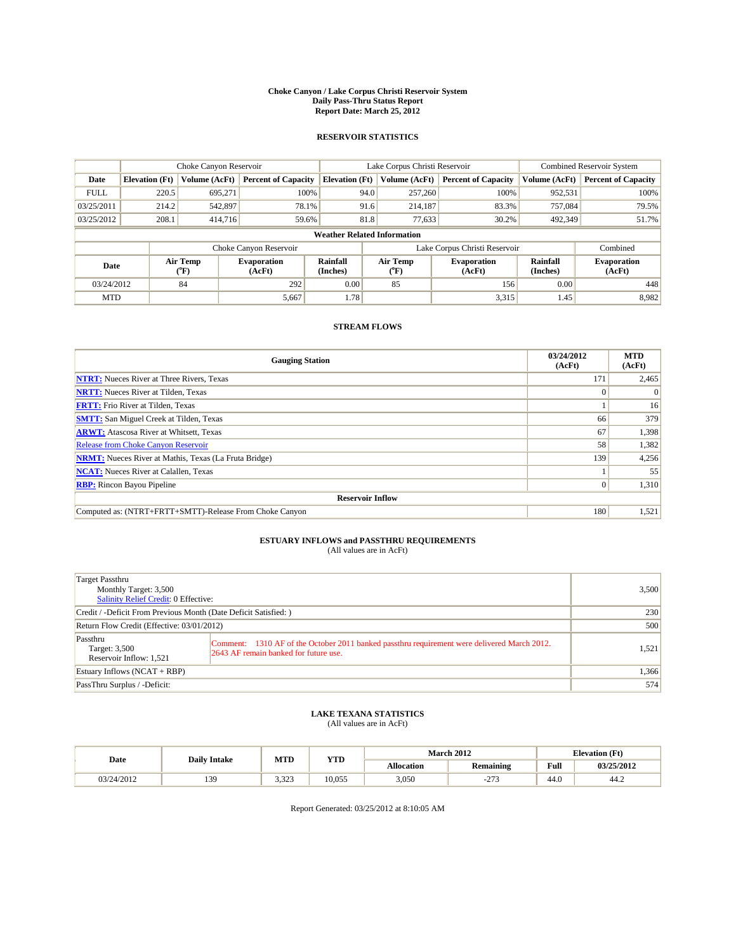#### **Choke Canyon / Lake Corpus Christi Reservoir System Daily Pass-Thru Status Report Report Date: March 25, 2012**

### **RESERVOIR STATISTICS**

|             | Choke Canyon Reservoir             |                  |                              |                             | Lake Corpus Christi Reservoir |                              |                             | <b>Combined Reservoir System</b> |  |  |
|-------------|------------------------------------|------------------|------------------------------|-----------------------------|-------------------------------|------------------------------|-----------------------------|----------------------------------|--|--|
| Date        | <b>Elevation</b> (Ft)              | Volume (AcFt)    | <b>Percent of Capacity</b>   | <b>Elevation</b> (Ft)       | Volume (AcFt)                 | <b>Percent of Capacity</b>   | Volume (AcFt)               | <b>Percent of Capacity</b>       |  |  |
| <b>FULL</b> | 220.5                              | 695,271          | 100%                         | 94.0                        | 257,260                       | 100%                         | 952,531                     | 100%                             |  |  |
| 03/25/2011  | 214.2                              | 542,897          | 78.1%                        | 91.6                        | 214.187                       | 83.3%                        | 757,084                     | 79.5%                            |  |  |
| 03/25/2012  | 208.1                              | 414,716          | 59.6%                        | 81.8                        | 77,633                        | 30.2%                        | 492,349                     | 51.7%                            |  |  |
|             | <b>Weather Related Information</b> |                  |                              |                             |                               |                              |                             |                                  |  |  |
|             |                                    |                  | Choke Canyon Reservoir       |                             | Lake Corpus Christi Reservoir |                              |                             | Combined                         |  |  |
| Date        |                                    | Air Temp<br>(°F) | <b>Evaporation</b><br>(AcFt) | <b>Rainfall</b><br>(Inches) | Air Temp<br>(°F)              | <b>Evaporation</b><br>(AcFt) | <b>Rainfall</b><br>(Inches) | <b>Evaporation</b><br>(AcFt)     |  |  |
| 03/24/2012  |                                    | 84               | 292                          | 0.00                        | 85                            | 156                          | 0.00                        | 448                              |  |  |
| <b>MTD</b>  |                                    |                  | 5,667                        | 1.78                        |                               | 3,315                        | 1.45                        | 8,982                            |  |  |

## **STREAM FLOWS**

| <b>Gauging Station</b>                                       | 03/24/2012<br>(AcFt) | <b>MTD</b><br>(AcFt) |  |  |  |  |  |
|--------------------------------------------------------------|----------------------|----------------------|--|--|--|--|--|
| <b>NTRT:</b> Nueces River at Three Rivers, Texas             | 171                  | 2,465                |  |  |  |  |  |
| <b>NRTT:</b> Nueces River at Tilden, Texas                   | $\Omega$             |                      |  |  |  |  |  |
| <b>FRTT:</b> Frio River at Tilden, Texas                     |                      | 16                   |  |  |  |  |  |
| <b>SMTT:</b> San Miguel Creek at Tilden, Texas               | 66                   | 379                  |  |  |  |  |  |
| <b>ARWT:</b> Atascosa River at Whitsett, Texas               | 67                   | 1,398                |  |  |  |  |  |
| <b>Release from Choke Canyon Reservoir</b>                   | 58                   | 1,382                |  |  |  |  |  |
| <b>NRMT:</b> Nueces River at Mathis, Texas (La Fruta Bridge) | 139                  | 4,256                |  |  |  |  |  |
| <b>NCAT:</b> Nueces River at Calallen, Texas                 |                      | 55                   |  |  |  |  |  |
| <b>RBP:</b> Rincon Bayou Pipeline                            | $\vert 0 \vert$      | 1,310                |  |  |  |  |  |
| <b>Reservoir Inflow</b>                                      |                      |                      |  |  |  |  |  |
| Computed as: (NTRT+FRTT+SMTT)-Release From Choke Canyon      | 180                  | 1,521                |  |  |  |  |  |

# **ESTUARY INFLOWS and PASSTHRU REQUIREMENTS**<br>(All values are in AcFt)

| Target Passthru<br>Monthly Target: 3,500<br>Salinity Relief Credit: 0 Effective: |                                                                                                                                      | 3,500 |
|----------------------------------------------------------------------------------|--------------------------------------------------------------------------------------------------------------------------------------|-------|
| Credit / -Deficit From Previous Month (Date Deficit Satisfied: )                 | 230                                                                                                                                  |       |
| Return Flow Credit (Effective: 03/01/2012)                                       | 500                                                                                                                                  |       |
| Passthru<br>Target: 3,500<br>Reservoir Inflow: 1,521                             | Comment: 1310 AF of the October 2011 banked passthru requirement were delivered March 2012.<br>2643 AF remain banked for future use. | 1,521 |
| Estuary Inflows (NCAT + RBP)                                                     |                                                                                                                                      | 1,366 |
| PassThru Surplus / -Deficit:                                                     |                                                                                                                                      | 574   |

## **LAKE TEXANA STATISTICS** (All values are in AcFt)

|            |                     | MTD<br><b>YTD</b> |        |                   | <b>March 2012</b> | <b>Elevation</b> (Ft) |            |
|------------|---------------------|-------------------|--------|-------------------|-------------------|-----------------------|------------|
| Date       | <b>Daily Intake</b> |                   |        | <b>Allocation</b> | <b>Remaining</b>  | Full                  | 03/25/2012 |
| 03/24/2012 | 139                 | 3.323             | 10.055 | 3,050             | 272<br><u>. ت</u> | 44.0                  | 44.2       |

Report Generated: 03/25/2012 at 8:10:05 AM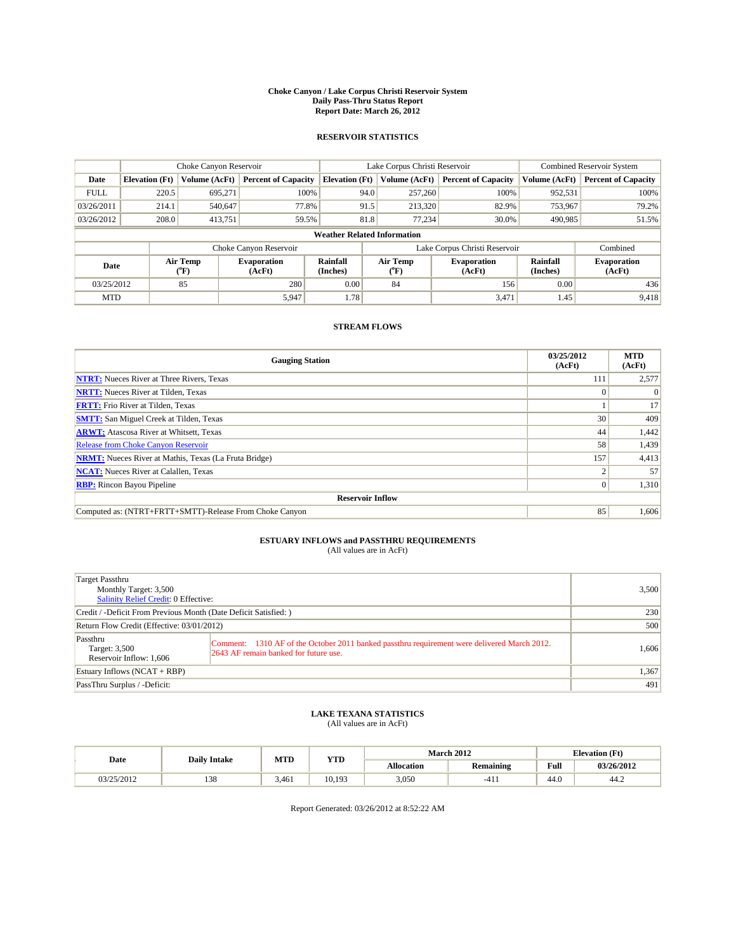#### **Choke Canyon / Lake Corpus Christi Reservoir System Daily Pass-Thru Status Report Report Date: March 26, 2012**

### **RESERVOIR STATISTICS**

|             | Choke Canyon Reservoir             |                  |                              |                             | Lake Corpus Christi Reservoir |                              |                      | <b>Combined Reservoir System</b> |  |  |
|-------------|------------------------------------|------------------|------------------------------|-----------------------------|-------------------------------|------------------------------|----------------------|----------------------------------|--|--|
| Date        | <b>Elevation</b> (Ft)              | Volume (AcFt)    | <b>Percent of Capacity</b>   | <b>Elevation</b> (Ft)       | Volume (AcFt)                 | <b>Percent of Capacity</b>   | Volume (AcFt)        | <b>Percent of Capacity</b>       |  |  |
| <b>FULL</b> | 220.5                              | 695,271          | 100%                         | 94.0                        | 257,260                       | 100%                         | 952,531              | 100%                             |  |  |
| 03/26/2011  | 214.1                              | 540,647          | 77.8%                        | 91.5                        | 213,320                       | 82.9%                        | 753,967              | 79.2%                            |  |  |
| 03/26/2012  | 208.0                              | 413,751          | 59.5%                        | 81.8                        | 77.234                        | 30.0%                        | 490,985              | 51.5%                            |  |  |
|             | <b>Weather Related Information</b> |                  |                              |                             |                               |                              |                      |                                  |  |  |
|             |                                    |                  | Choke Canyon Reservoir       |                             | Lake Corpus Christi Reservoir |                              |                      | Combined                         |  |  |
| Date        |                                    | Air Temp<br>(°F) | <b>Evaporation</b><br>(AcFt) | <b>Rainfall</b><br>(Inches) | Air Temp<br>(°F)              | <b>Evaporation</b><br>(AcFt) | Rainfall<br>(Inches) | <b>Evaporation</b><br>(AcFt)     |  |  |
| 03/25/2012  |                                    | 85               | 280                          | 0.00                        | 84                            | 156                          | 0.00                 | 436                              |  |  |
| <b>MTD</b>  |                                    |                  | 5,947                        | 1.78                        |                               | 3,471                        | 1.45                 | 9.418                            |  |  |

## **STREAM FLOWS**

| <b>Gauging Station</b>                                       | 03/25/2012<br>(AcFt) | <b>MTD</b><br>(AcFt) |  |  |  |  |  |
|--------------------------------------------------------------|----------------------|----------------------|--|--|--|--|--|
| <b>NTRT:</b> Nueces River at Three Rivers, Texas             | 111                  | 2,577                |  |  |  |  |  |
| <b>NRTT:</b> Nueces River at Tilden, Texas                   | $\Omega$             |                      |  |  |  |  |  |
| <b>FRTT:</b> Frio River at Tilden, Texas                     |                      | 17                   |  |  |  |  |  |
| <b>SMTT:</b> San Miguel Creek at Tilden, Texas               | 30                   | 409                  |  |  |  |  |  |
| <b>ARWT:</b> Atascosa River at Whitsett, Texas               | 44                   | 1,442                |  |  |  |  |  |
| <b>Release from Choke Canyon Reservoir</b>                   | 58                   | 1,439                |  |  |  |  |  |
| <b>NRMT:</b> Nueces River at Mathis, Texas (La Fruta Bridge) | 157                  | 4,413                |  |  |  |  |  |
| <b>NCAT:</b> Nueces River at Calallen, Texas                 |                      | 57                   |  |  |  |  |  |
| <b>RBP:</b> Rincon Bayou Pipeline                            | $\overline{0}$       | 1,310                |  |  |  |  |  |
| <b>Reservoir Inflow</b>                                      |                      |                      |  |  |  |  |  |
| Computed as: (NTRT+FRTT+SMTT)-Release From Choke Canyon      | 85                   | 1,606                |  |  |  |  |  |

## **ESTUARY INFLOWS and PASSTHRU REQUIREMENTS**

|  | (All values are in AcFt) |  |
|--|--------------------------|--|
|--|--------------------------|--|

| Target Passthru<br>Monthly Target: 3,500<br><b>Salinity Relief Credit: 0 Effective:</b> |                                                                                                                                      | 3,500 |
|-----------------------------------------------------------------------------------------|--------------------------------------------------------------------------------------------------------------------------------------|-------|
| Credit / -Deficit From Previous Month (Date Deficit Satisfied: )                        | 230                                                                                                                                  |       |
| Return Flow Credit (Effective: 03/01/2012)                                              | 500                                                                                                                                  |       |
| Passthru<br>Target: 3,500<br>Reservoir Inflow: 1,606                                    | Comment: 1310 AF of the October 2011 banked passthru requirement were delivered March 2012.<br>2643 AF remain banked for future use. | 1.606 |
| Estuary Inflows $(NCAT + RBP)$                                                          |                                                                                                                                      | 1,367 |
| PassThru Surplus / -Deficit:                                                            |                                                                                                                                      | 491   |

## **LAKE TEXANA STATISTICS** (All values are in AcFt)

| <b>Daily Intake</b> |            | MTD   | <b>YTD</b> | <b>March 2012</b> |                  | <b>Elevation</b> (Ft)                              |            |
|---------------------|------------|-------|------------|-------------------|------------------|----------------------------------------------------|------------|
| Date                |            |       |            | Allocation        | <b>Remaining</b> | <b>Full</b><br>the contract of the contract of the | 03/26/2012 |
| 03/25/2012          | 129<br>120 | 3.461 | 10.193     | 3,050             | $-411$           | 44.0                                               | 44.2       |

Report Generated: 03/26/2012 at 8:52:22 AM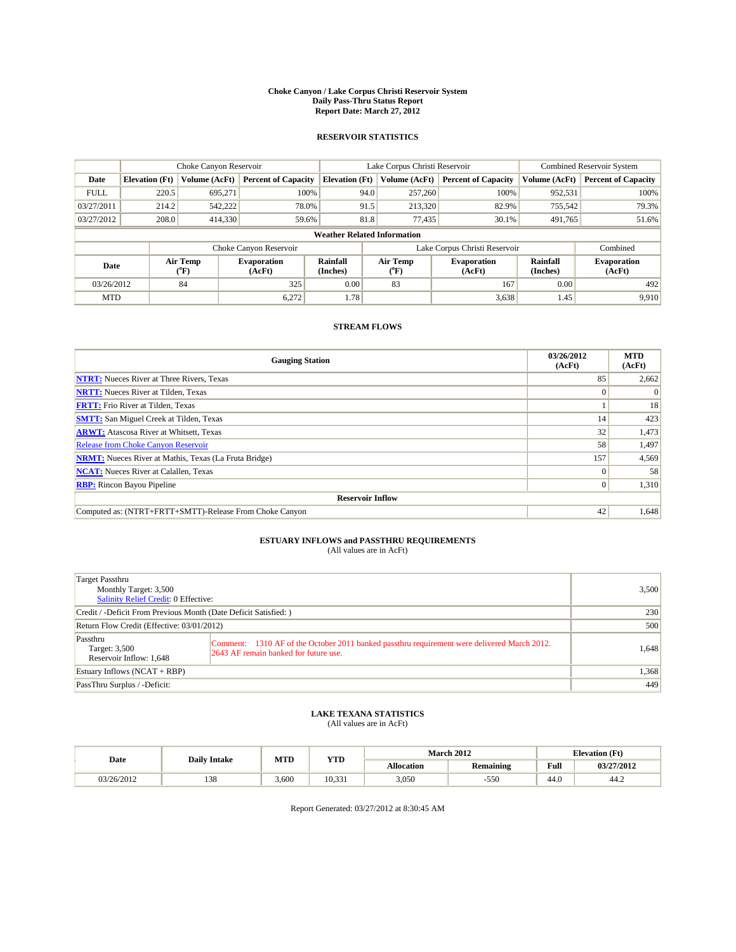#### **Choke Canyon / Lake Corpus Christi Reservoir System Daily Pass-Thru Status Report Report Date: March 27, 2012**

### **RESERVOIR STATISTICS**

|             |                                                                                                                                             | Choke Canyon Reservoir |                            |                                    | Lake Corpus Christi Reservoir | <b>Combined Reservoir System</b> |               |                            |
|-------------|---------------------------------------------------------------------------------------------------------------------------------------------|------------------------|----------------------------|------------------------------------|-------------------------------|----------------------------------|---------------|----------------------------|
| Date        | <b>Elevation</b> (Ft)                                                                                                                       | Volume (AcFt)          | <b>Percent of Capacity</b> | <b>Elevation</b> (Ft)              | Volume (AcFt)                 | <b>Percent of Capacity</b>       | Volume (AcFt) | <b>Percent of Capacity</b> |
| <b>FULL</b> | 220.5                                                                                                                                       | 695,271                | 100%                       | 94.0                               | 257,260                       | 100%                             | 952,531       | 100%                       |
| 03/27/2011  | 214.2                                                                                                                                       | 542,222                | 78.0%                      | 91.5                               | 213,320                       | 82.9%                            | 755,542       | 79.3%                      |
| 03/27/2012  | 208.0                                                                                                                                       | 414,330                | 59.6%                      | 81.8                               | 77.435                        | 30.1%                            | 491,765       | 51.6%                      |
|             |                                                                                                                                             |                        |                            | <b>Weather Related Information</b> |                               |                                  |               |                            |
|             |                                                                                                                                             |                        | Choke Canyon Reservoir     |                                    |                               | Lake Corpus Christi Reservoir    |               | Combined                   |
|             | Air Temp<br>Air Temp<br><b>Rainfall</b><br><b>Evaporation</b><br><b>Evaporation</b><br>Date<br>(Inches)<br>(AcFt)<br>(°F)<br>(AcFt)<br>(°F) |                        | Rainfall<br>(Inches)       | <b>Evaporation</b><br>(AcFt)       |                               |                                  |               |                            |
| 03/26/2012  |                                                                                                                                             | 84                     | 325                        | 0.00                               | 83                            | 167                              | 0.00          | 492                        |
| <b>MTD</b>  |                                                                                                                                             |                        | 6,272                      | 1.78                               |                               | 3,638                            | 1.45          | 9,910                      |

## **STREAM FLOWS**

| <b>Gauging Station</b>                                       | 03/26/2012<br>(AcFt) | <b>MTD</b><br>(AcFt) |  |  |  |  |
|--------------------------------------------------------------|----------------------|----------------------|--|--|--|--|
| <b>NTRT:</b> Nueces River at Three Rivers, Texas             | 85                   | 2,662                |  |  |  |  |
| <b>NRTT:</b> Nueces River at Tilden, Texas                   | $\Omega$             |                      |  |  |  |  |
| <b>FRTT:</b> Frio River at Tilden, Texas                     |                      | 18                   |  |  |  |  |
| <b>SMTT:</b> San Miguel Creek at Tilden, Texas               | 14                   | 423                  |  |  |  |  |
| <b>ARWT:</b> Atascosa River at Whitsett, Texas               | 32                   | 1,473                |  |  |  |  |
| Release from Choke Canyon Reservoir                          | 58                   | 1,497                |  |  |  |  |
| <b>NRMT:</b> Nueces River at Mathis, Texas (La Fruta Bridge) | 157                  | 4,569                |  |  |  |  |
| <b>NCAT:</b> Nueces River at Calallen, Texas                 | $\Omega$             | 58                   |  |  |  |  |
| <b>RBP:</b> Rincon Bayou Pipeline                            | $\vert 0 \vert$      | 1,310                |  |  |  |  |
| <b>Reservoir Inflow</b>                                      |                      |                      |  |  |  |  |
| Computed as: (NTRT+FRTT+SMTT)-Release From Choke Canyon      | 42                   | 1,648                |  |  |  |  |

## **ESTUARY INFLOWS and PASSTHRU REQUIREMENTS**

| (All values are in AcFt) |  |
|--------------------------|--|
|--------------------------|--|

| Target Passthru<br>Monthly Target: 3,500<br>Salinity Relief Credit: 0 Effective: |                                                                                                                                      | 3,500 |
|----------------------------------------------------------------------------------|--------------------------------------------------------------------------------------------------------------------------------------|-------|
| Credit / -Deficit From Previous Month (Date Deficit Satisfied: )                 |                                                                                                                                      | 230   |
| Return Flow Credit (Effective: 03/01/2012)                                       |                                                                                                                                      | 500   |
| Passthru<br>Target: 3,500<br>Reservoir Inflow: 1,648                             | Comment: 1310 AF of the October 2011 banked passthru requirement were delivered March 2012.<br>2643 AF remain banked for future use. | 1,648 |
| Estuary Inflows $(NCAT + RBP)$                                                   |                                                                                                                                      | 1,368 |
| PassThru Surplus / -Deficit:                                                     |                                                                                                                                      | 449   |

## **LAKE TEXANA STATISTICS** (All values are in AcFt)

| Date       | <b>Daily Intake</b> | MTD   | <b>YTD</b> |            | <b>March 2012</b> |                                                    | <b>Elevation</b> (Ft) |  |
|------------|---------------------|-------|------------|------------|-------------------|----------------------------------------------------|-----------------------|--|
|            |                     |       |            | Allocation | Remaining         | <b>Full</b><br>the contract of the contract of the | 03/27/2012            |  |
| 03/26/2012 | 129<br>120          | 3.600 | 10.331     | 3,050      | $-550$            | 44.0                                               | 44.2                  |  |

Report Generated: 03/27/2012 at 8:30:45 AM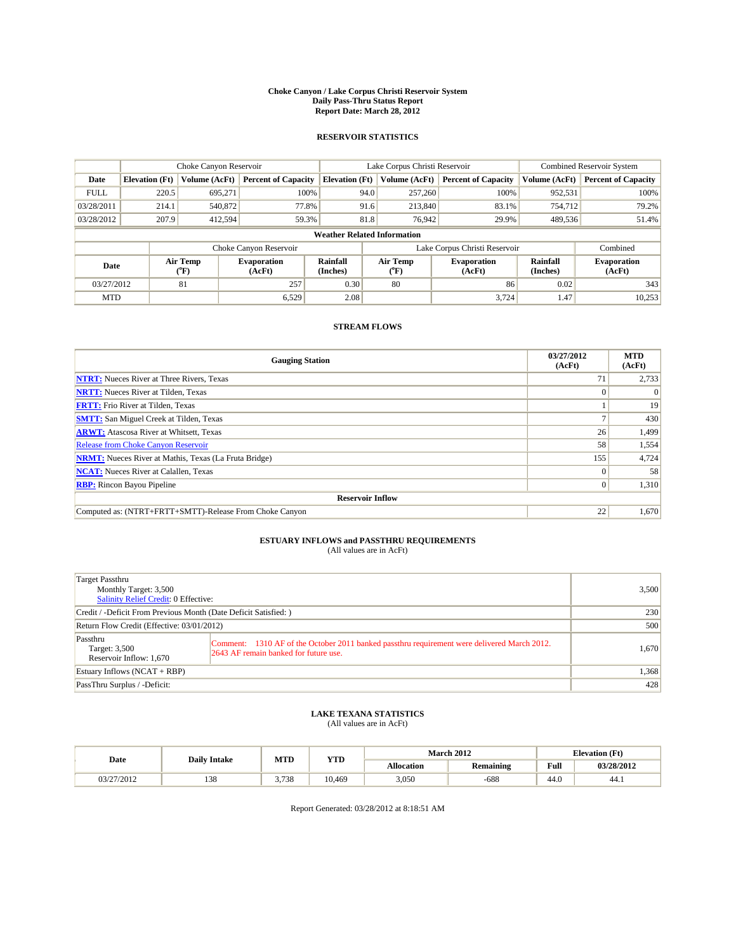#### **Choke Canyon / Lake Corpus Christi Reservoir System Daily Pass-Thru Status Report Report Date: March 28, 2012**

### **RESERVOIR STATISTICS**

|             |                                                                                                                                             | Choke Canyon Reservoir |                            |                                    | Lake Corpus Christi Reservoir | <b>Combined Reservoir System</b> |               |                            |
|-------------|---------------------------------------------------------------------------------------------------------------------------------------------|------------------------|----------------------------|------------------------------------|-------------------------------|----------------------------------|---------------|----------------------------|
| Date        | <b>Elevation</b> (Ft)                                                                                                                       | Volume (AcFt)          | <b>Percent of Capacity</b> | <b>Elevation</b> (Ft)              | Volume (AcFt)                 | <b>Percent of Capacity</b>       | Volume (AcFt) | <b>Percent of Capacity</b> |
| <b>FULL</b> | 220.5                                                                                                                                       | 695,271                | 100%                       | 94.0                               | 257,260                       | 100%                             | 952,531       | 100%                       |
| 03/28/2011  | 214.1                                                                                                                                       | 540,872                | 77.8%                      | 91.6                               | 213,840                       | 83.1%                            | 754,712       | 79.2%                      |
| 03/28/2012  | 207.9                                                                                                                                       | 412,594                | 59.3%                      | 81.8                               | 76,942                        | 29.9%                            | 489,536       | 51.4%                      |
|             |                                                                                                                                             |                        |                            | <b>Weather Related Information</b> |                               |                                  |               |                            |
|             |                                                                                                                                             |                        | Choke Canyon Reservoir     |                                    |                               | Lake Corpus Christi Reservoir    |               | Combined                   |
|             | Air Temp<br><b>Rainfall</b><br>Air Temp<br><b>Evaporation</b><br><b>Evaporation</b><br>Date<br>(Inches)<br>(AcFt)<br>(°F)<br>(AcFt)<br>(°F) |                        | Rainfall<br>(Inches)       | <b>Evaporation</b><br>(AcFt)       |                               |                                  |               |                            |
| 03/27/2012  |                                                                                                                                             | 81                     | 257                        | 0.30                               | 80                            | 86                               | 0.02          | 343                        |
| <b>MTD</b>  |                                                                                                                                             |                        | 6,529                      | 2.08                               |                               | 3.724                            | 1.47          | 10,253                     |

## **STREAM FLOWS**

| <b>Gauging Station</b>                                       | 03/27/2012<br>(AcFt) | <b>MTD</b><br>(AcFt) |  |  |  |  |
|--------------------------------------------------------------|----------------------|----------------------|--|--|--|--|
| <b>NTRT:</b> Nueces River at Three Rivers, Texas             | 71                   | 2,733                |  |  |  |  |
| <b>NRTT:</b> Nueces River at Tilden, Texas                   | $\Omega$             |                      |  |  |  |  |
| <b>FRTT:</b> Frio River at Tilden, Texas                     |                      | 19                   |  |  |  |  |
| <b>SMTT:</b> San Miguel Creek at Tilden, Texas               |                      | 430                  |  |  |  |  |
| <b>ARWT:</b> Atascosa River at Whitsett, Texas               | 26                   | 1,499                |  |  |  |  |
| <b>Release from Choke Canyon Reservoir</b>                   | 58                   | 1,554                |  |  |  |  |
| <b>NRMT:</b> Nueces River at Mathis, Texas (La Fruta Bridge) | 155                  | 4,724                |  |  |  |  |
| <b>NCAT:</b> Nueces River at Calallen, Texas                 | $\Omega$             | 58                   |  |  |  |  |
| <b>RBP:</b> Rincon Bayou Pipeline                            | $\overline{0}$       | 1,310                |  |  |  |  |
| <b>Reservoir Inflow</b>                                      |                      |                      |  |  |  |  |
| Computed as: (NTRT+FRTT+SMTT)-Release From Choke Canyon      | 22                   | 1,670                |  |  |  |  |

## **ESTUARY INFLOWS and PASSTHRU REQUIREMENTS**<br>(All values are in AcFt)

| Target Passthru<br>Monthly Target: 3,500<br>Salinity Relief Credit: 0 Effective: |                                                                                                                                      | 3,500 |
|----------------------------------------------------------------------------------|--------------------------------------------------------------------------------------------------------------------------------------|-------|
| Credit / -Deficit From Previous Month (Date Deficit Satisfied: )                 |                                                                                                                                      | 230   |
| Return Flow Credit (Effective: 03/01/2012)                                       |                                                                                                                                      | 500   |
| Passthru<br>Target: 3,500<br>Reservoir Inflow: 1,670                             | Comment: 1310 AF of the October 2011 banked passthru requirement were delivered March 2012.<br>2643 AF remain banked for future use. | 1,670 |
| Estuary Inflows $(NCAT + RBP)$                                                   |                                                                                                                                      | 1,368 |
| PassThru Surplus / -Deficit:                                                     |                                                                                                                                      | 428   |

## **LAKE TEXANA STATISTICS** (All values are in AcFt)

| Date       | <b>Daily Intake</b> | MTD   | <b>YTD</b> |                   | <b>March 2012</b> |      | <b>Elevation</b> (Ft) |  |
|------------|---------------------|-------|------------|-------------------|-------------------|------|-----------------------|--|
|            |                     |       |            | <b>Allocation</b> | <b>Remaining</b>  | Full | 03/28/2012            |  |
| 03/27/2012 | 138                 | 3.738 | 10.469     | 3,050             | $-688$            | 44.0 | 44.)                  |  |

Report Generated: 03/28/2012 at 8:18:51 AM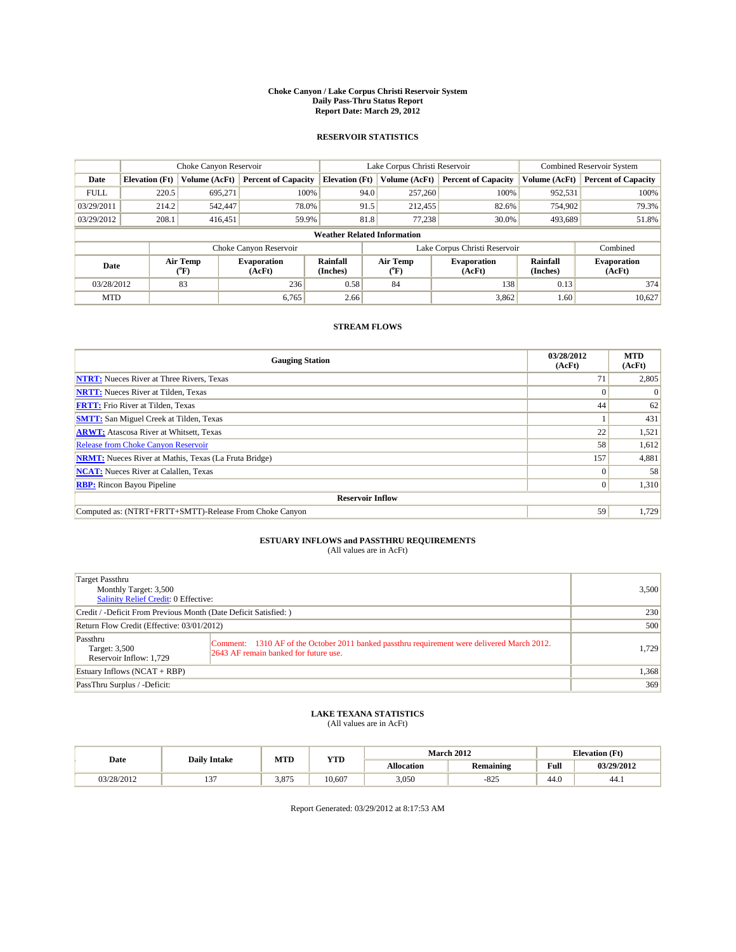#### **Choke Canyon / Lake Corpus Christi Reservoir System Daily Pass-Thru Status Report Report Date: March 29, 2012**

### **RESERVOIR STATISTICS**

|                                                                                                                                     |                       | Choke Canyon Reservoir |                            |                                    | Lake Corpus Christi Reservoir | <b>Combined Reservoir System</b> |               |                            |
|-------------------------------------------------------------------------------------------------------------------------------------|-----------------------|------------------------|----------------------------|------------------------------------|-------------------------------|----------------------------------|---------------|----------------------------|
| Date                                                                                                                                | <b>Elevation</b> (Ft) | Volume (AcFt)          | <b>Percent of Capacity</b> | <b>Elevation</b> (Ft)              | Volume (AcFt)                 | <b>Percent of Capacity</b>       | Volume (AcFt) | <b>Percent of Capacity</b> |
| <b>FULL</b>                                                                                                                         | 220.5                 | 695,271                | 100%                       | 94.0                               | 257,260                       | 100%                             | 952,531       | 100%                       |
| 03/29/2011                                                                                                                          | 214.2                 | 542,447                | 78.0%                      | 91.5                               | 212,455                       | 82.6%                            | 754,902       | 79.3%                      |
| 03/29/2012                                                                                                                          | 208.1                 | 416,451                | 59.9%                      | 81.8                               | 77.238                        | 30.0%                            | 493,689       | 51.8%                      |
|                                                                                                                                     |                       |                        |                            | <b>Weather Related Information</b> |                               |                                  |               |                            |
|                                                                                                                                     |                       |                        | Choke Canyon Reservoir     |                                    |                               | Lake Corpus Christi Reservoir    |               | Combined                   |
| Air Temp<br><b>Rainfall</b><br>Air Temp<br><b>Evaporation</b><br>Date<br>(Inches)<br>(AcFt)<br>(°F)<br>(AcFt)<br>$({}^o\mathrm{F})$ |                       | <b>Evaporation</b>     | Rainfall<br>(Inches)       | <b>Evaporation</b><br>(AcFt)       |                               |                                  |               |                            |
| 03/28/2012                                                                                                                          |                       | 83                     | 236                        | 0.58                               | 84                            | 138                              | 0.13          | 374                        |
| <b>MTD</b>                                                                                                                          |                       |                        | 6.765                      | 2.66                               |                               | 3,862                            | 1.60          | 10,627                     |

## **STREAM FLOWS**

| <b>Gauging Station</b>                                       | 03/28/2012<br>(AcFt) | <b>MTD</b><br>(AcFt) |  |  |  |  |  |
|--------------------------------------------------------------|----------------------|----------------------|--|--|--|--|--|
| <b>NTRT:</b> Nueces River at Three Rivers, Texas             | 71                   | 2,805                |  |  |  |  |  |
| <b>NRTT:</b> Nueces River at Tilden, Texas                   |                      |                      |  |  |  |  |  |
| <b>FRTT:</b> Frio River at Tilden, Texas                     | 44                   | 62                   |  |  |  |  |  |
| <b>SMTT:</b> San Miguel Creek at Tilden, Texas               |                      | 431                  |  |  |  |  |  |
| <b>ARWT:</b> Atascosa River at Whitsett, Texas               | 22                   | 1,521                |  |  |  |  |  |
| Release from Choke Canyon Reservoir                          | 58                   | 1,612                |  |  |  |  |  |
| <b>NRMT:</b> Nueces River at Mathis, Texas (La Fruta Bridge) | 157                  | 4,881                |  |  |  |  |  |
| <b>NCAT:</b> Nueces River at Calallen, Texas                 | $\Omega$             | 58                   |  |  |  |  |  |
| <b>RBP:</b> Rincon Bayou Pipeline                            | $\overline{0}$       | 1,310                |  |  |  |  |  |
| <b>Reservoir Inflow</b>                                      |                      |                      |  |  |  |  |  |
| Computed as: (NTRT+FRTT+SMTT)-Release From Choke Canyon      | 59                   | 1,729                |  |  |  |  |  |

# **ESTUARY INFLOWS and PASSTHRU REQUIREMENTS**<br>(All values are in AcFt)

| Target Passthru<br>Monthly Target: 3,500<br>Salinity Relief Credit: 0 Effective: |                                                                                                                                      | 3,500 |
|----------------------------------------------------------------------------------|--------------------------------------------------------------------------------------------------------------------------------------|-------|
| Credit / -Deficit From Previous Month (Date Deficit Satisfied: )                 |                                                                                                                                      | 230   |
| Return Flow Credit (Effective: 03/01/2012)                                       |                                                                                                                                      | 500   |
| Passthru<br>Target: 3,500<br>Reservoir Inflow: 1,729                             | Comment: 1310 AF of the October 2011 banked passthru requirement were delivered March 2012.<br>2643 AF remain banked for future use. | 1,729 |
| Estuary Inflows (NCAT + RBP)                                                     |                                                                                                                                      | 1,368 |
| PassThru Surplus / -Deficit:                                                     |                                                                                                                                      | 369   |

## **LAKE TEXANA STATISTICS** (All values are in AcFt)

|            | <b>Daily Intake</b> |       | MTD<br><b>YTD</b> |                   | <b>March 2012</b> | <b>Elevation</b> (Ft) |            |
|------------|---------------------|-------|-------------------|-------------------|-------------------|-----------------------|------------|
| Date       |                     |       |                   | <b>Allocation</b> | <b>Remaining</b>  | Full                  | 03/29/2012 |
| 03/28/2012 | $\sim$<br>. .       | 3.875 | 10.607            | 3,050             | $-825$            | 44.0                  | 44.)       |

Report Generated: 03/29/2012 at 8:17:53 AM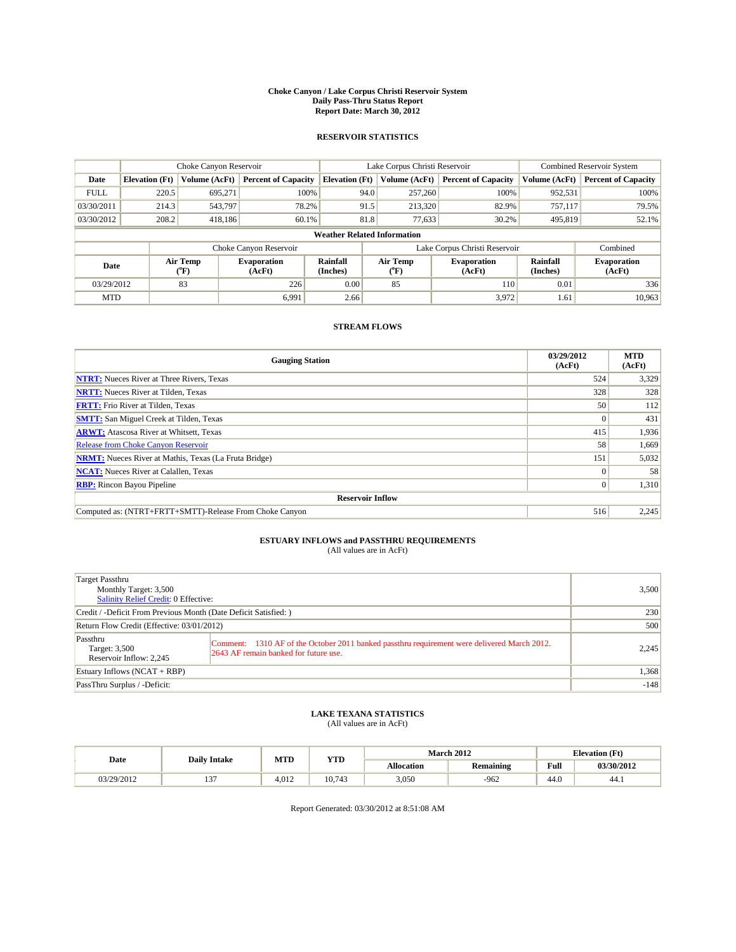#### **Choke Canyon / Lake Corpus Christi Reservoir System Daily Pass-Thru Status Report Report Date: March 30, 2012**

### **RESERVOIR STATISTICS**

|             | Choke Canyon Reservoir             |                  |                              |                             | Lake Corpus Christi Reservoir                                            | <b>Combined Reservoir System</b> |               |                              |  |
|-------------|------------------------------------|------------------|------------------------------|-----------------------------|--------------------------------------------------------------------------|----------------------------------|---------------|------------------------------|--|
| Date        | <b>Elevation</b> (Ft)              | Volume (AcFt)    | <b>Percent of Capacity</b>   | <b>Elevation</b> (Ft)       | Volume (AcFt)                                                            | <b>Percent of Capacity</b>       | Volume (AcFt) | <b>Percent of Capacity</b>   |  |
| <b>FULL</b> | 220.5                              | 695,271          | 100%                         | 94.0                        | 257,260                                                                  | 100%                             | 952,531       | 100%                         |  |
| 03/30/2011  | 214.3                              | 543,797          | 78.2%                        | 91.5                        | 213,320                                                                  | 82.9%                            | 757,117       | 79.5%                        |  |
| 03/30/2012  | 208.2                              | 418,186          | 60.1%                        | 81.8                        | 77,633                                                                   | 30.2%                            | 495,819       | 52.1%                        |  |
|             | <b>Weather Related Information</b> |                  |                              |                             |                                                                          |                                  |               |                              |  |
|             |                                    |                  | Choke Canyon Reservoir       |                             |                                                                          | Lake Corpus Christi Reservoir    |               | Combined                     |  |
| Date        |                                    | Air Temp<br>(°F) | <b>Evaporation</b><br>(AcFt) | <b>Rainfall</b><br>(Inches) | Air Temp<br>Rainfall<br><b>Evaporation</b><br>(Inches)<br>(AcFt)<br>("F) |                                  |               | <b>Evaporation</b><br>(AcFt) |  |
| 03/29/2012  |                                    | 83               | 226                          | 0.00                        | 85                                                                       | <b>110</b>                       | 0.01          | 336                          |  |
| <b>MTD</b>  |                                    |                  | 6.991                        | 2.66                        |                                                                          | 3,972                            | 1.61          | 10,963                       |  |

## **STREAM FLOWS**

| <b>Gauging Station</b>                                       | 03/29/2012<br>(AcFt) | <b>MTD</b><br>(AcFt) |  |  |  |  |
|--------------------------------------------------------------|----------------------|----------------------|--|--|--|--|
| <b>NTRT:</b> Nueces River at Three Rivers, Texas             | 524                  | 3,329                |  |  |  |  |
| <b>NRTT:</b> Nueces River at Tilden, Texas                   | 328                  | 328                  |  |  |  |  |
| <b>FRTT:</b> Frio River at Tilden, Texas                     | 50                   | 112                  |  |  |  |  |
| <b>SMTT:</b> San Miguel Creek at Tilden, Texas               | $\Omega$             | 431                  |  |  |  |  |
| <b>ARWT:</b> Atascosa River at Whitsett, Texas               | 415                  | 1,936                |  |  |  |  |
| <b>Release from Choke Canyon Reservoir</b>                   | 58                   | 1,669                |  |  |  |  |
| <b>NRMT:</b> Nueces River at Mathis, Texas (La Fruta Bridge) | 151                  | 5,032                |  |  |  |  |
| <b>NCAT:</b> Nueces River at Calallen, Texas                 | $\Omega$             | 58                   |  |  |  |  |
| <b>RBP:</b> Rincon Bayou Pipeline                            | $\overline{0}$       | 1,310                |  |  |  |  |
| <b>Reservoir Inflow</b>                                      |                      |                      |  |  |  |  |
| Computed as: (NTRT+FRTT+SMTT)-Release From Choke Canyon      | 516                  | 2,245                |  |  |  |  |

## **ESTUARY INFLOWS and PASSTHRU REQUIREMENTS**<br>(All values are in AcFt)

| Target Passthru<br>Monthly Target: 3,500<br>Salinity Relief Credit: 0 Effective: |                                                                                                                                      | 3,500  |
|----------------------------------------------------------------------------------|--------------------------------------------------------------------------------------------------------------------------------------|--------|
| Credit / -Deficit From Previous Month (Date Deficit Satisfied: )                 |                                                                                                                                      | 230    |
| Return Flow Credit (Effective: 03/01/2012)                                       |                                                                                                                                      | 500    |
| Passthru<br>Target: 3,500<br>Reservoir Inflow: 2,245                             | Comment: 1310 AF of the October 2011 banked passthru requirement were delivered March 2012.<br>2643 AF remain banked for future use. | 2,245  |
| Estuary Inflows $(NCAT + RBP)$                                                   |                                                                                                                                      | 1,368  |
| PassThru Surplus / -Deficit:                                                     |                                                                                                                                      | $-148$ |

## **LAKE TEXANA STATISTICS** (All values are in AcFt)

|            | <b>Daily Intake</b> | MTD   |            |                   | <b>March 2012</b> | <b>Elevation</b> (Ft)                       |            |
|------------|---------------------|-------|------------|-------------------|-------------------|---------------------------------------------|------------|
| Date       |                     |       | <b>YTD</b> | <b>Allocation</b> | <b>Remaining</b>  | Full<br>the contract of the contract of the | 03/30/2012 |
| 03/29/2012 | $\sim$              | 4.012 | 10.743     | 3,050             | $-962$            | 44.0                                        | 44.)       |

Report Generated: 03/30/2012 at 8:51:08 AM